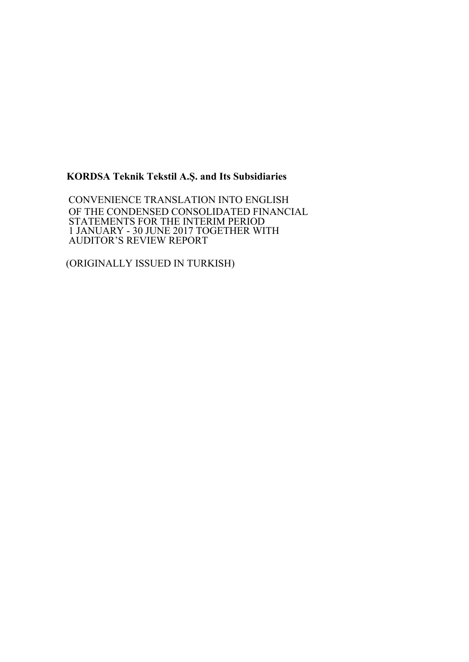## **KORDSA Teknik Tekstil A.Ş. and Its Subsidiaries**

 CONVENIENCE TRANSLATION INTO ENGLISH OF THE CONDENSED CONSOLIDATED FINANCIAL STATEMENTS FOR THE INTERIM PERIOD 1 JANUARY - 30 JUNE 2017 TOGETHER WITH AUDITOR'S REVIEW REPORT

(ORIGINALLY ISSUED IN TURKISH)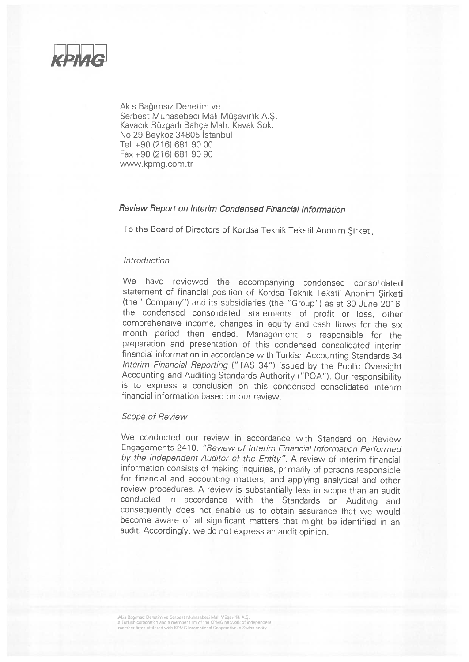

Akis Bağımsız Denetim ve Serbest Muhasebeci Mali Müsavirlik A.S. Kavacık Rüzgarlı Bahce Mah. Kavak Sok. No:29 Bevkoz 34805 Istanbul Tel +90 (216) 681 90 00 Fax +90 (216) 681 90 90 www.kpmg.com.tr

#### Review Report on Interim Condensed Financial Information

To the Board of Directors of Kordsa Teknik Tekstil Anonim Şirketi,

#### Introduction

We have reviewed the accompanying condensed consolidated statement of financial position of Kordsa Teknik Tekstil Anonim Sirketi (the "Company") and its subsidiaries (the "Group") as at 30 June 2016. the condensed consolidated statements of profit or loss, other comprehensive income, changes in equity and cash flows for the six month period then ended. Management is responsible for the preparation and presentation of this condensed consolidated interim financial information in accordance with Turkish Accounting Standards 34 Interim Financial Reporting ("TAS 34") issued by the Public Oversight Accounting and Auditing Standards Authority ("POA"). Our responsibility is to express a conclusion on this condensed consolidated interim financial information based on our review.

#### **Scope of Review**

We conducted our review in accordance with Standard on Review Engagements 2410, "Review of Interim Financial Information Performed by the Independent Auditor of the Entity". A review of interim financial information consists of making inquiries, primarily of persons responsible for financial and accounting matters, and applying analytical and other review procedures. A review is substantially less in scope than an audit conducted in accordance with the Standards on Auditing and consequently does not enable us to obtain assurance that we would become aware of all significant matters that might be identified in an audit. Accordingly, we do not express an audit opinion.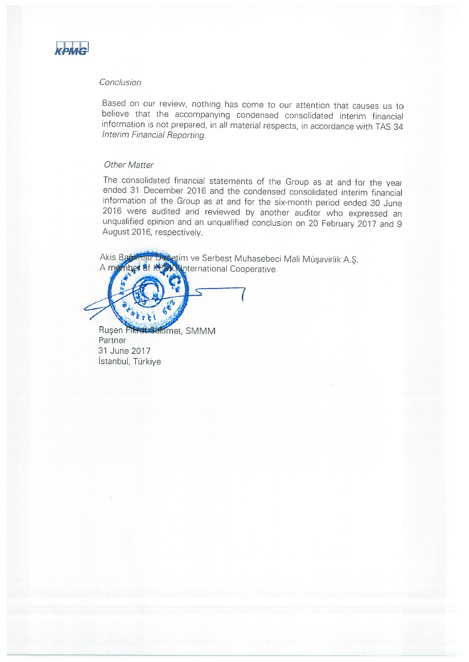

### Conclusion

Based on our review, nothing has come to our attention that causes us to believe that the accompanying condensed consolidated interim financial information is not prepared, in all material respects, in accordance with TAS 34 Interim Financial Reporting.

#### **Other Matter**

The consolidated financial statements of the Group as at and for the year ended 31 December 2016 and the condensed consolidated interim financial information of the Group as at and for the six-month period ended 30 June 2016 were audited and reviewed by another auditor who expressed an unqualified opinion and an unqualified conclusion on 20 February 2017 and 9 August 2016, respectively.

sız Değetim ve Serbest Muhasebeci Mali Müşavirlik A.Ş. Akis Ban **8f KPMC International Cooperative** A member



Rusen Fikrot Selamet, SMMM Partner 31 June 2017 İstanbul, Türkiye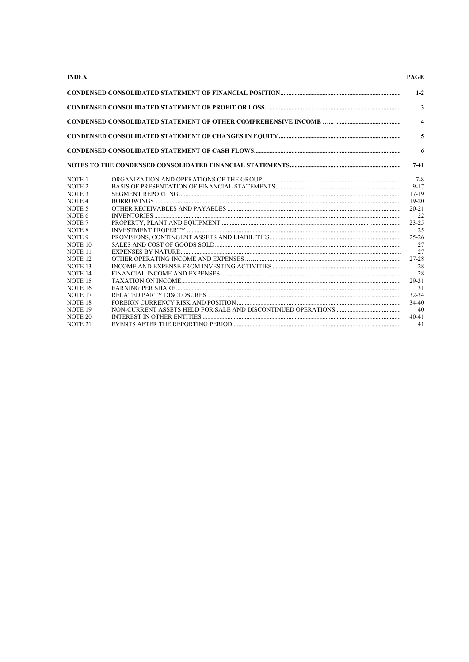| <b>INDEX</b>       | <b>PAGE</b>             |
|--------------------|-------------------------|
|                    | $1 - 2$                 |
|                    | $\overline{3}$          |
|                    | $\overline{\mathbf{4}}$ |
|                    | 5                       |
|                    | 6                       |
|                    | $7-41$                  |
| NOTE <sub>1</sub>  | $7 - 8$                 |
| NOTE <sub>2</sub>  | $9 - 17$                |
| NOTE <sub>3</sub>  | $17 - 19$               |
| NOTE <sub>4</sub>  | $19-20$                 |
| NOTE <sub>5</sub>  | $20 - 21$               |
| NOTE 6             | 22                      |
| NOTE <sub>7</sub>  | $23 - 25$               |
| NOTE 8             | 25                      |
| NOTE <sub>9</sub>  | $25 - 26$               |
| NOTE <sub>10</sub> | 27                      |
| NOTE <sub>11</sub> | 27                      |
| NOTE <sub>12</sub> | 27-28                   |
| NOTE <sub>13</sub> | 28                      |
| NOTE <sub>14</sub> | 28                      |
| NOTE <sub>15</sub> | 29-31                   |
| NOTE <sub>16</sub> | 31                      |
| NOTE <sub>17</sub> | 32-34                   |
| NOTE <sub>18</sub> | $34-40$                 |
| NOTE <sub>19</sub> | 40                      |
| NOTE <sub>20</sub> | $40 - 41$               |
| NOTE <sub>21</sub> | 41                      |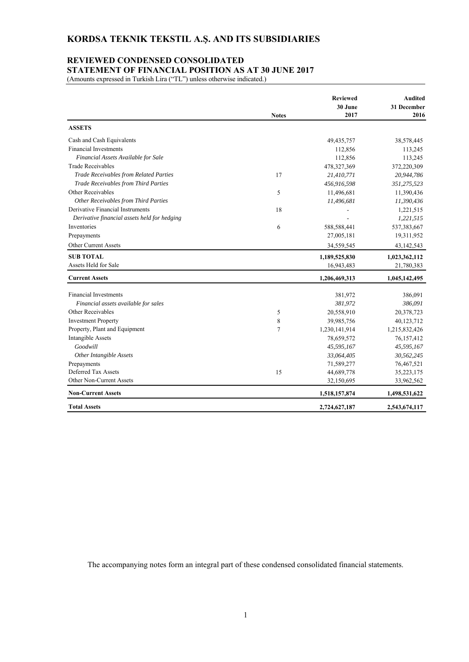#### **REVIEWED CONDENSED CONSOLIDATED STATEMENT OF FINANCIAL POSITION AS AT 30 JUNE 2017**

(Amounts expressed in Turkish Lira ("TL") unless otherwise indicated.)

|                                              | <b>Notes</b> | <b>Reviewed</b><br>30 June<br>2017 | <b>Audited</b><br>31 December<br>2016 |
|----------------------------------------------|--------------|------------------------------------|---------------------------------------|
| <b>ASSETS</b>                                |              |                                    |                                       |
| Cash and Cash Equivalents                    |              | 49, 435, 757                       | 38,578,445                            |
| <b>Financial Investments</b>                 |              | 112,856                            | 113,245                               |
| Financial Assets Available for Sale          |              | 112,856                            | 113,245                               |
| <b>Trade Receivables</b>                     |              | 478,327,369                        | 372,220,309                           |
| Trade Receivables from Related Parties       | 17           | 21,410,771                         | 20,944,786                            |
| Trade Receivables from Third Parties         |              | 456,916,598                        | 351,275,523                           |
| Other Receivables                            | 5            | 11,496,681                         | 11,390,436                            |
| Other Receivables from Third Parties         |              | 11,496,681                         | 11,390,436                            |
| Derivative Financial Instruments             | 18           |                                    | 1,221,515                             |
| Derivative financial assets held for hedging |              |                                    | 1,221,515                             |
| Inventories                                  | 6            | 588,588,441                        | 537, 383, 667                         |
| Prepayments                                  |              | 27,005,181                         | 19,311,952                            |
| Other Current Assets                         |              | 34,559,545                         | 43,142,543                            |
| <b>SUB TOTAL</b>                             |              | 1,189,525,830                      | 1,023,362,112                         |
| Assets Held for Sale                         |              | 16,943,483                         | 21,780,383                            |
| <b>Current Assets</b>                        |              | 1,206,469,313                      | 1,045,142,495                         |
| <b>Financial Investments</b>                 |              | 381,972                            | 386,091                               |
| Financial assets available for sales         |              | 381,972                            | 386,091                               |
| Other Receivables                            | 5            | 20,558,910                         | 20,378,723                            |
| <b>Investment Property</b>                   | 8            | 39,985,756                         | 40,123,712                            |
| Property, Plant and Equipment                | 7            | 1,230,141,914                      | 1,215,832,426                         |
| Intangible Assets                            |              | 78,659,572                         | 76,157,412                            |
| Goodwill                                     |              | 45,595,167                         | 45,595,167                            |
| Other Intangible Assets                      |              | 33,064,405                         | 30,562,245                            |
| Prepayments                                  |              | 71,589,277                         | 76,467,521                            |
| Deferred Tax Assets                          | 15           | 44,689,778                         | 35,223,175                            |
| Other Non-Current Assets                     |              | 32,150,695                         | 33,962,562                            |
| <b>Non-Current Assets</b>                    |              | 1,518,157,874                      | 1,498,531,622                         |
| <b>Total Assets</b>                          |              | 2,724,627,187                      | 2,543,674,117                         |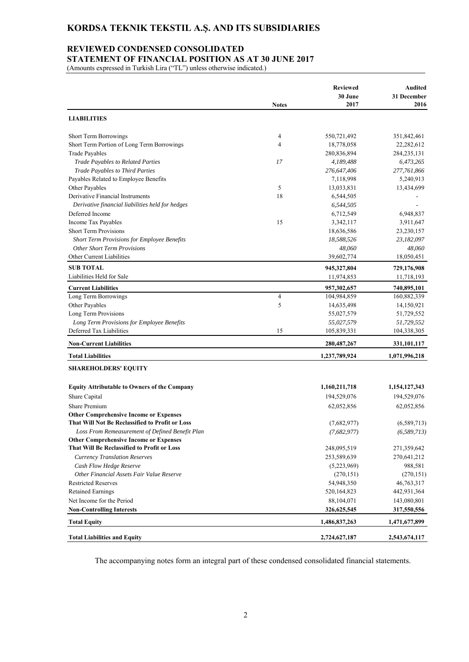# **KORDSA TEKNIK TEKSTIL A.Ş. AND ITS SUBSIDIARIES**

#### **REVIEWED CONDENSED CONSOLIDATED**

**STATEMENT OF FINANCIAL POSITION AS AT 30 JUNE 2017** 

(Amounts expressed in Turkish Lira ("TL") unless otherwise indicated.)

|                                                     |                | <b>Reviewed</b> | Audited       |
|-----------------------------------------------------|----------------|-----------------|---------------|
|                                                     |                | 30 June         | 31 December   |
|                                                     | <b>Notes</b>   | 2017            | 2016          |
| <b>LIABILITIES</b>                                  |                |                 |               |
| <b>Short Term Borrowings</b>                        | 4              | 550,721,492     | 351,842,461   |
| Short Term Portion of Long Term Borrowings          | 4              | 18,778,058      | 22,282,612    |
| <b>Trade Payables</b>                               |                | 280,836,894     | 284, 235, 131 |
| Trade Payables to Related Parties                   | 17             | 4,189,488       | 6,473,265     |
| Trade Payables to Third Parties                     |                | 276,647,406     | 277,761,866   |
| Payables Related to Employee Benefits               |                | 7,118,998       | 5,240,913     |
| Other Payables                                      | 5              | 13,033,831      | 13,434,699    |
| Derivative Financial Instruments                    | 18             | 6,544,505       |               |
| Derivative financial liabilities held for hedges    |                | 6,544,505       |               |
| Deferred Income                                     |                | 6,712,549       | 6,948,837     |
| Income Tax Payables                                 | 15             | 3,342,117       | 3,911,647     |
| <b>Short Term Provisions</b>                        |                | 18,636,586      | 23,230,157    |
| Short Term Provisions for Employee Benefits         |                | 18,588,526      | 23,182,097    |
| <b>Other Short Term Provisions</b>                  |                | 48,060          | 48,060        |
| Other Current Liabilities                           |                | 39,602,774      | 18,050,451    |
| <b>SUB TOTAL</b>                                    |                | 945,327,804     | 729,176,908   |
| Liabilities Held for Sale                           |                | 11,974,853      | 11,718,193    |
| <b>Current Liabilities</b>                          |                | 957,302,657     | 740,895,101   |
| Long Term Borrowings                                | $\overline{4}$ | 104,984,859     | 160,882,339   |
| Other Payables                                      | 5              | 14,635,498      | 14,150,921    |
| Long Term Provisions                                |                | 55,027,579      | 51,729,552    |
| Long Term Provisions for Employee Benefits          |                | 55,027,579      | 51,729,552    |
| Deferred Tax Liabilities                            | 15             | 105,839,331     | 104,338,305   |
| <b>Non-Current Liabilities</b>                      |                | 280, 487, 267   | 331,101,117   |
| <b>Total Liabilities</b>                            |                | 1,237,789,924   | 1,071,996,218 |
| <b>SHAREHOLDERS' EQUITY</b>                         |                |                 |               |
| <b>Equity Attributable to Owners of the Company</b> |                | 1,160,211,718   | 1,154,127,343 |
| Share Capital                                       |                | 194,529,076     | 194,529,076   |
| Share Premium                                       |                | 62,052,856      | 62,052,856    |
| <b>Other Comprehensive Income or Expenses</b>       |                |                 |               |
| That Will Not Be Reclassified to Profit or Loss     |                | (7,682,977)     | (6,589,713)   |
| Loss From Remeasurement of Defined Benefit Plan     |                | (7,682,977)     | (6, 589, 713) |
| <b>Other Comprehensive Income or Expenses</b>       |                |                 |               |
| That Will Be Reclassified to Profit or Loss         |                | 248,095,519     | 271,359,642   |
| <b>Currency Translation Reserves</b>                |                | 253,589,639     | 270,641,212   |
| Cash Flow Hedge Reserve                             |                | (5,223,969)     | 988,581       |
| Other Financial Assets Fair Value Reserve           |                | (270, 151)      | (270, 151)    |
| <b>Restricted Reserves</b>                          |                | 54,948,350      | 46, 763, 317  |
| <b>Retained Earnings</b>                            |                | 520,164,823     | 442,931,364   |
| Net Income for the Period                           |                | 88,104,071      | 143,080,801   |
| <b>Non-Controlling Interests</b>                    |                | 326,625,545     | 317,550,556   |
| <b>Total Equity</b>                                 |                | 1,486,837,263   | 1,471,677,899 |
| <b>Total Liabilities and Equity</b>                 |                | 2,724,627,187   | 2,543,674,117 |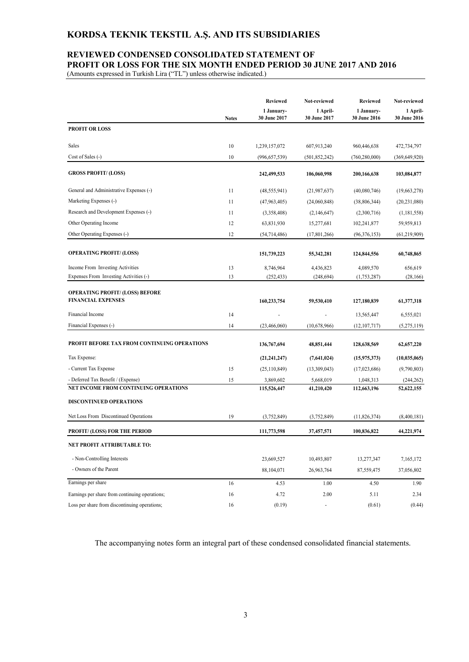# **KORDSA TEKNIK TEKSTIL A.Ş. AND ITS SUBSIDIARIES**

## **REVIEWED CONDENSED CONSOLIDATED STATEMENT OF PROFIT OR LOSS FOR THE SIX MONTH ENDED PERIOD 30 JUNE 2017 AND 2016**

(Amounts expressed in Turkish Lira ("TL") unless otherwise indicated.)

|                                                |              | <b>Reviewed</b>            | Not-reviewed             | <b>Reviewed</b>            | Not-reviewed             |
|------------------------------------------------|--------------|----------------------------|--------------------------|----------------------------|--------------------------|
|                                                | <b>Notes</b> | 1 January-<br>30 June 2017 | 1 April-<br>30 June 2017 | 1 January-<br>30 June 2016 | 1 April-<br>30 June 2016 |
| <b>PROFIT OR LOSS</b>                          |              |                            |                          |                            |                          |
| Sales                                          | 10           | 1,239,157,072              | 607,913,240              | 960,446,638                | 472,734,797              |
| Cost of Sales (-)                              | 10           | (996, 657, 539)            | (501, 852, 242)          | (760, 280, 000)            | (369, 649, 920)          |
| <b>GROSS PROFIT/ (LOSS)</b>                    |              | 242,499,533                | 106,060,998              | 200,166,638                | 103,084,877              |
| General and Administrative Expenses (-)        | 11           | (48, 555, 941)             | (21, 987, 637)           | (40,080,746)               | (19,663,278)             |
| Marketing Expenses (-)                         | 11           | (47, 963, 405)             | (24,060,848)             | (38,806,344)               | (20, 231, 080)           |
| Research and Development Expenses (-)          | 11           | (3,358,408)                | (2,146,647)              | (2,300,716)                | (1,181,558)              |
| Other Operating Income                         | 12           | 63,831,930                 | 15,277,681               | 102,241,877                | 59,959,813               |
| Other Operating Expenses (-)                   | 12           | (54, 714, 486)             | (17, 801, 266)           | (96, 376, 153)             | (61, 219, 909)           |
| <b>OPERATING PROFIT/ (LOSS)</b>                |              | 151,739,223                | 55,342,281               | 124,844,556                | 60,748,865               |
| Income From Investing Activities               | 13           | 8,746,964                  | 4,436,823                | 4,089,570                  | 656,619                  |
| Expenses From Investing Activities (-)         | 13           | (252, 433)                 | (248, 694)               | (1,753,287)                | (28, 166)                |
| <b>OPERATING PROFIT/ (LOSS) BEFORE</b>         |              |                            |                          |                            |                          |
| <b>FINANCIAL EXPENSES</b>                      |              | 160,233,754                | 59,530,410               | 127,180,839                | 61,377,318               |
| Financial Income                               | 14           |                            |                          | 13,565,447                 | 6,555,021                |
| Financial Expenses (-)                         | 14           | (23, 466, 060)             | (10,678,966)             | (12, 107, 717)             | (5,275,119)              |
| PROFIT BEFORE TAX FROM CONTINUING OPERATIONS   |              | 136,767,694                | 48,851,444               | 128,638,569                | 62,657,220               |
| Tax Expense:                                   |              | (21, 241, 247)             | (7,641,024)              | (15, 975, 373)             | (10, 035, 065)           |
| - Current Tax Expense                          | 15           | (25,110,849)               | (13,309,043)             | (17,023,686)               | (9,790,803)              |
| - Deferred Tax Benefit / (Expense)             | 15           | 3,869,602                  | 5,668,019                | 1,048,313                  | (244, 262)               |
| NET INCOME FROM CONTINUING OPERATIONS          |              | 115,526,447                | 41,210,420               | 112,663,196                | 52,622,155               |
| <b>DISCONTINUED OPERATIONS</b>                 |              |                            |                          |                            |                          |
| Net Loss From Discontinued Operations          | 19           | (3,752,849)                | (3,752,849)              | (11,826,374)               | (8,400,181)              |
| <b>PROFIT/ (LOSS) FOR THE PERIOD</b>           |              | 111,773,598                | 37,457,571               | 100,836,822                | 44,221,974               |
| NET PROFIT ATTRIBUTABLE TO:                    |              |                            |                          |                            |                          |
| - Non-Controlling Interests                    |              | 23,669,527                 | 10,493,807               | 13,277,347                 | 7,165,172                |
| - Owners of the Parent                         |              | 88,104,071                 | 26,963,764               | 87,559,475                 | 37,056,802               |
| Earnings per share                             | 16           | 4.53                       | 1.00                     | 4.50                       | 1.90                     |
| Earnings per share from continuing operations; | 16           | 4.72                       | 2.00                     | 5.11                       | 2.34                     |
| Loss per share from discontinuing operations;  | 16           | (0.19)                     | $\blacksquare$           | (0.61)                     | (0.44)                   |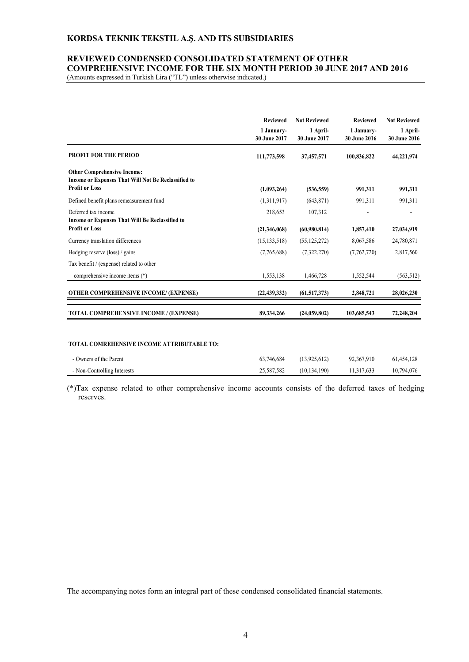#### **KORDSA TEKNIK TEKSTIL A.Ş. AND ITS SUBSIDIARIES**

## **REVIEWED CONDENSED CONSOLIDATED STATEMENT OF OTHER COMPREHENSIVE INCOME FOR THE SIX MONTH PERIOD 30 JUNE 2017 AND 2016**

(Amounts expressed in Turkish Lira ("TL") unless otherwise indicated.)

|                                                                                                                    | <b>Reviewed</b><br>1 January-<br>30 June 2017 | <b>Not Reviewed</b><br>1 April-<br>30 June 2017 | <b>Reviewed</b><br>1 January-<br>30 June 2016 | <b>Not Reviewed</b><br>1 April-<br>30 June 2016 |
|--------------------------------------------------------------------------------------------------------------------|-----------------------------------------------|-------------------------------------------------|-----------------------------------------------|-------------------------------------------------|
| <b>PROFIT FOR THE PERIOD</b>                                                                                       | 111,773,598                                   | 37,457,571                                      | 100,836,822                                   | 44,221,974                                      |
| <b>Other Comprehensive Income:</b><br>Income or Expenses That Will Not Be Reclassified to<br><b>Profit or Loss</b> | (1,093,264)                                   | (536, 559)                                      | 991.311                                       | 991,311                                         |
| Defined benefit plans remeasurement fund                                                                           | (1,311,917)                                   | (643, 871)                                      | 991,311                                       | 991,311                                         |
| Deferred tax income<br>Income or Expenses That Will Be Reclassified to<br><b>Profit or Loss</b>                    | 218,653                                       | 107,312                                         |                                               |                                                 |
|                                                                                                                    | (21,346,068)                                  | (60,980,814)                                    | 1,857,410                                     | 27,034,919                                      |
| Currency translation differences                                                                                   | (15, 133, 518)                                | (55, 125, 272)                                  | 8,067,586                                     | 24,780,871                                      |
| Hedging reserve (loss) / gains                                                                                     | (7,765,688)                                   | (7,322,270)                                     | (7,762,720)                                   | 2,817,560                                       |
| Tax benefit / (expense) related to other                                                                           |                                               |                                                 |                                               |                                                 |
| comprehensive income items (*)                                                                                     | 1,553,138                                     | 1,466,728                                       | 1,552,544                                     | (563, 512)                                      |
| <b>OTHER COMPREHENSIVE INCOME/ (EXPENSE)</b>                                                                       | (22, 439, 332)                                | (61,517,373)                                    | 2,848,721                                     | 28,026,230                                      |
| TOTAL COMPREHENSIVE INCOME / (EXPENSE)                                                                             | 89,334,266                                    | (24,059,802)                                    | 103,685,543                                   | 72,248,204                                      |

#### **TOTAL COMREHENSIVE INCOME ATTRIBUTABLE TO:**

| - Owners of the Parent      | 63,746,684 | (13.925.612)   | 92,367,910 | 61,454,128 |
|-----------------------------|------------|----------------|------------|------------|
| - Non-Controlling Interests | 25,587,582 | (10, 134, 190) | 11.317.633 | 10,794,076 |

(\*)Tax expense related to other comprehensive income accounts consists of the deferred taxes of hedging reserves.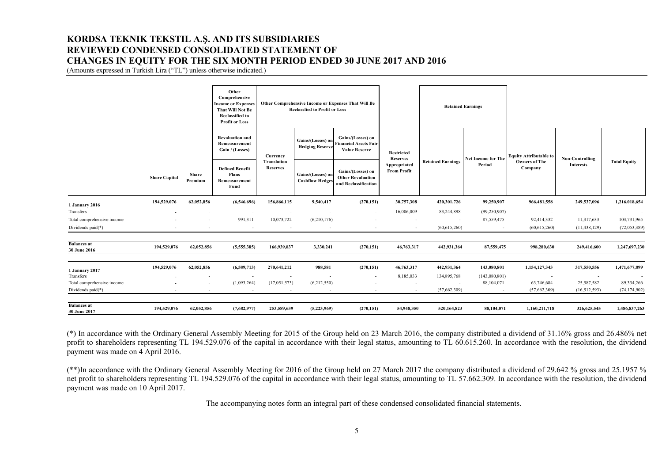## **KORDSA TEKNIK TEKSTIL A.Ş. AND ITS SUBSIDIARIES REVIEWED CONDENSED CONSOLIDATED STATEMENT OF CHANGES IN EQUITY FOR THE SIX MONTH PERIOD ENDED 30 JUNE 2017 AND 2016**

(Amounts expressed in Turkish Lira ("TL") unless otherwise indicated.)

|                                                 |                      |                                            | Other<br>Comprehensive<br><b>Income or Expenses</b><br><b>That Will Not Be</b><br><b>Reclassified to</b><br><b>Profit or Loss</b> |                                                          | <b>Reclassfied to Profit or Loss</b>        | Other Comprehensive Income or Expenses That Will Be                       |                                                                       |                                                       | <b>Retained Earnings</b> |                               |                                 |                                     |
|-------------------------------------------------|----------------------|--------------------------------------------|-----------------------------------------------------------------------------------------------------------------------------------|----------------------------------------------------------|---------------------------------------------|---------------------------------------------------------------------------|-----------------------------------------------------------------------|-------------------------------------------------------|--------------------------|-------------------------------|---------------------------------|-------------------------------------|
|                                                 | <b>Share Capital</b> |                                            | <b>Revaluation and</b><br>Remeasurement<br>Gain / (Losses)                                                                        | Currency                                                 | Gains/(Losses) on<br><b>Hedging Reserve</b> | Gains/(Losses) on<br><b>Financial Assets Fair</b><br><b>Value Reserve</b> | <b>Restricted</b>                                                     |                                                       |                          | <b>Equity Attributable to</b> |                                 |                                     |
|                                                 |                      | Share                                      | Premium                                                                                                                           | <b>Defined Benefit</b><br>Plans<br>Remeasurement<br>Fund | <b>Translation</b><br><b>Reserves</b>       | Gains/(Losses) on<br><b>Cashflow Hedges</b>                               | Gains/(Losses) on<br><b>Other Revaluation</b><br>and Reclassification | <b>Reserves</b><br>Appropriated<br><b>From Profit</b> | <b>Retained Earnings</b> | Net Income for The<br>Period  | <b>Owners of The</b><br>Company | Non-Controlling<br><b>Interests</b> |
| 1 January 2016                                  | 194,529,076          | 62,052,856                                 | (6,546,696)                                                                                                                       | 156,866,115                                              | 9,540,417                                   | (270, 151)                                                                | 30,757,308                                                            | 420,301,726                                           | 99,250,907               | 966,481,558                   | 249,537,096                     | 1,216,018,654                       |
| Transfers                                       |                      |                                            |                                                                                                                                   |                                                          | $\overline{\phantom{a}}$                    | $\overline{\phantom{a}}$                                                  | 16,006,009                                                            | 83,244,898                                            | (99,250,907)             | $\sim$                        |                                 | $\sim$                              |
| Total comprehensive income                      |                      | $\overline{\phantom{a}}$                   | 991,311                                                                                                                           | 10,073,722                                               | (6,210,176)                                 |                                                                           | $\sim$                                                                | $\sim$                                                | 87,559,475               | 92,414,332                    | 11,317,633                      | 103,731,965                         |
| Dividends paid(*)                               |                      |                                            | $\sim$                                                                                                                            | $\sim$                                                   | $\overline{\phantom{a}}$                    |                                                                           | $\overline{\phantom{a}}$                                              | (60, 615, 260)                                        | $\sim$                   | (60,615,260)                  | (11, 438, 129)                  | (72,053,389)                        |
| <b>Balances</b> at<br>30 June 2016              | 194,529,076          | 62,052,856                                 | (5,555,385)                                                                                                                       | 166,939,837                                              | 3,330,241                                   | (270, 151)                                                                | 46,763,317                                                            | 442,931,364                                           | 87,559,475               | 998,280,630                   | 249,416,600                     | 1,247,697,230                       |
| 1 January 2017                                  | 194,529,076          | 62,052,856                                 | (6,589,713)                                                                                                                       | 270,641,212                                              | 988,581                                     | (270, 151)                                                                | 46,763,317                                                            | 442,931,364                                           | 143,080,801              | 1,154,127,343                 | 317,550,556                     | 1,471,677,899                       |
| Transfers                                       |                      | $\overline{\phantom{a}}$                   | $\overline{\phantom{a}}$                                                                                                          |                                                          |                                             |                                                                           | 8,185,033                                                             | 134,895,768                                           | (143,080,801)            |                               |                                 |                                     |
| Total comprehensive income<br>Dividends paid(*) |                      | $\overline{\phantom{a}}$<br>$\overline{a}$ | (1,093,264)<br>$\sim$                                                                                                             | (17,051,573)<br>$\sim$                                   | (6,212,550)<br>$\sim$                       |                                                                           | $\overline{\phantom{a}}$<br>$\overline{\phantom{a}}$                  | $\sim$<br>(57,662,309)                                | 88,104,071<br>$\sim$     | 63,746,684<br>(57,662,309)    | 25,587,582<br>(16,512,593)      | 89,334,266<br>(74, 174, 902)        |
| <b>Balances</b> at<br>30 June 2017              | 194,529,076          | 62,052,856                                 | (7,682,977)                                                                                                                       | 253,589,639                                              | (5,223,969)                                 | (270, 151)                                                                | 54,948,350                                                            | 520,164,823                                           | 88,104,071               | 1,160,211,718                 | 326,625,545                     | 1,486,837,263                       |

(\*) In accordance with the Ordinary General Assembly Meeting for 2015 of the Group held on 23 March 2016, the company distributed a dividend of 31.16% gross and 26.486% net profit to shareholders representing TL 194.529.076 of the capital in accordance with their legal status, amounting to TL 60.615.260. In accordance with the resolution, the dividend payment was made on 4 April 2016.

(\*\*)In accordance with the Ordinary General Assembly Meeting for 2016 of the Group held on 27 March 2017 the company distributed a dividend of 29.642 % gross and 25.1957 % net profit to shareholders representing TL 194.529.076 of the capital in accordance with their legal status, amounting to TL 57.662.309. In accordance with the resolution, the dividend payment was made on 10 April 2017.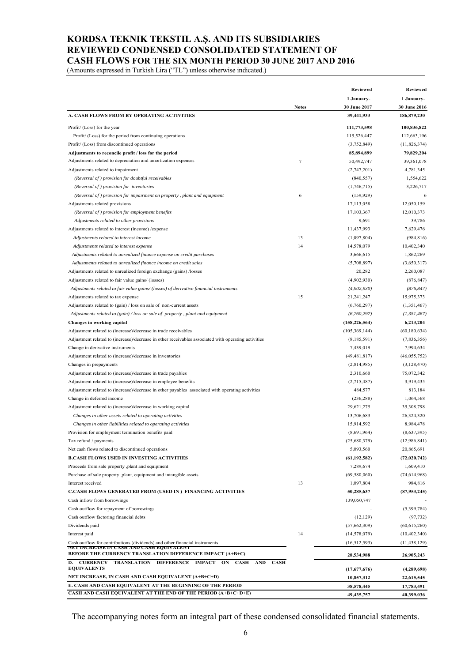## **KORDSA TEKNIK TEKSTIL A.Ş. AND ITS SUBSIDIARIES REVIEWED CONDENSED CONSOLIDATED STATEMENT OF CASH FLOWS FOR THE SIX MONTH PERIOD 30 JUNE 2017 AND 2016**

(Amounts expressed in Turkish Lira ("TL") unless otherwise indicated.)

| 1 January-<br>1 January-<br><b>Notes</b><br>30 June 2017<br>A. CASH FLOWS FROM BY OPERATING ACTIVITIES<br>39,441,933<br>186,879,230<br>Profit/ (Loss) for the year<br>111,773,598<br>115,526,447<br>Profit/ (Loss) for the period from continuing operations<br>Profit/ (Loss) from discontinued operations<br>(3,752,849)<br>79,829,204<br>Adjustments to reconcile profit / loss for the period<br>85,894,899<br>Adjustments related to depreciation and amortization expenses<br>$\tau$<br>50,492,747<br>4,781,345<br>Adjustments related to impairment<br>(2,747,201)<br>(Reversal of) provision for doubtful receivables<br>(840, 557)<br>(Reversal of) provision for inventories<br>(1,746,715)<br>3,226,717<br>6<br>(Reversal of) provision for impairment on property, plant and equipment<br>(159, 929)<br>6<br>12,050,159<br>Adjustments related provisions<br>17,113,058<br>12,010,373<br>(Reversal of) provision for employment benefits<br>17, 103, 367<br>9,691<br>39,786<br>Adjustments related to other provisions<br>11,437,993<br>7,629,476<br>Adjustments related to interest (income) / expense<br>13<br>(984, 816)<br>Adjustments related to interest income<br>(1,097,804)<br>14<br>10,402,340<br>Adjustments related to interest expense<br>14,578,079<br>1,862,269<br>Adjustments related to unrealized finance expense on credit purchases<br>3,666,615<br>(5,708,897)<br>(3,650,317)<br>Adjustments related to unrealized finance income on credit sales<br>20,282<br>2,260,087<br>Adjustments related to unrealized foreign exchange (gains) /losses<br>(4,902,930)<br>Adjustments related to fair value gains/ (losses)<br>(876, 847)<br>Adjustments related to fair value gains/(losses) of derivative financial instruments<br>(4,902,930)<br>(876, 847)<br>15<br>15,975,373<br>Adjustments related to tax expense<br>21,241,247<br>Adjustments related to (gain) / loss on sale of non-current assets<br>(1,351,467)<br>(6,760,297)<br>Adjustments related to (gain) / loss on sale of property, plant and equipment<br>(6,760,297)<br>(1, 351, 467)<br>Changes in working capital<br>(158, 226, 564)<br>6,213,204<br>(60, 180, 634)<br>Adjustment related to (increase)/decrease in trade receivables<br>(105, 369, 144)<br>Adjustment related to (increase)/decrease in other receivables associated with operating activities<br>(8,185,591)<br>(7,836,356)<br>7,439,019<br>7,994,634<br>Change in derivative instruments<br>(49, 481, 817)<br>(46, 055, 752)<br>Adjustment related to (increase)/decrease in inventories<br>(3,128,470)<br>Changes in prepayments<br>(2,814,985)<br>75,072,342<br>Adjustment related to (increase)/decrease in trade payables<br>2,310,660<br>3,919,435<br>Adjustment related to (increase)/decrease in employee benefits<br>(2,715,487)<br>813,184<br>Adjustment related to (increase)/decrease in other payables associated with operating activities<br>484,577<br>1,064,568<br>Change in deferred income<br>(236, 288)<br>29,621,275<br>35,308,798<br>Adjustment related to (increase)/decrease in working capital<br>13,706,683<br>26,324,320<br>Changes in other assets related to operating activities<br>15,914,592<br>8,984,478<br>Changes in other liabilities related to operating activities<br>(8,637,395)<br>Provision for employment termination benefits paid<br>(8,691,964)<br>Tax refund / payments<br>(25,680,379)<br>(12,986,841)<br>5,093,560<br>20,865,691<br>Net cash flows related to discontinued operations<br><b>B.CASH FLOWS USED IN INVESTING ACTIVITIES</b><br>(61, 192, 582)<br>7,289,674<br>1,609,410<br>Proceeds from sale property ,plant and equipment<br>Purchase of sale property ,plant, equipment and intangible assets<br>(69,580,060)<br>Interest received<br>13<br>1,097,804<br>984,816<br><b>C.CASH FLOWS GENERATED FROM (USED IN) FINANCING ACTIVITIES</b><br>50,285,637<br>139,050,747<br>Cash inflow from borrowings<br>Cash outflow for repayment of borrowings<br>Cash outflow factoring financial debts<br>(12, 129)<br>Dividends paid<br>(57,662,309)<br>14<br>Interest paid<br>(14, 578, 079)<br>Cash outflow for contributions (dividends) and other financial instruments<br>(16, 512, 593)<br>(11, 438, 129)<br>NET INCREASE IN CASH AND CASH EQUIVALENT<br><b>BEFORE THE CURRENCY TRANSLATION DIFFERENCE IMPACT (A+B+C)</b><br>28,534,988<br>26,905,243<br><b>D. CURRENCY</b><br>TRANSLATION DIFFERENCE IMPACT ON CASH AND<br><b>CASH</b><br><b>EQUIVALENTS</b><br>(17,677,676)<br>(4,289,698)<br>NET INCREASE, IN CASH AND CASH EQUIVALENT (A+B+C+D)<br>10,857,312<br>22,615,545<br>E. CASH AND CASH EQUIVALENT AT THE BEGINNING OF THE PERIOD<br>38,578,445<br>17,783,491<br>CASH AND CASH EQUIVALENT AT THE END OF THE PERIOD (A+B+C+D+E)<br>49, 435, 757<br>40,399,036 | Reviewed |  | <b>Reviewed</b> |  |
|------------------------------------------------------------------------------------------------------------------------------------------------------------------------------------------------------------------------------------------------------------------------------------------------------------------------------------------------------------------------------------------------------------------------------------------------------------------------------------------------------------------------------------------------------------------------------------------------------------------------------------------------------------------------------------------------------------------------------------------------------------------------------------------------------------------------------------------------------------------------------------------------------------------------------------------------------------------------------------------------------------------------------------------------------------------------------------------------------------------------------------------------------------------------------------------------------------------------------------------------------------------------------------------------------------------------------------------------------------------------------------------------------------------------------------------------------------------------------------------------------------------------------------------------------------------------------------------------------------------------------------------------------------------------------------------------------------------------------------------------------------------------------------------------------------------------------------------------------------------------------------------------------------------------------------------------------------------------------------------------------------------------------------------------------------------------------------------------------------------------------------------------------------------------------------------------------------------------------------------------------------------------------------------------------------------------------------------------------------------------------------------------------------------------------------------------------------------------------------------------------------------------------------------------------------------------------------------------------------------------------------------------------------------------------------------------------------------------------------------------------------------------------------------------------------------------------------------------------------------------------------------------------------------------------------------------------------------------------------------------------------------------------------------------------------------------------------------------------------------------------------------------------------------------------------------------------------------------------------------------------------------------------------------------------------------------------------------------------------------------------------------------------------------------------------------------------------------------------------------------------------------------------------------------------------------------------------------------------------------------------------------------------------------------------------------------------------------------------------------------------------------------------------------------------------------------------------------------------------------------------------------------------------------------------------------------------------------------------------------------------------------------------------------------------------------------------------------------------------------------------------------------------------------------------------------------------------------------------------------------------------------------------------------------------------------------------------------------------------------------------------------------------------------------------------------------------------------------------------------------------------------------------------------------------------------------------------------------------------------------------------------------------------------------------------------------------------------------------------------------------------------------------------------------------|----------|--|-----------------|--|
|                                                                                                                                                                                                                                                                                                                                                                                                                                                                                                                                                                                                                                                                                                                                                                                                                                                                                                                                                                                                                                                                                                                                                                                                                                                                                                                                                                                                                                                                                                                                                                                                                                                                                                                                                                                                                                                                                                                                                                                                                                                                                                                                                                                                                                                                                                                                                                                                                                                                                                                                                                                                                                                                                                                                                                                                                                                                                                                                                                                                                                                                                                                                                                                                                                                                                                                                                                                                                                                                                                                                                                                                                                                                                                                                                                                                                                                                                                                                                                                                                                                                                                                                                                                                                                                                                                                                                                                                                                                                                                                                                                                                                                                                                                                                                                                                      |          |  |                 |  |
|                                                                                                                                                                                                                                                                                                                                                                                                                                                                                                                                                                                                                                                                                                                                                                                                                                                                                                                                                                                                                                                                                                                                                                                                                                                                                                                                                                                                                                                                                                                                                                                                                                                                                                                                                                                                                                                                                                                                                                                                                                                                                                                                                                                                                                                                                                                                                                                                                                                                                                                                                                                                                                                                                                                                                                                                                                                                                                                                                                                                                                                                                                                                                                                                                                                                                                                                                                                                                                                                                                                                                                                                                                                                                                                                                                                                                                                                                                                                                                                                                                                                                                                                                                                                                                                                                                                                                                                                                                                                                                                                                                                                                                                                                                                                                                                                      |          |  | 30 June 2016    |  |
|                                                                                                                                                                                                                                                                                                                                                                                                                                                                                                                                                                                                                                                                                                                                                                                                                                                                                                                                                                                                                                                                                                                                                                                                                                                                                                                                                                                                                                                                                                                                                                                                                                                                                                                                                                                                                                                                                                                                                                                                                                                                                                                                                                                                                                                                                                                                                                                                                                                                                                                                                                                                                                                                                                                                                                                                                                                                                                                                                                                                                                                                                                                                                                                                                                                                                                                                                                                                                                                                                                                                                                                                                                                                                                                                                                                                                                                                                                                                                                                                                                                                                                                                                                                                                                                                                                                                                                                                                                                                                                                                                                                                                                                                                                                                                                                                      |          |  |                 |  |
|                                                                                                                                                                                                                                                                                                                                                                                                                                                                                                                                                                                                                                                                                                                                                                                                                                                                                                                                                                                                                                                                                                                                                                                                                                                                                                                                                                                                                                                                                                                                                                                                                                                                                                                                                                                                                                                                                                                                                                                                                                                                                                                                                                                                                                                                                                                                                                                                                                                                                                                                                                                                                                                                                                                                                                                                                                                                                                                                                                                                                                                                                                                                                                                                                                                                                                                                                                                                                                                                                                                                                                                                                                                                                                                                                                                                                                                                                                                                                                                                                                                                                                                                                                                                                                                                                                                                                                                                                                                                                                                                                                                                                                                                                                                                                                                                      |          |  | 100,836,822     |  |
|                                                                                                                                                                                                                                                                                                                                                                                                                                                                                                                                                                                                                                                                                                                                                                                                                                                                                                                                                                                                                                                                                                                                                                                                                                                                                                                                                                                                                                                                                                                                                                                                                                                                                                                                                                                                                                                                                                                                                                                                                                                                                                                                                                                                                                                                                                                                                                                                                                                                                                                                                                                                                                                                                                                                                                                                                                                                                                                                                                                                                                                                                                                                                                                                                                                                                                                                                                                                                                                                                                                                                                                                                                                                                                                                                                                                                                                                                                                                                                                                                                                                                                                                                                                                                                                                                                                                                                                                                                                                                                                                                                                                                                                                                                                                                                                                      |          |  | 112,663,196     |  |
|                                                                                                                                                                                                                                                                                                                                                                                                                                                                                                                                                                                                                                                                                                                                                                                                                                                                                                                                                                                                                                                                                                                                                                                                                                                                                                                                                                                                                                                                                                                                                                                                                                                                                                                                                                                                                                                                                                                                                                                                                                                                                                                                                                                                                                                                                                                                                                                                                                                                                                                                                                                                                                                                                                                                                                                                                                                                                                                                                                                                                                                                                                                                                                                                                                                                                                                                                                                                                                                                                                                                                                                                                                                                                                                                                                                                                                                                                                                                                                                                                                                                                                                                                                                                                                                                                                                                                                                                                                                                                                                                                                                                                                                                                                                                                                                                      |          |  | (11,826,374)    |  |
|                                                                                                                                                                                                                                                                                                                                                                                                                                                                                                                                                                                                                                                                                                                                                                                                                                                                                                                                                                                                                                                                                                                                                                                                                                                                                                                                                                                                                                                                                                                                                                                                                                                                                                                                                                                                                                                                                                                                                                                                                                                                                                                                                                                                                                                                                                                                                                                                                                                                                                                                                                                                                                                                                                                                                                                                                                                                                                                                                                                                                                                                                                                                                                                                                                                                                                                                                                                                                                                                                                                                                                                                                                                                                                                                                                                                                                                                                                                                                                                                                                                                                                                                                                                                                                                                                                                                                                                                                                                                                                                                                                                                                                                                                                                                                                                                      |          |  |                 |  |
|                                                                                                                                                                                                                                                                                                                                                                                                                                                                                                                                                                                                                                                                                                                                                                                                                                                                                                                                                                                                                                                                                                                                                                                                                                                                                                                                                                                                                                                                                                                                                                                                                                                                                                                                                                                                                                                                                                                                                                                                                                                                                                                                                                                                                                                                                                                                                                                                                                                                                                                                                                                                                                                                                                                                                                                                                                                                                                                                                                                                                                                                                                                                                                                                                                                                                                                                                                                                                                                                                                                                                                                                                                                                                                                                                                                                                                                                                                                                                                                                                                                                                                                                                                                                                                                                                                                                                                                                                                                                                                                                                                                                                                                                                                                                                                                                      |          |  | 39,361,078      |  |
|                                                                                                                                                                                                                                                                                                                                                                                                                                                                                                                                                                                                                                                                                                                                                                                                                                                                                                                                                                                                                                                                                                                                                                                                                                                                                                                                                                                                                                                                                                                                                                                                                                                                                                                                                                                                                                                                                                                                                                                                                                                                                                                                                                                                                                                                                                                                                                                                                                                                                                                                                                                                                                                                                                                                                                                                                                                                                                                                                                                                                                                                                                                                                                                                                                                                                                                                                                                                                                                                                                                                                                                                                                                                                                                                                                                                                                                                                                                                                                                                                                                                                                                                                                                                                                                                                                                                                                                                                                                                                                                                                                                                                                                                                                                                                                                                      |          |  |                 |  |
|                                                                                                                                                                                                                                                                                                                                                                                                                                                                                                                                                                                                                                                                                                                                                                                                                                                                                                                                                                                                                                                                                                                                                                                                                                                                                                                                                                                                                                                                                                                                                                                                                                                                                                                                                                                                                                                                                                                                                                                                                                                                                                                                                                                                                                                                                                                                                                                                                                                                                                                                                                                                                                                                                                                                                                                                                                                                                                                                                                                                                                                                                                                                                                                                                                                                                                                                                                                                                                                                                                                                                                                                                                                                                                                                                                                                                                                                                                                                                                                                                                                                                                                                                                                                                                                                                                                                                                                                                                                                                                                                                                                                                                                                                                                                                                                                      |          |  | 1,554,622       |  |
|                                                                                                                                                                                                                                                                                                                                                                                                                                                                                                                                                                                                                                                                                                                                                                                                                                                                                                                                                                                                                                                                                                                                                                                                                                                                                                                                                                                                                                                                                                                                                                                                                                                                                                                                                                                                                                                                                                                                                                                                                                                                                                                                                                                                                                                                                                                                                                                                                                                                                                                                                                                                                                                                                                                                                                                                                                                                                                                                                                                                                                                                                                                                                                                                                                                                                                                                                                                                                                                                                                                                                                                                                                                                                                                                                                                                                                                                                                                                                                                                                                                                                                                                                                                                                                                                                                                                                                                                                                                                                                                                                                                                                                                                                                                                                                                                      |          |  |                 |  |
|                                                                                                                                                                                                                                                                                                                                                                                                                                                                                                                                                                                                                                                                                                                                                                                                                                                                                                                                                                                                                                                                                                                                                                                                                                                                                                                                                                                                                                                                                                                                                                                                                                                                                                                                                                                                                                                                                                                                                                                                                                                                                                                                                                                                                                                                                                                                                                                                                                                                                                                                                                                                                                                                                                                                                                                                                                                                                                                                                                                                                                                                                                                                                                                                                                                                                                                                                                                                                                                                                                                                                                                                                                                                                                                                                                                                                                                                                                                                                                                                                                                                                                                                                                                                                                                                                                                                                                                                                                                                                                                                                                                                                                                                                                                                                                                                      |          |  |                 |  |
|                                                                                                                                                                                                                                                                                                                                                                                                                                                                                                                                                                                                                                                                                                                                                                                                                                                                                                                                                                                                                                                                                                                                                                                                                                                                                                                                                                                                                                                                                                                                                                                                                                                                                                                                                                                                                                                                                                                                                                                                                                                                                                                                                                                                                                                                                                                                                                                                                                                                                                                                                                                                                                                                                                                                                                                                                                                                                                                                                                                                                                                                                                                                                                                                                                                                                                                                                                                                                                                                                                                                                                                                                                                                                                                                                                                                                                                                                                                                                                                                                                                                                                                                                                                                                                                                                                                                                                                                                                                                                                                                                                                                                                                                                                                                                                                                      |          |  |                 |  |
|                                                                                                                                                                                                                                                                                                                                                                                                                                                                                                                                                                                                                                                                                                                                                                                                                                                                                                                                                                                                                                                                                                                                                                                                                                                                                                                                                                                                                                                                                                                                                                                                                                                                                                                                                                                                                                                                                                                                                                                                                                                                                                                                                                                                                                                                                                                                                                                                                                                                                                                                                                                                                                                                                                                                                                                                                                                                                                                                                                                                                                                                                                                                                                                                                                                                                                                                                                                                                                                                                                                                                                                                                                                                                                                                                                                                                                                                                                                                                                                                                                                                                                                                                                                                                                                                                                                                                                                                                                                                                                                                                                                                                                                                                                                                                                                                      |          |  |                 |  |
|                                                                                                                                                                                                                                                                                                                                                                                                                                                                                                                                                                                                                                                                                                                                                                                                                                                                                                                                                                                                                                                                                                                                                                                                                                                                                                                                                                                                                                                                                                                                                                                                                                                                                                                                                                                                                                                                                                                                                                                                                                                                                                                                                                                                                                                                                                                                                                                                                                                                                                                                                                                                                                                                                                                                                                                                                                                                                                                                                                                                                                                                                                                                                                                                                                                                                                                                                                                                                                                                                                                                                                                                                                                                                                                                                                                                                                                                                                                                                                                                                                                                                                                                                                                                                                                                                                                                                                                                                                                                                                                                                                                                                                                                                                                                                                                                      |          |  |                 |  |
|                                                                                                                                                                                                                                                                                                                                                                                                                                                                                                                                                                                                                                                                                                                                                                                                                                                                                                                                                                                                                                                                                                                                                                                                                                                                                                                                                                                                                                                                                                                                                                                                                                                                                                                                                                                                                                                                                                                                                                                                                                                                                                                                                                                                                                                                                                                                                                                                                                                                                                                                                                                                                                                                                                                                                                                                                                                                                                                                                                                                                                                                                                                                                                                                                                                                                                                                                                                                                                                                                                                                                                                                                                                                                                                                                                                                                                                                                                                                                                                                                                                                                                                                                                                                                                                                                                                                                                                                                                                                                                                                                                                                                                                                                                                                                                                                      |          |  |                 |  |
|                                                                                                                                                                                                                                                                                                                                                                                                                                                                                                                                                                                                                                                                                                                                                                                                                                                                                                                                                                                                                                                                                                                                                                                                                                                                                                                                                                                                                                                                                                                                                                                                                                                                                                                                                                                                                                                                                                                                                                                                                                                                                                                                                                                                                                                                                                                                                                                                                                                                                                                                                                                                                                                                                                                                                                                                                                                                                                                                                                                                                                                                                                                                                                                                                                                                                                                                                                                                                                                                                                                                                                                                                                                                                                                                                                                                                                                                                                                                                                                                                                                                                                                                                                                                                                                                                                                                                                                                                                                                                                                                                                                                                                                                                                                                                                                                      |          |  |                 |  |
|                                                                                                                                                                                                                                                                                                                                                                                                                                                                                                                                                                                                                                                                                                                                                                                                                                                                                                                                                                                                                                                                                                                                                                                                                                                                                                                                                                                                                                                                                                                                                                                                                                                                                                                                                                                                                                                                                                                                                                                                                                                                                                                                                                                                                                                                                                                                                                                                                                                                                                                                                                                                                                                                                                                                                                                                                                                                                                                                                                                                                                                                                                                                                                                                                                                                                                                                                                                                                                                                                                                                                                                                                                                                                                                                                                                                                                                                                                                                                                                                                                                                                                                                                                                                                                                                                                                                                                                                                                                                                                                                                                                                                                                                                                                                                                                                      |          |  |                 |  |
|                                                                                                                                                                                                                                                                                                                                                                                                                                                                                                                                                                                                                                                                                                                                                                                                                                                                                                                                                                                                                                                                                                                                                                                                                                                                                                                                                                                                                                                                                                                                                                                                                                                                                                                                                                                                                                                                                                                                                                                                                                                                                                                                                                                                                                                                                                                                                                                                                                                                                                                                                                                                                                                                                                                                                                                                                                                                                                                                                                                                                                                                                                                                                                                                                                                                                                                                                                                                                                                                                                                                                                                                                                                                                                                                                                                                                                                                                                                                                                                                                                                                                                                                                                                                                                                                                                                                                                                                                                                                                                                                                                                                                                                                                                                                                                                                      |          |  |                 |  |
|                                                                                                                                                                                                                                                                                                                                                                                                                                                                                                                                                                                                                                                                                                                                                                                                                                                                                                                                                                                                                                                                                                                                                                                                                                                                                                                                                                                                                                                                                                                                                                                                                                                                                                                                                                                                                                                                                                                                                                                                                                                                                                                                                                                                                                                                                                                                                                                                                                                                                                                                                                                                                                                                                                                                                                                                                                                                                                                                                                                                                                                                                                                                                                                                                                                                                                                                                                                                                                                                                                                                                                                                                                                                                                                                                                                                                                                                                                                                                                                                                                                                                                                                                                                                                                                                                                                                                                                                                                                                                                                                                                                                                                                                                                                                                                                                      |          |  |                 |  |
|                                                                                                                                                                                                                                                                                                                                                                                                                                                                                                                                                                                                                                                                                                                                                                                                                                                                                                                                                                                                                                                                                                                                                                                                                                                                                                                                                                                                                                                                                                                                                                                                                                                                                                                                                                                                                                                                                                                                                                                                                                                                                                                                                                                                                                                                                                                                                                                                                                                                                                                                                                                                                                                                                                                                                                                                                                                                                                                                                                                                                                                                                                                                                                                                                                                                                                                                                                                                                                                                                                                                                                                                                                                                                                                                                                                                                                                                                                                                                                                                                                                                                                                                                                                                                                                                                                                                                                                                                                                                                                                                                                                                                                                                                                                                                                                                      |          |  |                 |  |
|                                                                                                                                                                                                                                                                                                                                                                                                                                                                                                                                                                                                                                                                                                                                                                                                                                                                                                                                                                                                                                                                                                                                                                                                                                                                                                                                                                                                                                                                                                                                                                                                                                                                                                                                                                                                                                                                                                                                                                                                                                                                                                                                                                                                                                                                                                                                                                                                                                                                                                                                                                                                                                                                                                                                                                                                                                                                                                                                                                                                                                                                                                                                                                                                                                                                                                                                                                                                                                                                                                                                                                                                                                                                                                                                                                                                                                                                                                                                                                                                                                                                                                                                                                                                                                                                                                                                                                                                                                                                                                                                                                                                                                                                                                                                                                                                      |          |  |                 |  |
|                                                                                                                                                                                                                                                                                                                                                                                                                                                                                                                                                                                                                                                                                                                                                                                                                                                                                                                                                                                                                                                                                                                                                                                                                                                                                                                                                                                                                                                                                                                                                                                                                                                                                                                                                                                                                                                                                                                                                                                                                                                                                                                                                                                                                                                                                                                                                                                                                                                                                                                                                                                                                                                                                                                                                                                                                                                                                                                                                                                                                                                                                                                                                                                                                                                                                                                                                                                                                                                                                                                                                                                                                                                                                                                                                                                                                                                                                                                                                                                                                                                                                                                                                                                                                                                                                                                                                                                                                                                                                                                                                                                                                                                                                                                                                                                                      |          |  |                 |  |
|                                                                                                                                                                                                                                                                                                                                                                                                                                                                                                                                                                                                                                                                                                                                                                                                                                                                                                                                                                                                                                                                                                                                                                                                                                                                                                                                                                                                                                                                                                                                                                                                                                                                                                                                                                                                                                                                                                                                                                                                                                                                                                                                                                                                                                                                                                                                                                                                                                                                                                                                                                                                                                                                                                                                                                                                                                                                                                                                                                                                                                                                                                                                                                                                                                                                                                                                                                                                                                                                                                                                                                                                                                                                                                                                                                                                                                                                                                                                                                                                                                                                                                                                                                                                                                                                                                                                                                                                                                                                                                                                                                                                                                                                                                                                                                                                      |          |  |                 |  |
|                                                                                                                                                                                                                                                                                                                                                                                                                                                                                                                                                                                                                                                                                                                                                                                                                                                                                                                                                                                                                                                                                                                                                                                                                                                                                                                                                                                                                                                                                                                                                                                                                                                                                                                                                                                                                                                                                                                                                                                                                                                                                                                                                                                                                                                                                                                                                                                                                                                                                                                                                                                                                                                                                                                                                                                                                                                                                                                                                                                                                                                                                                                                                                                                                                                                                                                                                                                                                                                                                                                                                                                                                                                                                                                                                                                                                                                                                                                                                                                                                                                                                                                                                                                                                                                                                                                                                                                                                                                                                                                                                                                                                                                                                                                                                                                                      |          |  |                 |  |
|                                                                                                                                                                                                                                                                                                                                                                                                                                                                                                                                                                                                                                                                                                                                                                                                                                                                                                                                                                                                                                                                                                                                                                                                                                                                                                                                                                                                                                                                                                                                                                                                                                                                                                                                                                                                                                                                                                                                                                                                                                                                                                                                                                                                                                                                                                                                                                                                                                                                                                                                                                                                                                                                                                                                                                                                                                                                                                                                                                                                                                                                                                                                                                                                                                                                                                                                                                                                                                                                                                                                                                                                                                                                                                                                                                                                                                                                                                                                                                                                                                                                                                                                                                                                                                                                                                                                                                                                                                                                                                                                                                                                                                                                                                                                                                                                      |          |  |                 |  |
|                                                                                                                                                                                                                                                                                                                                                                                                                                                                                                                                                                                                                                                                                                                                                                                                                                                                                                                                                                                                                                                                                                                                                                                                                                                                                                                                                                                                                                                                                                                                                                                                                                                                                                                                                                                                                                                                                                                                                                                                                                                                                                                                                                                                                                                                                                                                                                                                                                                                                                                                                                                                                                                                                                                                                                                                                                                                                                                                                                                                                                                                                                                                                                                                                                                                                                                                                                                                                                                                                                                                                                                                                                                                                                                                                                                                                                                                                                                                                                                                                                                                                                                                                                                                                                                                                                                                                                                                                                                                                                                                                                                                                                                                                                                                                                                                      |          |  |                 |  |
|                                                                                                                                                                                                                                                                                                                                                                                                                                                                                                                                                                                                                                                                                                                                                                                                                                                                                                                                                                                                                                                                                                                                                                                                                                                                                                                                                                                                                                                                                                                                                                                                                                                                                                                                                                                                                                                                                                                                                                                                                                                                                                                                                                                                                                                                                                                                                                                                                                                                                                                                                                                                                                                                                                                                                                                                                                                                                                                                                                                                                                                                                                                                                                                                                                                                                                                                                                                                                                                                                                                                                                                                                                                                                                                                                                                                                                                                                                                                                                                                                                                                                                                                                                                                                                                                                                                                                                                                                                                                                                                                                                                                                                                                                                                                                                                                      |          |  |                 |  |
|                                                                                                                                                                                                                                                                                                                                                                                                                                                                                                                                                                                                                                                                                                                                                                                                                                                                                                                                                                                                                                                                                                                                                                                                                                                                                                                                                                                                                                                                                                                                                                                                                                                                                                                                                                                                                                                                                                                                                                                                                                                                                                                                                                                                                                                                                                                                                                                                                                                                                                                                                                                                                                                                                                                                                                                                                                                                                                                                                                                                                                                                                                                                                                                                                                                                                                                                                                                                                                                                                                                                                                                                                                                                                                                                                                                                                                                                                                                                                                                                                                                                                                                                                                                                                                                                                                                                                                                                                                                                                                                                                                                                                                                                                                                                                                                                      |          |  |                 |  |
|                                                                                                                                                                                                                                                                                                                                                                                                                                                                                                                                                                                                                                                                                                                                                                                                                                                                                                                                                                                                                                                                                                                                                                                                                                                                                                                                                                                                                                                                                                                                                                                                                                                                                                                                                                                                                                                                                                                                                                                                                                                                                                                                                                                                                                                                                                                                                                                                                                                                                                                                                                                                                                                                                                                                                                                                                                                                                                                                                                                                                                                                                                                                                                                                                                                                                                                                                                                                                                                                                                                                                                                                                                                                                                                                                                                                                                                                                                                                                                                                                                                                                                                                                                                                                                                                                                                                                                                                                                                                                                                                                                                                                                                                                                                                                                                                      |          |  |                 |  |
|                                                                                                                                                                                                                                                                                                                                                                                                                                                                                                                                                                                                                                                                                                                                                                                                                                                                                                                                                                                                                                                                                                                                                                                                                                                                                                                                                                                                                                                                                                                                                                                                                                                                                                                                                                                                                                                                                                                                                                                                                                                                                                                                                                                                                                                                                                                                                                                                                                                                                                                                                                                                                                                                                                                                                                                                                                                                                                                                                                                                                                                                                                                                                                                                                                                                                                                                                                                                                                                                                                                                                                                                                                                                                                                                                                                                                                                                                                                                                                                                                                                                                                                                                                                                                                                                                                                                                                                                                                                                                                                                                                                                                                                                                                                                                                                                      |          |  |                 |  |
|                                                                                                                                                                                                                                                                                                                                                                                                                                                                                                                                                                                                                                                                                                                                                                                                                                                                                                                                                                                                                                                                                                                                                                                                                                                                                                                                                                                                                                                                                                                                                                                                                                                                                                                                                                                                                                                                                                                                                                                                                                                                                                                                                                                                                                                                                                                                                                                                                                                                                                                                                                                                                                                                                                                                                                                                                                                                                                                                                                                                                                                                                                                                                                                                                                                                                                                                                                                                                                                                                                                                                                                                                                                                                                                                                                                                                                                                                                                                                                                                                                                                                                                                                                                                                                                                                                                                                                                                                                                                                                                                                                                                                                                                                                                                                                                                      |          |  |                 |  |
|                                                                                                                                                                                                                                                                                                                                                                                                                                                                                                                                                                                                                                                                                                                                                                                                                                                                                                                                                                                                                                                                                                                                                                                                                                                                                                                                                                                                                                                                                                                                                                                                                                                                                                                                                                                                                                                                                                                                                                                                                                                                                                                                                                                                                                                                                                                                                                                                                                                                                                                                                                                                                                                                                                                                                                                                                                                                                                                                                                                                                                                                                                                                                                                                                                                                                                                                                                                                                                                                                                                                                                                                                                                                                                                                                                                                                                                                                                                                                                                                                                                                                                                                                                                                                                                                                                                                                                                                                                                                                                                                                                                                                                                                                                                                                                                                      |          |  |                 |  |
|                                                                                                                                                                                                                                                                                                                                                                                                                                                                                                                                                                                                                                                                                                                                                                                                                                                                                                                                                                                                                                                                                                                                                                                                                                                                                                                                                                                                                                                                                                                                                                                                                                                                                                                                                                                                                                                                                                                                                                                                                                                                                                                                                                                                                                                                                                                                                                                                                                                                                                                                                                                                                                                                                                                                                                                                                                                                                                                                                                                                                                                                                                                                                                                                                                                                                                                                                                                                                                                                                                                                                                                                                                                                                                                                                                                                                                                                                                                                                                                                                                                                                                                                                                                                                                                                                                                                                                                                                                                                                                                                                                                                                                                                                                                                                                                                      |          |  |                 |  |
|                                                                                                                                                                                                                                                                                                                                                                                                                                                                                                                                                                                                                                                                                                                                                                                                                                                                                                                                                                                                                                                                                                                                                                                                                                                                                                                                                                                                                                                                                                                                                                                                                                                                                                                                                                                                                                                                                                                                                                                                                                                                                                                                                                                                                                                                                                                                                                                                                                                                                                                                                                                                                                                                                                                                                                                                                                                                                                                                                                                                                                                                                                                                                                                                                                                                                                                                                                                                                                                                                                                                                                                                                                                                                                                                                                                                                                                                                                                                                                                                                                                                                                                                                                                                                                                                                                                                                                                                                                                                                                                                                                                                                                                                                                                                                                                                      |          |  |                 |  |
|                                                                                                                                                                                                                                                                                                                                                                                                                                                                                                                                                                                                                                                                                                                                                                                                                                                                                                                                                                                                                                                                                                                                                                                                                                                                                                                                                                                                                                                                                                                                                                                                                                                                                                                                                                                                                                                                                                                                                                                                                                                                                                                                                                                                                                                                                                                                                                                                                                                                                                                                                                                                                                                                                                                                                                                                                                                                                                                                                                                                                                                                                                                                                                                                                                                                                                                                                                                                                                                                                                                                                                                                                                                                                                                                                                                                                                                                                                                                                                                                                                                                                                                                                                                                                                                                                                                                                                                                                                                                                                                                                                                                                                                                                                                                                                                                      |          |  |                 |  |
|                                                                                                                                                                                                                                                                                                                                                                                                                                                                                                                                                                                                                                                                                                                                                                                                                                                                                                                                                                                                                                                                                                                                                                                                                                                                                                                                                                                                                                                                                                                                                                                                                                                                                                                                                                                                                                                                                                                                                                                                                                                                                                                                                                                                                                                                                                                                                                                                                                                                                                                                                                                                                                                                                                                                                                                                                                                                                                                                                                                                                                                                                                                                                                                                                                                                                                                                                                                                                                                                                                                                                                                                                                                                                                                                                                                                                                                                                                                                                                                                                                                                                                                                                                                                                                                                                                                                                                                                                                                                                                                                                                                                                                                                                                                                                                                                      |          |  |                 |  |
|                                                                                                                                                                                                                                                                                                                                                                                                                                                                                                                                                                                                                                                                                                                                                                                                                                                                                                                                                                                                                                                                                                                                                                                                                                                                                                                                                                                                                                                                                                                                                                                                                                                                                                                                                                                                                                                                                                                                                                                                                                                                                                                                                                                                                                                                                                                                                                                                                                                                                                                                                                                                                                                                                                                                                                                                                                                                                                                                                                                                                                                                                                                                                                                                                                                                                                                                                                                                                                                                                                                                                                                                                                                                                                                                                                                                                                                                                                                                                                                                                                                                                                                                                                                                                                                                                                                                                                                                                                                                                                                                                                                                                                                                                                                                                                                                      |          |  |                 |  |
|                                                                                                                                                                                                                                                                                                                                                                                                                                                                                                                                                                                                                                                                                                                                                                                                                                                                                                                                                                                                                                                                                                                                                                                                                                                                                                                                                                                                                                                                                                                                                                                                                                                                                                                                                                                                                                                                                                                                                                                                                                                                                                                                                                                                                                                                                                                                                                                                                                                                                                                                                                                                                                                                                                                                                                                                                                                                                                                                                                                                                                                                                                                                                                                                                                                                                                                                                                                                                                                                                                                                                                                                                                                                                                                                                                                                                                                                                                                                                                                                                                                                                                                                                                                                                                                                                                                                                                                                                                                                                                                                                                                                                                                                                                                                                                                                      |          |  |                 |  |
|                                                                                                                                                                                                                                                                                                                                                                                                                                                                                                                                                                                                                                                                                                                                                                                                                                                                                                                                                                                                                                                                                                                                                                                                                                                                                                                                                                                                                                                                                                                                                                                                                                                                                                                                                                                                                                                                                                                                                                                                                                                                                                                                                                                                                                                                                                                                                                                                                                                                                                                                                                                                                                                                                                                                                                                                                                                                                                                                                                                                                                                                                                                                                                                                                                                                                                                                                                                                                                                                                                                                                                                                                                                                                                                                                                                                                                                                                                                                                                                                                                                                                                                                                                                                                                                                                                                                                                                                                                                                                                                                                                                                                                                                                                                                                                                                      |          |  |                 |  |
|                                                                                                                                                                                                                                                                                                                                                                                                                                                                                                                                                                                                                                                                                                                                                                                                                                                                                                                                                                                                                                                                                                                                                                                                                                                                                                                                                                                                                                                                                                                                                                                                                                                                                                                                                                                                                                                                                                                                                                                                                                                                                                                                                                                                                                                                                                                                                                                                                                                                                                                                                                                                                                                                                                                                                                                                                                                                                                                                                                                                                                                                                                                                                                                                                                                                                                                                                                                                                                                                                                                                                                                                                                                                                                                                                                                                                                                                                                                                                                                                                                                                                                                                                                                                                                                                                                                                                                                                                                                                                                                                                                                                                                                                                                                                                                                                      |          |  |                 |  |
|                                                                                                                                                                                                                                                                                                                                                                                                                                                                                                                                                                                                                                                                                                                                                                                                                                                                                                                                                                                                                                                                                                                                                                                                                                                                                                                                                                                                                                                                                                                                                                                                                                                                                                                                                                                                                                                                                                                                                                                                                                                                                                                                                                                                                                                                                                                                                                                                                                                                                                                                                                                                                                                                                                                                                                                                                                                                                                                                                                                                                                                                                                                                                                                                                                                                                                                                                                                                                                                                                                                                                                                                                                                                                                                                                                                                                                                                                                                                                                                                                                                                                                                                                                                                                                                                                                                                                                                                                                                                                                                                                                                                                                                                                                                                                                                                      |          |  |                 |  |
|                                                                                                                                                                                                                                                                                                                                                                                                                                                                                                                                                                                                                                                                                                                                                                                                                                                                                                                                                                                                                                                                                                                                                                                                                                                                                                                                                                                                                                                                                                                                                                                                                                                                                                                                                                                                                                                                                                                                                                                                                                                                                                                                                                                                                                                                                                                                                                                                                                                                                                                                                                                                                                                                                                                                                                                                                                                                                                                                                                                                                                                                                                                                                                                                                                                                                                                                                                                                                                                                                                                                                                                                                                                                                                                                                                                                                                                                                                                                                                                                                                                                                                                                                                                                                                                                                                                                                                                                                                                                                                                                                                                                                                                                                                                                                                                                      |          |  |                 |  |
|                                                                                                                                                                                                                                                                                                                                                                                                                                                                                                                                                                                                                                                                                                                                                                                                                                                                                                                                                                                                                                                                                                                                                                                                                                                                                                                                                                                                                                                                                                                                                                                                                                                                                                                                                                                                                                                                                                                                                                                                                                                                                                                                                                                                                                                                                                                                                                                                                                                                                                                                                                                                                                                                                                                                                                                                                                                                                                                                                                                                                                                                                                                                                                                                                                                                                                                                                                                                                                                                                                                                                                                                                                                                                                                                                                                                                                                                                                                                                                                                                                                                                                                                                                                                                                                                                                                                                                                                                                                                                                                                                                                                                                                                                                                                                                                                      |          |  | (72,020,742)    |  |
|                                                                                                                                                                                                                                                                                                                                                                                                                                                                                                                                                                                                                                                                                                                                                                                                                                                                                                                                                                                                                                                                                                                                                                                                                                                                                                                                                                                                                                                                                                                                                                                                                                                                                                                                                                                                                                                                                                                                                                                                                                                                                                                                                                                                                                                                                                                                                                                                                                                                                                                                                                                                                                                                                                                                                                                                                                                                                                                                                                                                                                                                                                                                                                                                                                                                                                                                                                                                                                                                                                                                                                                                                                                                                                                                                                                                                                                                                                                                                                                                                                                                                                                                                                                                                                                                                                                                                                                                                                                                                                                                                                                                                                                                                                                                                                                                      |          |  |                 |  |
|                                                                                                                                                                                                                                                                                                                                                                                                                                                                                                                                                                                                                                                                                                                                                                                                                                                                                                                                                                                                                                                                                                                                                                                                                                                                                                                                                                                                                                                                                                                                                                                                                                                                                                                                                                                                                                                                                                                                                                                                                                                                                                                                                                                                                                                                                                                                                                                                                                                                                                                                                                                                                                                                                                                                                                                                                                                                                                                                                                                                                                                                                                                                                                                                                                                                                                                                                                                                                                                                                                                                                                                                                                                                                                                                                                                                                                                                                                                                                                                                                                                                                                                                                                                                                                                                                                                                                                                                                                                                                                                                                                                                                                                                                                                                                                                                      |          |  | (74,614,968)    |  |
|                                                                                                                                                                                                                                                                                                                                                                                                                                                                                                                                                                                                                                                                                                                                                                                                                                                                                                                                                                                                                                                                                                                                                                                                                                                                                                                                                                                                                                                                                                                                                                                                                                                                                                                                                                                                                                                                                                                                                                                                                                                                                                                                                                                                                                                                                                                                                                                                                                                                                                                                                                                                                                                                                                                                                                                                                                                                                                                                                                                                                                                                                                                                                                                                                                                                                                                                                                                                                                                                                                                                                                                                                                                                                                                                                                                                                                                                                                                                                                                                                                                                                                                                                                                                                                                                                                                                                                                                                                                                                                                                                                                                                                                                                                                                                                                                      |          |  |                 |  |
|                                                                                                                                                                                                                                                                                                                                                                                                                                                                                                                                                                                                                                                                                                                                                                                                                                                                                                                                                                                                                                                                                                                                                                                                                                                                                                                                                                                                                                                                                                                                                                                                                                                                                                                                                                                                                                                                                                                                                                                                                                                                                                                                                                                                                                                                                                                                                                                                                                                                                                                                                                                                                                                                                                                                                                                                                                                                                                                                                                                                                                                                                                                                                                                                                                                                                                                                                                                                                                                                                                                                                                                                                                                                                                                                                                                                                                                                                                                                                                                                                                                                                                                                                                                                                                                                                                                                                                                                                                                                                                                                                                                                                                                                                                                                                                                                      |          |  | (87,953,245)    |  |
|                                                                                                                                                                                                                                                                                                                                                                                                                                                                                                                                                                                                                                                                                                                                                                                                                                                                                                                                                                                                                                                                                                                                                                                                                                                                                                                                                                                                                                                                                                                                                                                                                                                                                                                                                                                                                                                                                                                                                                                                                                                                                                                                                                                                                                                                                                                                                                                                                                                                                                                                                                                                                                                                                                                                                                                                                                                                                                                                                                                                                                                                                                                                                                                                                                                                                                                                                                                                                                                                                                                                                                                                                                                                                                                                                                                                                                                                                                                                                                                                                                                                                                                                                                                                                                                                                                                                                                                                                                                                                                                                                                                                                                                                                                                                                                                                      |          |  |                 |  |
|                                                                                                                                                                                                                                                                                                                                                                                                                                                                                                                                                                                                                                                                                                                                                                                                                                                                                                                                                                                                                                                                                                                                                                                                                                                                                                                                                                                                                                                                                                                                                                                                                                                                                                                                                                                                                                                                                                                                                                                                                                                                                                                                                                                                                                                                                                                                                                                                                                                                                                                                                                                                                                                                                                                                                                                                                                                                                                                                                                                                                                                                                                                                                                                                                                                                                                                                                                                                                                                                                                                                                                                                                                                                                                                                                                                                                                                                                                                                                                                                                                                                                                                                                                                                                                                                                                                                                                                                                                                                                                                                                                                                                                                                                                                                                                                                      |          |  | (5,399,784)     |  |
|                                                                                                                                                                                                                                                                                                                                                                                                                                                                                                                                                                                                                                                                                                                                                                                                                                                                                                                                                                                                                                                                                                                                                                                                                                                                                                                                                                                                                                                                                                                                                                                                                                                                                                                                                                                                                                                                                                                                                                                                                                                                                                                                                                                                                                                                                                                                                                                                                                                                                                                                                                                                                                                                                                                                                                                                                                                                                                                                                                                                                                                                                                                                                                                                                                                                                                                                                                                                                                                                                                                                                                                                                                                                                                                                                                                                                                                                                                                                                                                                                                                                                                                                                                                                                                                                                                                                                                                                                                                                                                                                                                                                                                                                                                                                                                                                      |          |  | (97, 732)       |  |
|                                                                                                                                                                                                                                                                                                                                                                                                                                                                                                                                                                                                                                                                                                                                                                                                                                                                                                                                                                                                                                                                                                                                                                                                                                                                                                                                                                                                                                                                                                                                                                                                                                                                                                                                                                                                                                                                                                                                                                                                                                                                                                                                                                                                                                                                                                                                                                                                                                                                                                                                                                                                                                                                                                                                                                                                                                                                                                                                                                                                                                                                                                                                                                                                                                                                                                                                                                                                                                                                                                                                                                                                                                                                                                                                                                                                                                                                                                                                                                                                                                                                                                                                                                                                                                                                                                                                                                                                                                                                                                                                                                                                                                                                                                                                                                                                      |          |  | (60, 615, 260)  |  |
|                                                                                                                                                                                                                                                                                                                                                                                                                                                                                                                                                                                                                                                                                                                                                                                                                                                                                                                                                                                                                                                                                                                                                                                                                                                                                                                                                                                                                                                                                                                                                                                                                                                                                                                                                                                                                                                                                                                                                                                                                                                                                                                                                                                                                                                                                                                                                                                                                                                                                                                                                                                                                                                                                                                                                                                                                                                                                                                                                                                                                                                                                                                                                                                                                                                                                                                                                                                                                                                                                                                                                                                                                                                                                                                                                                                                                                                                                                                                                                                                                                                                                                                                                                                                                                                                                                                                                                                                                                                                                                                                                                                                                                                                                                                                                                                                      |          |  | (10, 402, 340)  |  |
|                                                                                                                                                                                                                                                                                                                                                                                                                                                                                                                                                                                                                                                                                                                                                                                                                                                                                                                                                                                                                                                                                                                                                                                                                                                                                                                                                                                                                                                                                                                                                                                                                                                                                                                                                                                                                                                                                                                                                                                                                                                                                                                                                                                                                                                                                                                                                                                                                                                                                                                                                                                                                                                                                                                                                                                                                                                                                                                                                                                                                                                                                                                                                                                                                                                                                                                                                                                                                                                                                                                                                                                                                                                                                                                                                                                                                                                                                                                                                                                                                                                                                                                                                                                                                                                                                                                                                                                                                                                                                                                                                                                                                                                                                                                                                                                                      |          |  |                 |  |
|                                                                                                                                                                                                                                                                                                                                                                                                                                                                                                                                                                                                                                                                                                                                                                                                                                                                                                                                                                                                                                                                                                                                                                                                                                                                                                                                                                                                                                                                                                                                                                                                                                                                                                                                                                                                                                                                                                                                                                                                                                                                                                                                                                                                                                                                                                                                                                                                                                                                                                                                                                                                                                                                                                                                                                                                                                                                                                                                                                                                                                                                                                                                                                                                                                                                                                                                                                                                                                                                                                                                                                                                                                                                                                                                                                                                                                                                                                                                                                                                                                                                                                                                                                                                                                                                                                                                                                                                                                                                                                                                                                                                                                                                                                                                                                                                      |          |  |                 |  |
|                                                                                                                                                                                                                                                                                                                                                                                                                                                                                                                                                                                                                                                                                                                                                                                                                                                                                                                                                                                                                                                                                                                                                                                                                                                                                                                                                                                                                                                                                                                                                                                                                                                                                                                                                                                                                                                                                                                                                                                                                                                                                                                                                                                                                                                                                                                                                                                                                                                                                                                                                                                                                                                                                                                                                                                                                                                                                                                                                                                                                                                                                                                                                                                                                                                                                                                                                                                                                                                                                                                                                                                                                                                                                                                                                                                                                                                                                                                                                                                                                                                                                                                                                                                                                                                                                                                                                                                                                                                                                                                                                                                                                                                                                                                                                                                                      |          |  |                 |  |
|                                                                                                                                                                                                                                                                                                                                                                                                                                                                                                                                                                                                                                                                                                                                                                                                                                                                                                                                                                                                                                                                                                                                                                                                                                                                                                                                                                                                                                                                                                                                                                                                                                                                                                                                                                                                                                                                                                                                                                                                                                                                                                                                                                                                                                                                                                                                                                                                                                                                                                                                                                                                                                                                                                                                                                                                                                                                                                                                                                                                                                                                                                                                                                                                                                                                                                                                                                                                                                                                                                                                                                                                                                                                                                                                                                                                                                                                                                                                                                                                                                                                                                                                                                                                                                                                                                                                                                                                                                                                                                                                                                                                                                                                                                                                                                                                      |          |  |                 |  |
|                                                                                                                                                                                                                                                                                                                                                                                                                                                                                                                                                                                                                                                                                                                                                                                                                                                                                                                                                                                                                                                                                                                                                                                                                                                                                                                                                                                                                                                                                                                                                                                                                                                                                                                                                                                                                                                                                                                                                                                                                                                                                                                                                                                                                                                                                                                                                                                                                                                                                                                                                                                                                                                                                                                                                                                                                                                                                                                                                                                                                                                                                                                                                                                                                                                                                                                                                                                                                                                                                                                                                                                                                                                                                                                                                                                                                                                                                                                                                                                                                                                                                                                                                                                                                                                                                                                                                                                                                                                                                                                                                                                                                                                                                                                                                                                                      |          |  |                 |  |
|                                                                                                                                                                                                                                                                                                                                                                                                                                                                                                                                                                                                                                                                                                                                                                                                                                                                                                                                                                                                                                                                                                                                                                                                                                                                                                                                                                                                                                                                                                                                                                                                                                                                                                                                                                                                                                                                                                                                                                                                                                                                                                                                                                                                                                                                                                                                                                                                                                                                                                                                                                                                                                                                                                                                                                                                                                                                                                                                                                                                                                                                                                                                                                                                                                                                                                                                                                                                                                                                                                                                                                                                                                                                                                                                                                                                                                                                                                                                                                                                                                                                                                                                                                                                                                                                                                                                                                                                                                                                                                                                                                                                                                                                                                                                                                                                      |          |  |                 |  |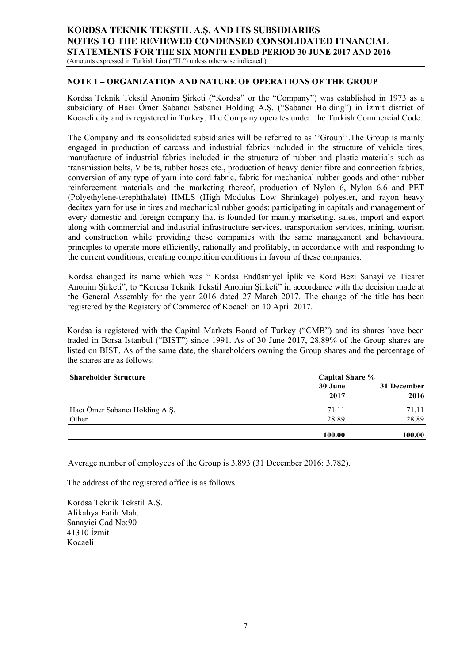#### **NOTE 1 – ORGANIZATION AND NATURE OF OPERATIONS OF THE GROUP**

Kordsa Teknik Tekstil Anonim Şirketi ("Kordsa" or the "Company") was established in 1973 as a subsidiary of Hacı Ömer Sabancı Sabancı Holding A.Ş. ("Sabancı Holding") in İzmit district of Kocaeli city and is registered in Turkey. The Company operates under the Turkish Commercial Code.

The Company and its consolidated subsidiaries will be referred to as ''Group''.The Group is mainly engaged in production of carcass and industrial fabrics included in the structure of vehicle tires, manufacture of industrial fabrics included in the structure of rubber and plastic materials such as transmission belts, V belts, rubber hoses etc., production of heavy denier fibre and connection fabrics, conversion of any type of yarn into cord fabric, fabric for mechanical rubber goods and other rubber reinforcement materials and the marketing thereof, production of Nylon 6, Nylon 6.6 and PET (Polyethylene-terephthalate) HMLS (High Modulus Low Shrinkage) polyester, and rayon heavy decitex yarn for use in tires and mechanical rubber goods; participating in capitals and management of every domestic and foreign company that is founded for mainly marketing, sales, import and export along with commercial and industrial infrastructure services, transportation services, mining, tourism and construction while providing these companies with the same management and behavioural principles to operate more efficiently, rationally and profitably, in accordance with and responding to the current conditions, creating competition conditions in favour of these companies.

Kordsa changed its name which was " Kordsa Endüstriyel İplik ve Kord Bezi Sanayi ve Ticaret Anonim Şirketi", to "Kordsa Teknik Tekstil Anonim Şirketi" in accordance with the decision made at the General Assembly for the year 2016 dated 27 March 2017. The change of the title has been registered by the Registery of Commerce of Kocaeli on 10 April 2017.

Kordsa is registered with the Capital Markets Board of Turkey ("CMB") and its shares have been traded in Borsa Istanbul ("BIST") since 1991. As of 30 June 2017, 28,89% of the Group shares are listed on BIST. As of the same date, the shareholders owning the Group shares and the percentage of the shares are as follows:

| <b>Shareholder Structure</b>   | <b>Capital Share %</b> |                     |  |
|--------------------------------|------------------------|---------------------|--|
|                                | 30 June<br>2017        | 31 December<br>2016 |  |
| Hacı Ömer Sabancı Holding A.Ş. | 71.11                  | 71.11               |  |
| Other                          | 28.89                  | 28.89               |  |
|                                | 100.00                 | 100.00              |  |

Average number of employees of the Group is 3.893 (31 December 2016: 3.782).

The address of the registered office is as follows:

Kordsa Teknik Tekstil A.Ş. Alikahya Fatih Mah. Sanayici Cad.No:90 41310 İzmit Kocaeli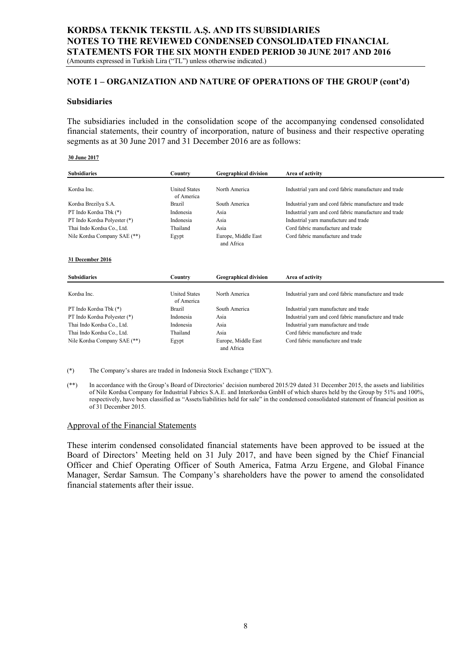#### **NOTE 1 – ORGANIZATION AND NATURE OF OPERATIONS OF THE GROUP (cont'd)**

#### **Subsidiaries**

The subsidiaries included in the consolidation scope of the accompanying condensed consolidated financial statements, their country of incorporation, nature of business and their respective operating segments as at 30 June 2017 and 31 December 2016 are as follows:

#### **30 June 2017**

| <b>Subsidiaries</b>          | Country                            | <b>Geographical division</b>      | Area of activity                                      |
|------------------------------|------------------------------------|-----------------------------------|-------------------------------------------------------|
| Kordsa Inc.                  | <b>United States</b><br>of America | North America                     | Industrial yarn and cord fabric manufacture and trade |
| Kordsa Brezilya S.A.         | Brazil                             | South America                     | Industrial yarn and cord fabric manufacture and trade |
| PT Indo Kordsa Tbk (*)       | Indonesia                          | Asia                              | Industrial yarn and cord fabric manufacture and trade |
| PT Indo Kordsa Polyester (*) | Indonesia                          | Asia                              | Industrial yarn manufacture and trade                 |
| Thai Indo Kordsa Co., Ltd.   | Thailand                           | Asia                              | Cord fabric manufacture and trade                     |
| Nile Kordsa Company SAE (**) | Egypt                              | Europe, Middle East<br>and Africa | Cord fabric manufacture and trade                     |
| 31 December 2016             |                                    |                                   |                                                       |
| <b>Subsidiaries</b>          | Country                            | <b>Geographical division</b>      | Area of activity                                      |
| Kordsa Inc.                  | <b>United States</b><br>of America | North America                     | Industrial yarn and cord fabric manufacture and trade |
| PT Indo Kordsa Tbk (*)       | <b>Brazil</b>                      | South America                     | Industrial yarn manufacture and trade                 |
| PT Indo Kordsa Polyester (*) | Indonesia                          | Asia                              | Industrial yarn and cord fabric manufacture and trade |
| Thai Indo Kordsa Co., Ltd.   | Indonesia                          | Asia                              | Industrial yarn manufacture and trade                 |
| Thai Indo Kordsa Co., Ltd.   | Thailand                           | Asia                              | Cord fabric manufacture and trade                     |
| Nile Kordsa Company SAE (**) | Egypt                              | Europe, Middle East<br>and Africa | Cord fabric manufacture and trade                     |

(\*) The Company's shares are traded in Indonesia Stock Exchange ("IDX").

(\*\*) In accordance with the Group's Board of Directories' decision numbered 2015/29 dated 31 December 2015, the assets and liabilities of Nile Kordsa Company for Industrial Fabrics S.A.E. and Interkordsa GmbH of which shares held by the Group by 51% and 100%, respectively, have been classified as "Assets/liabilities held for sale" in the condensed consolidated statement of financial position as of 31 December 2015.

#### Approval of the Financial Statements

These interim condensed consolidated financial statements have been approved to be issued at the Board of Directors' Meeting held on 31 July 2017, and have been signed by the Chief Financial Officer and Chief Operating Officer of South America, Fatma Arzu Ergene, and Global Finance Manager, Serdar Samsun. The Company's shareholders have the power to amend the consolidated financial statements after their issue.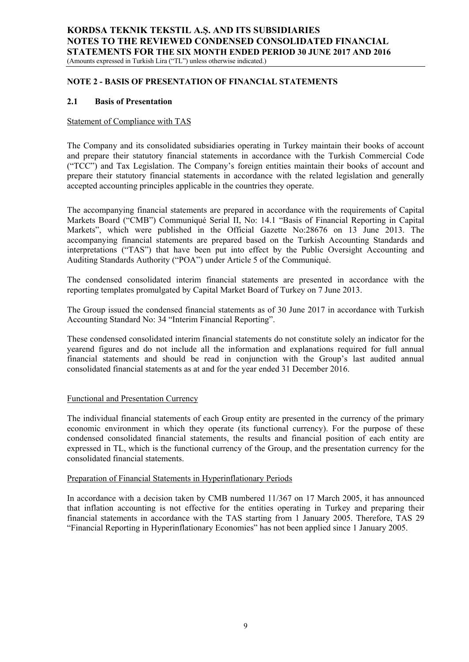#### **NOTE 2 - BASIS OF PRESENTATION OF FINANCIAL STATEMENTS**

#### **2.1 Basis of Presentation**

#### Statement of Compliance with TAS

The Company and its consolidated subsidiaries operating in Turkey maintain their books of account and prepare their statutory financial statements in accordance with the Turkish Commercial Code ("TCC") and Tax Legislation. The Company's foreign entities maintain their books of account and prepare their statutory financial statements in accordance with the related legislation and generally accepted accounting principles applicable in the countries they operate.

The accompanying financial statements are prepared in accordance with the requirements of Capital Markets Board ("CMB") Communiqué Serial II, No: 14.1 "Basis of Financial Reporting in Capital Markets", which were published in the Official Gazette No:28676 on 13 June 2013. The accompanying financial statements are prepared based on the Turkish Accounting Standards and interpretations ("TAS") that have been put into effect by the Public Oversight Accounting and Auditing Standards Authority ("POA") under Article 5 of the Communiqué.

The condensed consolidated interim financial statements are presented in accordance with the reporting templates promulgated by Capital Market Board of Turkey on 7 June 2013.

The Group issued the condensed financial statements as of 30 June 2017 in accordance with Turkish Accounting Standard No: 34 "Interim Financial Reporting".

These condensed consolidated interim financial statements do not constitute solely an indicator for the yearend figures and do not include all the information and explanations required for full annual financial statements and should be read in conjunction with the Group's last audited annual consolidated financial statements as at and for the year ended 31 December 2016.

#### Functional and Presentation Currency

The individual financial statements of each Group entity are presented in the currency of the primary economic environment in which they operate (its functional currency). For the purpose of these condensed consolidated financial statements, the results and financial position of each entity are expressed in TL, which is the functional currency of the Group, and the presentation currency for the consolidated financial statements.

### Preparation of Financial Statements in Hyperinflationary Periods

In accordance with a decision taken by CMB numbered 11/367 on 17 March 2005, it has announced that inflation accounting is not effective for the entities operating in Turkey and preparing their financial statements in accordance with the TAS starting from 1 January 2005. Therefore, TAS 29 "Financial Reporting in Hyperinflationary Economies" has not been applied since 1 January 2005.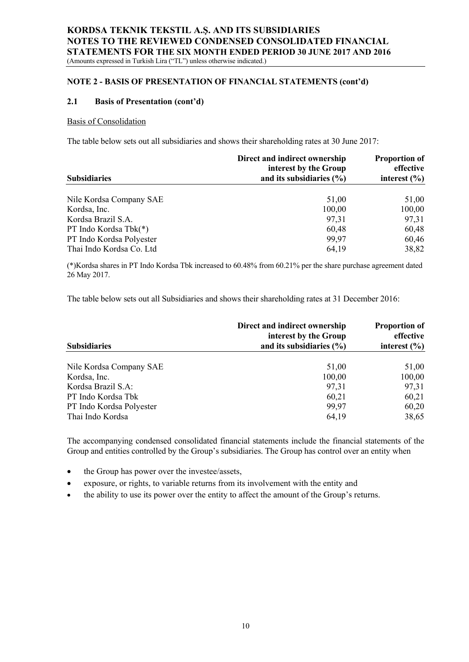#### **NOTE 2 - BASIS OF PRESENTATION OF FINANCIAL STATEMENTS (cont'd)**

#### **2.1 Basis of Presentation (cont'd)**

#### Basis of Consolidation

The table below sets out all subsidiaries and shows their shareholding rates at 30 June 2017:

|                          | Direct and indirect ownership<br>interest by the Group | <b>Proportion of</b><br>effective |
|--------------------------|--------------------------------------------------------|-----------------------------------|
| <b>Subsidiaries</b>      | and its subsidiaries $(\% )$                           | interest $(\% )$                  |
| Nile Kordsa Company SAE  | 51,00                                                  | 51,00                             |
| Kordsa, Inc.             | 100,00                                                 | 100,00                            |
| Kordsa Brazil S.A.       | 97,31                                                  | 97,31                             |
| PT Indo Kordsa Tbk(*)    | 60,48                                                  | 60,48                             |
| PT Indo Kordsa Polyester | 99,97                                                  | 60,46                             |
| Thai Indo Kordsa Co. Ltd | 64,19                                                  | 38,82                             |

(\*)Kordsa shares in PT Indo Kordsa Tbk increased to 60.48% from 60.21% per the share purchase agreement dated 26 May 2017.

The table below sets out all Subsidiaries and shows their shareholding rates at 31 December 2016:

|                          | Direct and indirect ownership<br>interest by the Group | <b>Proportion of</b><br>effective |
|--------------------------|--------------------------------------------------------|-----------------------------------|
| <b>Subsidiaries</b>      | and its subsidiaries $(\% )$                           | interest $(\% )$                  |
| Nile Kordsa Company SAE  | 51,00                                                  | 51,00                             |
| Kordsa, Inc.             | 100,00                                                 | 100,00                            |
| Kordsa Brazil S.A:       | 97,31                                                  | 97,31                             |
| PT Indo Kordsa Tbk       | 60,21                                                  | 60,21                             |
| PT Indo Kordsa Polyester | 99,97                                                  | 60,20                             |
| Thai Indo Kordsa         | 64,19                                                  | 38,65                             |

The accompanying condensed consolidated financial statements include the financial statements of the Group and entities controlled by the Group's subsidiaries. The Group has control over an entity when

- the Group has power over the investee/assets,
- exposure, or rights, to variable returns from its involvement with the entity and
- the ability to use its power over the entity to affect the amount of the Group's returns.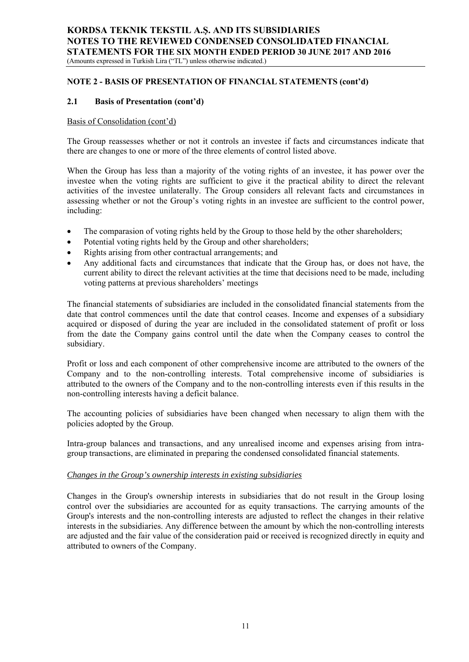## **NOTE 2 - BASIS OF PRESENTATION OF FINANCIAL STATEMENTS (cont'd)**

### **2.1 Basis of Presentation (cont'd)**

#### Basis of Consolidation (cont'd)

The Group reassesses whether or not it controls an investee if facts and circumstances indicate that there are changes to one or more of the three elements of control listed above.

When the Group has less than a majority of the voting rights of an investee, it has power over the investee when the voting rights are sufficient to give it the practical ability to direct the relevant activities of the investee unilaterally. The Group considers all relevant facts and circumstances in assessing whether or not the Group's voting rights in an investee are sufficient to the control power, including:

- The comparasion of voting rights held by the Group to those held by the other shareholders;
- Potential voting rights held by the Group and other shareholders;
- Rights arising from other contractual arrangements; and
- Any additional facts and circumstances that indicate that the Group has, or does not have, the current ability to direct the relevant activities at the time that decisions need to be made, including voting patterns at previous shareholders' meetings

The financial statements of subsidiaries are included in the consolidated financial statements from the date that control commences until the date that control ceases. Income and expenses of a subsidiary acquired or disposed of during the year are included in the consolidated statement of profit or loss from the date the Company gains control until the date when the Company ceases to control the subsidiary.

Profit or loss and each component of other comprehensive income are attributed to the owners of the Company and to the non-controlling interests. Total comprehensive income of subsidiaries is attributed to the owners of the Company and to the non-controlling interests even if this results in the non-controlling interests having a deficit balance.

The accounting policies of subsidiaries have been changed when necessary to align them with the policies adopted by the Group.

Intra-group balances and transactions, and any unrealised income and expenses arising from intragroup transactions, are eliminated in preparing the condensed consolidated financial statements.

#### *Changes in the Group's ownership interests in existing subsidiaries*

Changes in the Group's ownership interests in subsidiaries that do not result in the Group losing control over the subsidiaries are accounted for as equity transactions. The carrying amounts of the Group's interests and the non-controlling interests are adjusted to reflect the changes in their relative interests in the subsidiaries. Any difference between the amount by which the non-controlling interests are adjusted and the fair value of the consideration paid or received is recognized directly in equity and attributed to owners of the Company.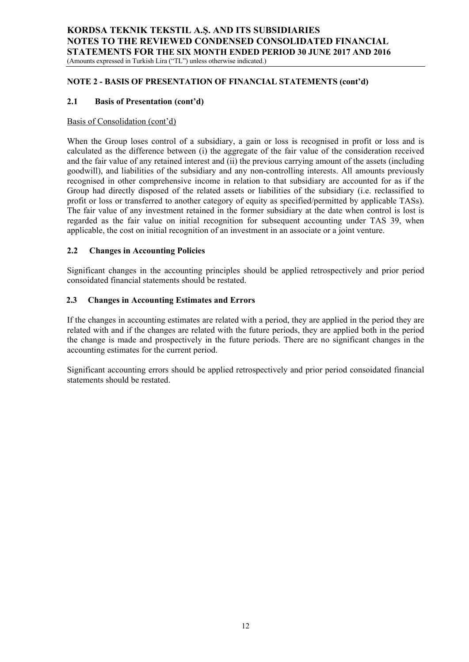#### **NOTE 2 - BASIS OF PRESENTATION OF FINANCIAL STATEMENTS (cont'd)**

## **2.1 Basis of Presentation (cont'd)**

#### Basis of Consolidation (cont'd)

When the Group loses control of a subsidiary, a gain or loss is recognised in profit or loss and is calculated as the difference between (i) the aggregate of the fair value of the consideration received and the fair value of any retained interest and (ii) the previous carrying amount of the assets (including goodwill), and liabilities of the subsidiary and any non-controlling interests. All amounts previously recognised in other comprehensive income in relation to that subsidiary are accounted for as if the Group had directly disposed of the related assets or liabilities of the subsidiary (i.e. reclassified to profit or loss or transferred to another category of equity as specified/permitted by applicable TASs). The fair value of any investment retained in the former subsidiary at the date when control is lost is regarded as the fair value on initial recognition for subsequent accounting under TAS 39, when applicable, the cost on initial recognition of an investment in an associate or a joint venture.

#### **2.2 Changes in Accounting Policies**

Significant changes in the accounting principles should be applied retrospectively and prior period consoidated financial statements should be restated.

### **2.3 Changes in Accounting Estimates and Errors**

If the changes in accounting estimates are related with a period, they are applied in the period they are related with and if the changes are related with the future periods, they are applied both in the period the change is made and prospectively in the future periods. There are no significant changes in the accounting estimates for the current period.

Significant accounting errors should be applied retrospectively and prior period consoidated financial statements should be restated.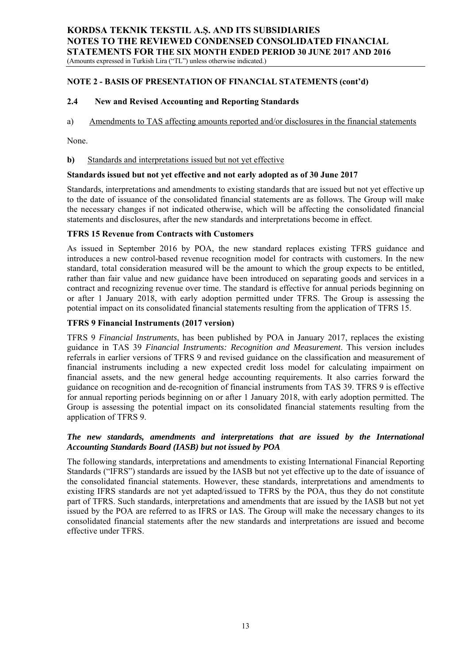## **NOTE 2 - BASIS OF PRESENTATION OF FINANCIAL STATEMENTS (cont'd)**

## **2.4 New and Revised Accounting and Reporting Standards**

a) Amendments to TAS affecting amounts reported and/or disclosures in the financial statements

None.

#### **b)** Standards and interpretations issued but not yet effective

#### **Standards issued but not yet effective and not early adopted as of 30 June 2017**

Standards, interpretations and amendments to existing standards that are issued but not yet effective up to the date of issuance of the consolidated financial statements are as follows. The Group will make the necessary changes if not indicated otherwise, which will be affecting the consolidated financial statements and disclosures, after the new standards and interpretations become in effect.

#### **TFRS 15 Revenue from Contracts with Customers**

As issued in September 2016 by POA, the new standard replaces existing TFRS guidance and introduces a new control-based revenue recognition model for contracts with customers. In the new standard, total consideration measured will be the amount to which the group expects to be entitled, rather than fair value and new guidance have been introduced on separating goods and services in a contract and recognizing revenue over time. The standard is effective for annual periods beginning on or after 1 January 2018, with early adoption permitted under TFRS. The Group is assessing the potential impact on its consolidated financial statements resulting from the application of TFRS 15.

#### **TFRS 9 Financial Instruments (2017 version)**

TFRS 9 *Financial Instruments*, has been published by POA in January 2017, replaces the existing guidance in TAS 39 *Financial Instruments: Recognition and Measurement*. This version includes referrals in earlier versions of TFRS 9 and revised guidance on the classification and measurement of financial instruments including a new expected credit loss model for calculating impairment on financial assets, and the new general hedge accounting requirements. It also carries forward the guidance on recognition and de-recognition of financial instruments from TAS 39. TFRS 9 is effective for annual reporting periods beginning on or after 1 January 2018, with early adoption permitted. The Group is assessing the potential impact on its consolidated financial statements resulting from the application of TFRS 9.

### *The new standards, amendments and interpretations that are issued by the International Accounting Standards Board (IASB) but not issued by POA*

The following standards, interpretations and amendments to existing International Financial Reporting Standards ("IFRS") standards are issued by the IASB but not yet effective up to the date of issuance of the consolidated financial statements. However, these standards, interpretations and amendments to existing IFRS standards are not yet adapted/issued to TFRS by the POA, thus they do not constitute part of TFRS. Such standards, interpretations and amendments that are issued by the IASB but not yet issued by the POA are referred to as IFRS or IAS. The Group will make the necessary changes to its consolidated financial statements after the new standards and interpretations are issued and become effective under TFRS.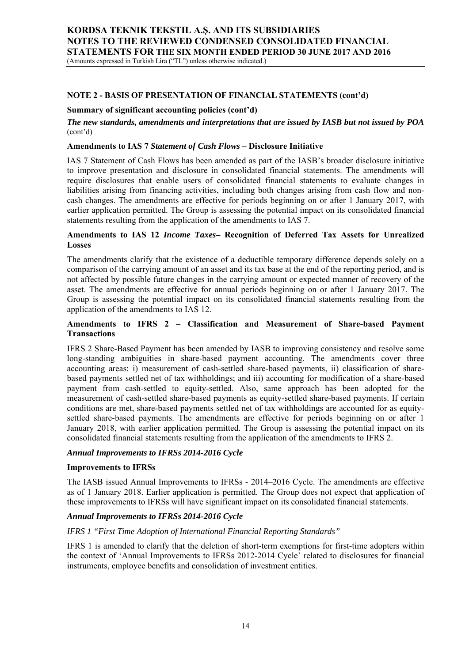### **NOTE 2 - BASIS OF PRESENTATION OF FINANCIAL STATEMENTS (cont'd)**

#### **Summary of significant accounting policies (cont'd)**

*The new standards, amendments and interpretations that are issued by IASB but not issued by POA*  (cont'd)

#### **Amendments to IAS 7** *Statement of Cash Flows* **– Disclosure Initiative**

IAS 7 Statement of Cash Flows has been amended as part of the IASB's broader disclosure initiative to improve presentation and disclosure in consolidated financial statements. The amendments will require disclosures that enable users of consolidated financial statements to evaluate changes in liabilities arising from financing activities, including both changes arising from cash flow and noncash changes. The amendments are effective for periods beginning on or after 1 January 2017, with earlier application permitted. The Group is assessing the potential impact on its consolidated financial statements resulting from the application of the amendments to IAS 7.

#### **Amendments to IAS 12** *Income Taxes***– Recognition of Deferred Tax Assets for Unrealized Losses**

The amendments clarify that the existence of a deductible temporary difference depends solely on a comparison of the carrying amount of an asset and its tax base at the end of the reporting period, and is not affected by possible future changes in the carrying amount or expected manner of recovery of the asset. The amendments are effective for annual periods beginning on or after 1 January 2017. The Group is assessing the potential impact on its consolidated financial statements resulting from the application of the amendments to IAS 12.

## **Amendments to IFRS 2 – Classification and Measurement of Share-based Payment Transactions**

IFRS 2 Share-Based Payment has been amended by IASB to improving consistency and resolve some long-standing ambiguities in share-based payment accounting. The amendments cover three accounting areas: i) measurement of cash-settled share-based payments, ii) classification of sharebased payments settled net of tax withholdings; and iii) accounting for modification of a share-based payment from cash-settled to equity-settled. Also, same approach has been adopted for the measurement of cash-settled share-based payments as equity-settled share-based payments. If certain conditions are met, share-based payments settled net of tax withholdings are accounted for as equitysettled share-based payments. The amendments are effective for periods beginning on or after 1 January 2018, with earlier application permitted. The Group is assessing the potential impact on its consolidated financial statements resulting from the application of the amendments to IFRS 2.

#### *Annual Improvements to IFRSs 2014-2016 Cycle*

#### **Improvements to IFRSs**

The IASB issued Annual Improvements to IFRSs - 2014–2016 Cycle. The amendments are effective as of 1 January 2018. Earlier application is permitted. The Group does not expect that application of these improvements to IFRSs will have significant impact on its consolidated financial statements.

#### *Annual Improvements to IFRSs 2014-2016 Cycle*

#### *IFRS 1 "First Time Adoption of International Financial Reporting Standards"*

IFRS 1 is amended to clarify that the deletion of short-term exemptions for first-time adopters within the context of 'Annual Improvements to IFRSs 2012-2014 Cycle' related to disclosures for financial instruments, employee benefits and consolidation of investment entities.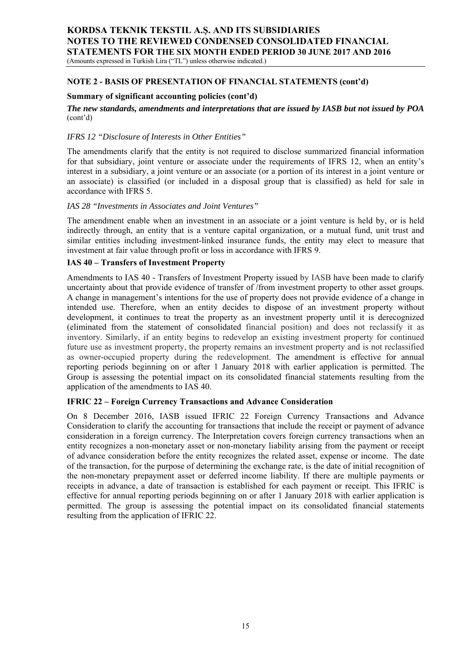#### **NOTE 2 - BASIS OF PRESENTATION OF FINANCIAL STATEMENTS (cont'd)**

#### **Summary of significant accounting policies (cont'd)**

*The new standards, amendments and interpretations that are issued by IASB but not issued by POA*  (cont'd)

#### *IFRS 12 "Disclosure of Interests in Other Entities"*

The amendments clarify that the entity is not required to disclose summarized financial information for that subsidiary, joint venture or associate under the requirements of IFRS 12, when an entity's interest in a subsidiary, a joint venture or an associate (or a portion of its interest in a joint venture or an associate) is classified (or included in a disposal group that is classified) as held for sale in accordance with IFRS 5.

#### *IAS 28 "Investments in Associates and Joint Ventures"*

The amendment enable when an investment in an associate or a joint venture is held by, or is held indirectly through, an entity that is a venture capital organization, or a mutual fund, unit trust and similar entities including investment-linked insurance funds, the entity may elect to measure that investment at fair value through profit or loss in accordance with IFRS 9.

#### **IAS 40 – Transfers of Investment Property**

Amendments to IAS 40 - Transfers of Investment Property issued by IASB have been made to clarify uncertainty about that provide evidence of transfer of /from investment property to other asset groups. A change in management's intentions for the use of property does not provide evidence of a change in intended use. Therefore, when an entity decides to dispose of an investment property without development, it continues to treat the property as an investment property until it is derecognized (eliminated from the statement of consolidated financial position) and does not reclassify it as inventory. Similarly, if an entity begins to redevelop an existing investment property for continued future use as investment property, the property remains an investment property and is not reclassified as owner-occupied property during the redevelopment. The amendment is effective for annual reporting periods beginning on or after 1 January 2018 with earlier application is permitted. The Group is assessing the potential impact on its consolidated financial statements resulting from the application of the amendments to IAS 40.

#### **IFRIC 22 – Foreign Currency Transactions and Advance Consideration**

On 8 December 2016, IASB issued IFRIC 22 Foreign Currency Transactions and Advance Consideration to clarify the accounting for transactions that include the receipt or payment of advance consideration in a foreign currency. The Interpretation covers foreign currency transactions when an entity recognizes a non-monetary asset or non-monetary liability arising from the payment or receipt of advance consideration before the entity recognizes the related asset, expense or income. The date of the transaction, for the purpose of determining the exchange rate, is the date of initial recognition of the non-monetary prepayment asset or deferred income liability. If there are multiple payments or receipts in advance, a date of transaction is established for each payment or receipt. This IFRIC is effective for annual reporting periods beginning on or after 1 January 2018 with earlier application is permitted. The group is assessing the potential impact on its consolidated financial statements resulting from the application of IFRIC 22.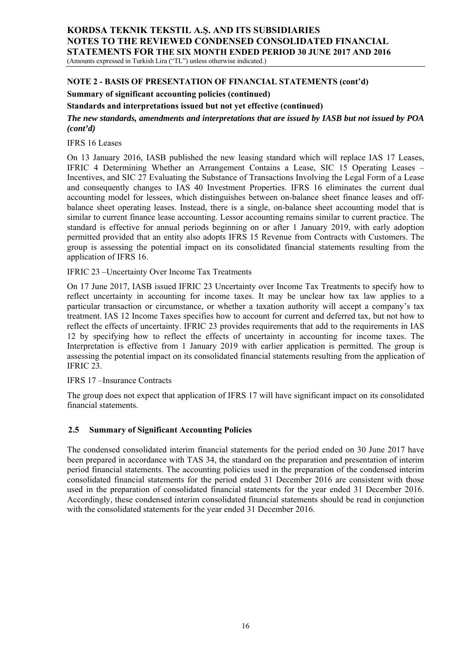## **NOTE 2 - BASIS OF PRESENTATION OF FINANCIAL STATEMENTS (cont'd)**

## **Summary of significant accounting policies (continued)**

**Standards and interpretations issued but not yet effective (continued)** 

*The new standards, amendments and interpretations that are issued by IASB but not issued by POA (cont'd)* 

IFRS 16 Leases

On 13 January 2016, IASB published the new leasing standard which will replace IAS 17 Leases, IFRIC 4 Determining Whether an Arrangement Contains a Lease, SIC 15 Operating Leases – Incentives, and SIC 27 Evaluating the Substance of Transactions Involving the Legal Form of a Lease and consequently changes to IAS 40 Investment Properties. IFRS 16 eliminates the current dual accounting model for lessees, which distinguishes between on-balance sheet finance leases and offbalance sheet operating leases. Instead, there is a single, on-balance sheet accounting model that is similar to current finance lease accounting. Lessor accounting remains similar to current practice. The standard is effective for annual periods beginning on or after 1 January 2019, with early adoption permitted provided that an entity also adopts IFRS 15 Revenue from Contracts with Customers. The group is assessing the potential impact on its consolidated financial statements resulting from the application of IFRS 16.

IFRIC 23 –Uncertainty Over Income Tax Treatments

On 17 June 2017, IASB issued IFRIC 23 Uncertainty over Income Tax Treatments to specify how to reflect uncertainty in accounting for income taxes. It may be unclear how tax law applies to a particular transaction or circumstance, or whether a taxation authority will accept a company's tax treatment. IAS 12 Income Taxes specifies how to account for current and deferred tax, but not how to reflect the effects of uncertainty. IFRIC 23 provides requirements that add to the requirements in IAS 12 by specifying how to reflect the effects of uncertainty in accounting for income taxes. The Interpretation is effective from 1 January 2019 with earlier application is permitted. The group is assessing the potential impact on its consolidated financial statements resulting from the application of IFRIC 23.

## IFRS 17 –Insurance Contracts

The group does not expect that application of IFRS 17 will have significant impact on its consolidated financial statements.

## **2.5 Summary of Significant Accounting Policies**

The condensed consolidated interim financial statements for the period ended on 30 June 2017 have been prepared in accordance with TAS 34, the standard on the preparation and presentation of interim period financial statements. The accounting policies used in the preparation of the condensed interim consolidated financial statements for the period ended 31 December 2016 are consistent with those used in the preparation of consolidated financial statements for the year ended 31 December 2016. Accordingly, these condensed interim consolidated financial statements should be read in conjunction with the consolidated statements for the year ended 31 December 2016.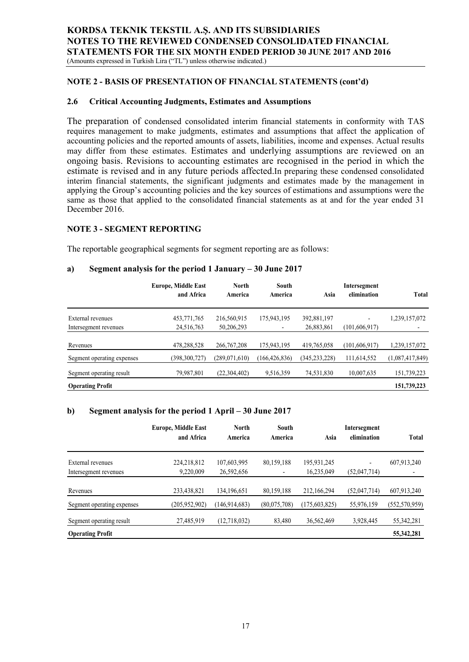**NOTE 2 - BASIS OF PRESENTATION OF FINANCIAL STATEMENTS (cont'd)**

## **2.6 Critical Accounting Judgments, Estimates and Assumptions**

The preparation of condensed consolidated interim financial statements in conformity with TAS requires management to make judgments, estimates and assumptions that affect the application of accounting policies and the reported amounts of assets, liabilities, income and expenses. Actual results may differ from these estimates. Estimates and underlying assumptions are reviewed on an ongoing basis. Revisions to accounting estimates are recognised in the period in which the estimate is revised and in any future periods affected.In preparing these condensed consolidated interim financial statements, the significant judgments and estimates made by the management in applying the Group's accounting policies and the key sources of estimations and assumptions were the same as those that applied to the consolidated financial statements as at and for the year ended 31 December 2016.

### **NOTE 3 - SEGMENT REPORTING**

The reportable geographical segments for segment reporting are as follows:

#### **a) Segment analysis for the period 1 January – 30 June 2017**

|                            | <b>Europe, Middle East</b><br>and Africa | <b>North</b><br>America | South<br>America | Asia            | Intersegment<br>elimination | <b>Total</b>    |
|----------------------------|------------------------------------------|-------------------------|------------------|-----------------|-----------------------------|-----------------|
| External revenues          | 453,771,765                              | 216,560,915             | 175,943,195      | 392,881,197     | $\overline{\phantom{0}}$    | 1,239,157,072   |
| Intersegment revenues      | 24,516,763                               | 50,206,293              |                  | 26,883,861      | (101, 606, 917)             |                 |
| Revenues                   | 478,288,528                              | 266, 767, 208           | 175,943,195      | 419,765,058     | (101, 606, 917)             | 1,239,157,072   |
| Segment operating expenses | (398,300,727)                            | (289,071,610)           | (166, 426, 836)  | (345, 233, 228) | 111,614,552                 | (1,087,417,849) |
| Segment operating result   | 79,987,801                               | (22, 304, 402)          | 9,516,359        | 74,531,830      | 10,007,635                  | 151,739,223     |
| <b>Operating Profit</b>    |                                          |                         |                  |                 |                             | 151,739,223     |

#### **b) Segment analysis for the period 1 April – 30 June 2017**

|                            | <b>Europe, Middle East</b><br>and Africa | <b>North</b><br>America | South<br>America | Asia          | Intersegment<br>elimination | <b>Total</b>    |
|----------------------------|------------------------------------------|-------------------------|------------------|---------------|-----------------------------|-----------------|
| External revenues          | 224,218,812                              | 107,603,995             | 80,159,188       | 195,931,245   | ٠                           | 607,913,240     |
| Intersegment revenues      | 9,220,009                                | 26,592,656              |                  | 16,235,049    | (52,047,714)                |                 |
| Revenues                   | 233,438,821                              | 134,196,651             | 80,159,188       | 212,166,294   | (52,047,714)                | 607,913,240     |
| Segment operating expenses | (205, 952, 902)                          | (146,914,683)           | (80,075,708)     | (175,603,825) | 55,976,159                  | (552, 570, 959) |
| Segment operating result   | 27,485,919                               | (12,718,032)            | 83,480           | 36,562,469    | 3,928,445                   | 55,342,281      |
| <b>Operating Profit</b>    |                                          |                         |                  |               |                             | 55,342,281      |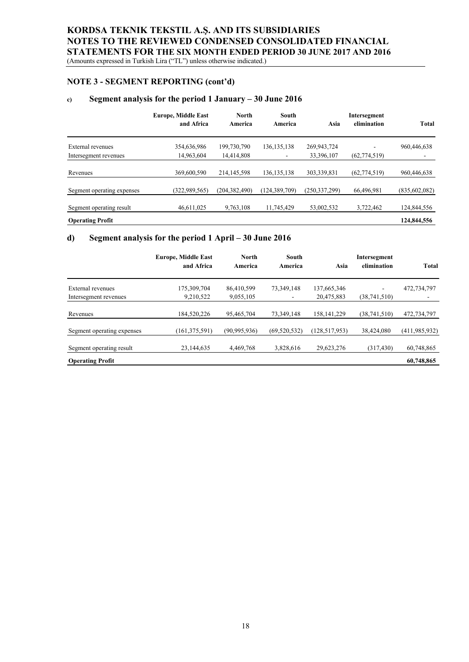(Amounts expressed in Turkish Lira ("TL") unless otherwise indicated.)

## **NOTE 3 - SEGMENT REPORTING (cont'd)**

## **c) Segment analysis for the period 1 January – 30 June 2016**

|                            | <b>Europe, Middle East</b><br>and Africa | <b>North</b><br>America | South<br>America | Asia            | Intersegment<br>elimination | <b>Total</b>    |
|----------------------------|------------------------------------------|-------------------------|------------------|-----------------|-----------------------------|-----------------|
| External revenues          | 354,636,986                              | 199,730,790             | 136, 135, 138    | 269,943,724     |                             | 960,446,638     |
| Intersegment revenues      | 14,963,604                               | 14,414,808              | -                | 33,396,107      | (62, 774, 519)              |                 |
| Revenues                   | 369,600,590                              | 214, 145, 598           | 136, 135, 138    | 303,339,831     | (62, 774, 519)              | 960,446,638     |
| Segment operating expenses | (322.989.565)                            | (204, 382, 490)         | (124, 389, 709)  | (250, 337, 299) | 66,496,981                  | (835, 602, 082) |
| Segment operating result   | 46,611,025                               | 9,763,108               | 11,745,429       | 53,002,532      | 3,722,462                   | 124,844,556     |
| <b>Operating Profit</b>    |                                          |                         |                  |                 |                             | 124,844,556     |

#### **d) Segment analysis for the period 1 April – 30 June 2016**

|                            | <b>Europe, Middle East</b><br>and Africa | North<br>America | South<br>America | Asia            | Intersegment<br>elimination | Total           |
|----------------------------|------------------------------------------|------------------|------------------|-----------------|-----------------------------|-----------------|
| External revenues          | 175,309,704                              | 86,410,599       | 73,349,148       | 137,665,346     | ۰                           | 472,734,797     |
| Intersegment revenues      | 9,210,522                                | 9,055,105        |                  | 20,475,883      | (38,741,510)                |                 |
| Revenues                   | 184,520,226                              | 95,465,704       | 73,349,148       | 158, 141, 229   | (38,741,510)                | 472,734,797     |
| Segment operating expenses | (161, 375, 591)                          | (90, 995, 936)   | (69, 520, 532)   | (128, 517, 953) | 38,424,080                  | (411, 985, 932) |
| Segment operating result   | 23,144,635                               | 4,469,768        | 3,828,616        | 29,623,276      | (317, 430)                  | 60,748,865      |
| <b>Operating Profit</b>    |                                          |                  |                  |                 |                             | 60,748,865      |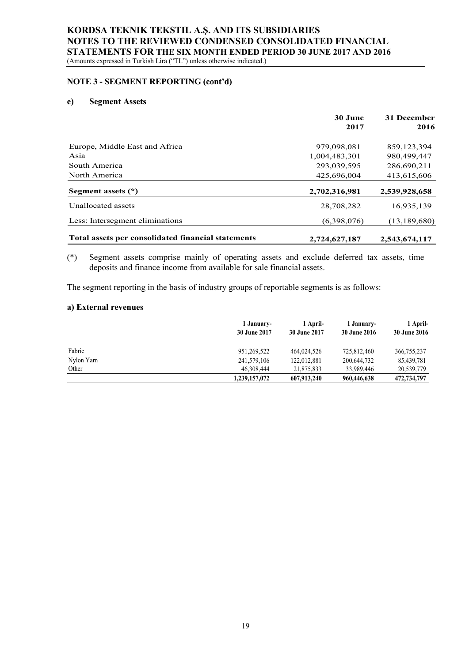#### **NOTE 3 - SEGMENT REPORTING (cont'd)**

#### **e) Segment Assets**

|                                                    | 30 June<br>2017 | 31 December<br>2016 |
|----------------------------------------------------|-----------------|---------------------|
| Europe, Middle East and Africa                     | 979,098,081     | 859,123,394         |
| Asia                                               | 1.004.483.301   | 980,499,447         |
| South America                                      | 293,039,595     | 286,690,211         |
| North America                                      | 425,696,004     | 413,615,606         |
| Segment assets $(*)$                               | 2,702,316,981   | 2,539,928,658       |
| Unallocated assets                                 | 28,708,282      | 16,935,139          |
| Less: Intersegment eliminations                    | (6,398,076)     | (13, 189, 680)      |
| Total assets per consolidated financial statements | 2,724,627,187   | 2,543,674,117       |

#### (\*) Segment assets comprise mainly of operating assets and exclude deferred tax assets, time deposits and finance income from available for sale financial assets.

The segment reporting in the basis of industry groups of reportable segments is as follows:

## **a) External revenues**

|            | 1 January-<br><b>30 June 2017</b> | 1 April-<br><b>30 June 2017</b> | 1 January-<br><b>30 June 2016</b> | 1 April-<br><b>30 June 2016</b> |
|------------|-----------------------------------|---------------------------------|-----------------------------------|---------------------------------|
| Fabric     | 951,269,522                       | 464,024,526                     | 725,812,460                       | 366,755,237                     |
| Nylon Yarn | 241,579,106                       | 122,012,881                     | 200,644,732                       | 85,439,781                      |
| Other      | 46,308,444                        | 21,875,833                      | 33,989,446                        | 20,539,779                      |
|            | 1,239,157,072                     | 607,913,240                     | 960,446,638                       | 472,734,797                     |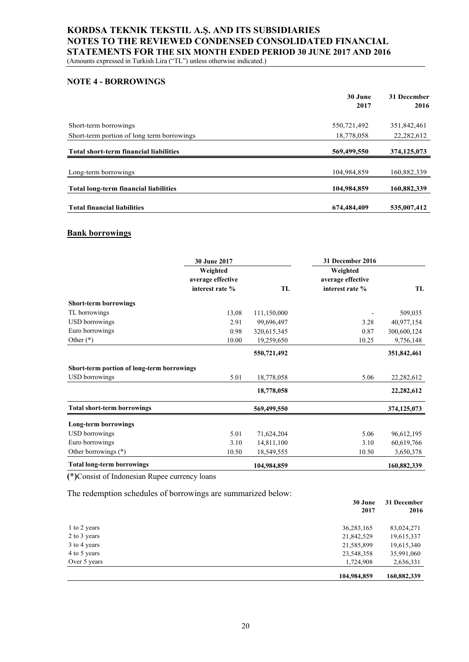## **NOTE 4 - BORROWINGS**

|                                               | 30 June<br>2017 | 31 December<br>2016 |
|-----------------------------------------------|-----------------|---------------------|
| Short-term borrowings                         | 550,721,492     | 351,842,461         |
| Short-term portion of long term borrowings    | 18,778,058      | 22, 282, 612        |
| <b>Total short-term financial liabilities</b> | 569,499,550     | 374, 125, 073       |
| Long-term borrowings                          | 104,984,859     | 160,882,339         |
| <b>Total long-term financial liabilities</b>  | 104,984,859     | 160,882,339         |
| <b>Total financial liabilities</b>            | 674,484,409     | 535,007,412         |

#### **Bank borrowings**

|                                            | 30 June 2017                  |             | 31 December 2016              |              |
|--------------------------------------------|-------------------------------|-------------|-------------------------------|--------------|
|                                            | Weighted<br>average effective |             | Weighted<br>average effective |              |
|                                            | interest rate %               | TL          | interest rate %               | TL           |
| <b>Short-term borrowings</b>               |                               |             |                               |              |
| TL borrowings                              | 13,08                         | 111,150,000 |                               | 509,035      |
| <b>USD</b> borrowings                      | 2.91                          | 99,696,497  | 3.28                          | 40,977,154   |
| Euro borrowings                            | 0.98                          | 320,615,345 | 0.87                          | 300,600,124  |
| Other $(*)$                                | 10.00                         | 19,259,650  | 10.25                         | 9,756,148    |
|                                            |                               | 550,721,492 |                               | 351,842,461  |
| Short-term portion of long-term borrowings |                               |             |                               |              |
| <b>USD</b> borrowings                      | 5.01                          | 18,778,058  | 5.06                          | 22,282,612   |
|                                            |                               | 18,778,058  |                               | 22, 282, 612 |
| <b>Total short-term borrowings</b>         |                               | 569,499,550 |                               | 374,125,073  |
| Long-term borrowings                       |                               |             |                               |              |
| <b>USD</b> borrowings                      | 5.01                          | 71,624,204  | 5.06                          | 96,612,195   |
| Euro borrowings                            | 3.10                          | 14,811,100  | 3.10                          | 60,619,766   |
| Other borrowings (*)                       | 10.50                         | 18,549,555  | 10.50                         | 3,650,378    |
| <b>Total long-term borrowings</b>          |                               | 104,984,859 |                               | 160,882,339  |

**(\*)**Consist of Indonesian Rupee currency loans

The redemption schedules of borrowings are summarized below:

|              | 30 June<br>2017 | 31 December<br>2016 |
|--------------|-----------------|---------------------|
| 1 to 2 years | 36, 283, 165    | 83,024,271          |
| 2 to 3 years | 21,842,529      | 19,615,337          |
| 3 to 4 years | 21,585,899      | 19,615,340          |
| 4 to 5 years | 23,548,358      | 35,991,060          |
| Over 5 years | 1,724,908       | 2,636,331           |
|              | 104,984,859     | 160,882,339         |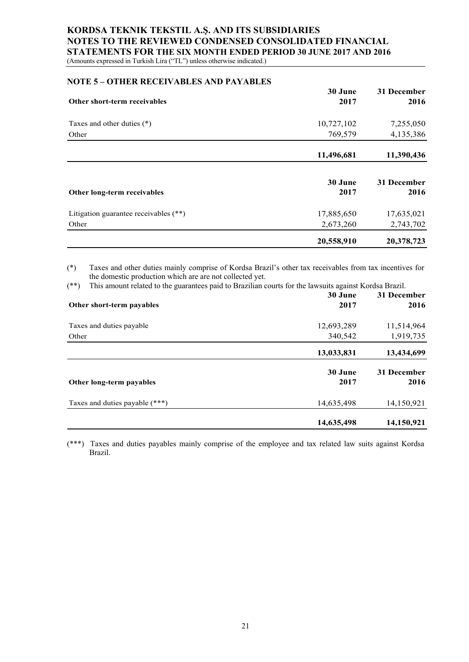(Amounts expressed in Turkish Lira ("TL") unless otherwise indicated.)

#### **NOTE 5 – OTHER RECEIVABLES AND PAYABLES**

|                                       | 30 June         | 31 December         |
|---------------------------------------|-----------------|---------------------|
| Other short-term receivables          | 2017            | 2016                |
| Taxes and other duties (*)            | 10,727,102      | 7,255,050           |
| Other                                 | 769,579         | 4,135,386           |
|                                       | 11,496,681      | 11,390,436          |
| Other long-term receivables           | 30 June<br>2017 | 31 December<br>2016 |
| Litigation guarantee receivables (**) | 17,885,650      | 17,635,021          |
| Other                                 | 2,673,260       | 2,743,702           |
|                                       | 20,558,910      | 20,378,723          |

(\*) Taxes and other duties mainly comprise of Kordsa Brazil's other tax receivables from tax incentives for the domestic production which are are not collected yet.

(\*\*) This amount related to the guarantees paid to Brazilian courts for the lawsuits against Kordsa Brazil.

| Other short-term payables      | 30 June<br>2017 | 31 December<br>2016 |
|--------------------------------|-----------------|---------------------|
| Taxes and duties payable       | 12,693,289      | 11,514,964          |
| Other                          | 340,542         | 1,919,735           |
|                                | 13,033,831      | 13,434,699          |
| Other long-term payables       | 30 June<br>2017 | 31 December<br>2016 |
| Taxes and duties payable (***) | 14,635,498      | 14,150,921          |
|                                | 14,635,498      | 14,150,921          |

(\*\*\*) Taxes and duties payables mainly comprise of the employee and tax related law suits against Kordsa Brazil.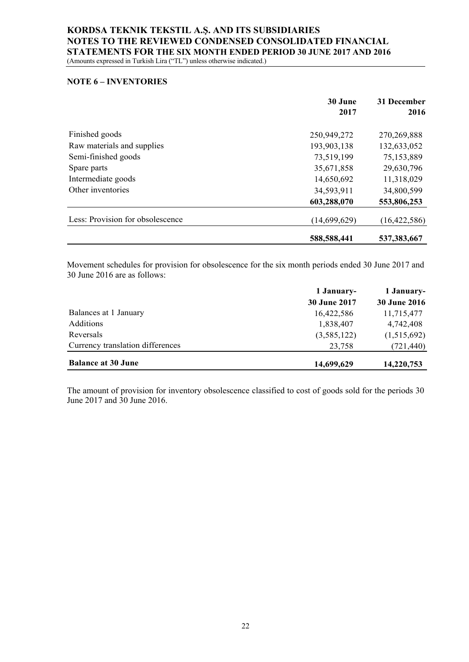## **NOTE 6 – INVENTORIES**

|                                  | 30 June<br>2017 | 31 December<br>2016 |
|----------------------------------|-----------------|---------------------|
| Finished goods                   | 250,949,272     | 270,269,888         |
| Raw materials and supplies       | 193,903,138     | 132,633,052         |
| Semi-finished goods              | 73,519,199      | 75,153,889          |
| Spare parts                      | 35,671,858      | 29,630,796          |
| Intermediate goods               | 14,650,692      | 11,318,029          |
| Other inventories                | 34,593,911      | 34,800,599          |
|                                  | 603,288,070     | 553,806,253         |
| Less: Provision for obsolescence | (14,699,629)    | (16, 422, 586)      |
|                                  | 588,588,441     | 537, 383, 667       |

Movement schedules for provision for obsolescence for the six month periods ended 30 June 2017 and 30 June 2016 are as follows:

|                                  | 1 January-   | 1 January-          |  |
|----------------------------------|--------------|---------------------|--|
|                                  | 30 June 2017 | <b>30 June 2016</b> |  |
| Balances at 1 January            | 16,422,586   | 11,715,477          |  |
| Additions                        | 1,838,407    | 4,742,408           |  |
| Reversals                        | (3,585,122)  | (1,515,692)         |  |
| Currency translation differences | 23,758       | (721, 440)          |  |
| <b>Balance at 30 June</b>        | 14,699,629   | 14,220,753          |  |

The amount of provision for inventory obsolescence classified to cost of goods sold for the periods 30 June 2017 and 30 June 2016.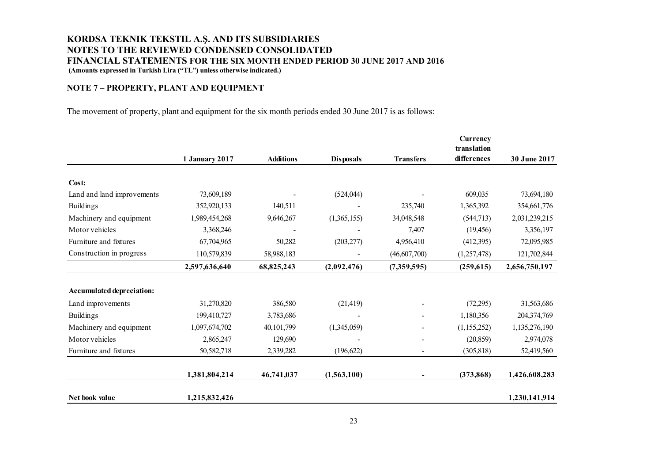## **NOTE 7 – PROPERTY, PLANT AND EQUIPMENT**

The movement of property, plant and equipment for the six month periods ended 30 June 2017 is as follows:

|                            |                       |                  |                  |                  | Currency<br>translation |               |
|----------------------------|-----------------------|------------------|------------------|------------------|-------------------------|---------------|
|                            | <b>1 January 2017</b> | <b>Additions</b> | <b>Disposals</b> | <b>Transfers</b> | differences             | 30 June 2017  |
| Cost:                      |                       |                  |                  |                  |                         |               |
| Land and land improvements | 73,609,189            |                  | (524, 044)       |                  | 609,035                 | 73,694,180    |
| <b>Buildings</b>           | 352,920,133           | 140,511          |                  | 235,740          | 1,365,392               | 354,661,776   |
| Machinery and equipment    | 1,989,454,268         | 9,646,267        | (1,365,155)      | 34,048,548       | (544, 713)              | 2,031,239,215 |
| Motor vehicles             | 3,368,246             |                  |                  | 7,407            | (19, 456)               | 3,356,197     |
| Furniture and fixtures     | 67,704,965            | 50,282           | (203, 277)       | 4,956,410        | (412,395)               | 72,095,985    |
| Construction in progress   | 110,579,839           | 58,988,183       |                  | (46, 607, 700)   | (1,257,478)             | 121,702,844   |
|                            | 2,597,636,640         | 68,825,243       | (2,092,476)      | (7,359,595)      | (259, 615)              | 2,656,750,197 |
| Accumulated depreciation:  |                       |                  |                  |                  |                         |               |
| Land improvements          | 31,270,820            | 386,580          | (21, 419)        |                  | (72, 295)               | 31,563,686    |
| <b>Buildings</b>           | 199,410,727           | 3,783,686        |                  |                  | 1,180,356               | 204,374,769   |
| Machinery and equipment    | 1,097,674,702         | 40,101,799       | (1,345,059)      |                  | (1,155,252)             | 1,135,276,190 |
| Motor vehicles             | 2,865,247             | 129,690          |                  | $\overline{a}$   | (20, 859)               | 2,974,078     |
| Furniture and fixtures     | 50,582,718            | 2,339,282        | (196, 622)       | $\blacksquare$   | (305, 818)              | 52,419,560    |
|                            | 1,381,804,214         | 46,741,037       | (1,563,100)      |                  | (373, 868)              | 1,426,608,283 |
| Net book value             | 1,215,832,426         |                  |                  |                  |                         | 1,230,141,914 |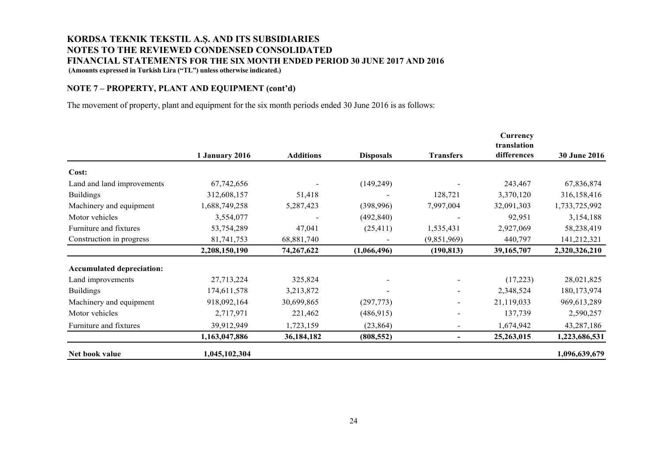### **NOTE 7 – PROPERTY, PLANT AND EQUIPMENT (cont'd)**

The movement of property, plant and equipment for the six month periods ended 30 June 2016 is as follows:

|                                  |                |                  |                  |                              | Currency<br>translation<br>differences |                     |
|----------------------------------|----------------|------------------|------------------|------------------------------|----------------------------------------|---------------------|
|                                  | 1 January 2016 | <b>Additions</b> | <b>Disposals</b> | <b>Transfers</b>             |                                        | <b>30 June 2016</b> |
| Cost:                            |                |                  |                  |                              |                                        |                     |
| Land and land improvements       | 67,742,656     |                  | (149, 249)       |                              | 243,467                                | 67,836,874          |
| <b>Buildings</b>                 | 312,608,157    | 51,418           |                  | 128,721                      | 3,370,120                              | 316,158,416         |
| Machinery and equipment          | 1,688,749,258  | 5,287,423        | (398,996)        | 7,997,004                    | 32,091,303                             | 1,733,725,992       |
| Motor vehicles                   | 3,554,077      |                  | (492, 840)       |                              | 92,951                                 | 3,154,188           |
| Furniture and fixtures           | 53,754,289     | 47,041           | (25, 411)        | 1,535,431                    | 2,927,069                              | 58,238,419          |
| Construction in progress         | 81,741,753     | 68,881,740       |                  | (9,851,969)                  | 440,797                                | 141,212,321         |
|                                  | 2,208,150,190  | 74,267,622       | (1,066,496)      | (190, 813)                   | 39,165,707                             | 2,320,326,210       |
| <b>Accumulated depreciation:</b> |                |                  |                  |                              |                                        |                     |
| Land improvements                | 27,713,224     | 325,824          |                  | $\overline{a}$               | (17,223)                               | 28,021,825          |
| <b>Buildings</b>                 | 174,611,578    | 3,213,872        |                  | $\frac{1}{2}$                | 2,348,524                              | 180,173,974         |
| Machinery and equipment          | 918,092,164    | 30,699,865       | (297,773)        | $\qquad \qquad \blacksquare$ | 21,119,033                             | 969,613,289         |
| Motor vehicles                   | 2,717,971      | 221,462          | (486, 915)       |                              | 137,739                                | 2,590,257           |
| Furniture and fixtures           | 39,912,949     | 1,723,159        | (23, 864)        | $\overline{\phantom{a}}$     | 1,674,942                              | 43,287,186          |
|                                  | 1,163,047,886  | 36,184,182       | (808, 552)       |                              | 25,263,015                             | 1,223,686,531       |
| Net book value                   | 1,045,102,304  |                  |                  |                              |                                        | 1,096,639,679       |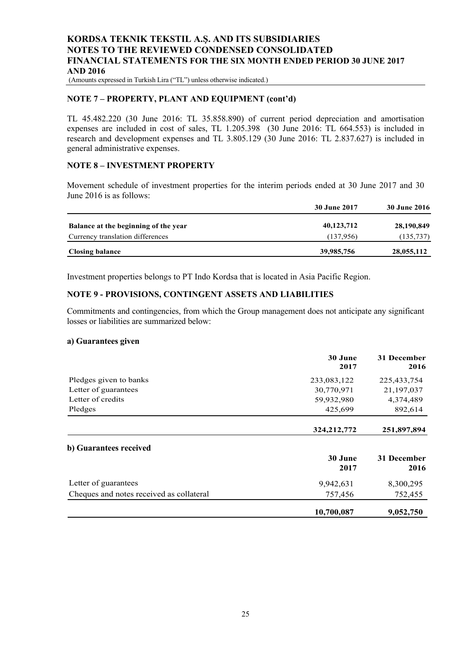(Amounts expressed in Turkish Lira ("TL") unless otherwise indicated.)

### **NOTE 7 – PROPERTY, PLANT AND EQUIPMENT (cont'd)**

TL 45.482.220 (30 June 2016: TL 35.858.890) of current period depreciation and amortisation expenses are included in cost of sales, TL 1.205.398 (30 June 2016: TL 664.553) is included in research and development expenses and TL 3.805.129 (30 June 2016: TL 2.837.627) is included in general administrative expenses.

#### **NOTE 8 – INVESTMENT PROPERTY**

Movement schedule of investment properties for the interim periods ended at 30 June 2017 and 30 June 2016 is as follows:

|                                      | <b>30 June 2017</b> | <b>30 June 2016</b> |
|--------------------------------------|---------------------|---------------------|
| Balance at the beginning of the year | 40,123,712          | 28,190,849          |
| Currency translation differences     | (137.956)           | (135, 737)          |
| <b>Closing balance</b>               | 39,985,756          | 28,055,112          |

Investment properties belongs to PT Indo Kordsa that is located in Asia Pacific Region.

#### **NOTE 9 - PROVISIONS, CONTINGENT ASSETS AND LIABILITIES**

Commitments and contingencies, from which the Group management does not anticipate any significant losses or liabilities are summarized below:

#### **a) Guarantees given**

|                                          | 30 June<br>2017 | 31 December<br>2016 |
|------------------------------------------|-----------------|---------------------|
| Pledges given to banks                   | 233,083,122     | 225, 433, 754       |
| Letter of guarantees                     | 30,770,971      | 21,197,037          |
| Letter of credits                        | 59,932,980      | 4,374,489           |
| Pledges                                  | 425,699         | 892,614             |
|                                          | 324, 212, 772   | 251,897,894         |
| b) Guarantees received                   |                 |                     |
|                                          | 30 June         | 31 December         |
|                                          | 2017            | 2016                |
| Letter of guarantees                     | 9,942,631       | 8,300,295           |
| Cheques and notes received as collateral | 757,456         | 752,455             |
|                                          | 10,700,087      | 9,052,750           |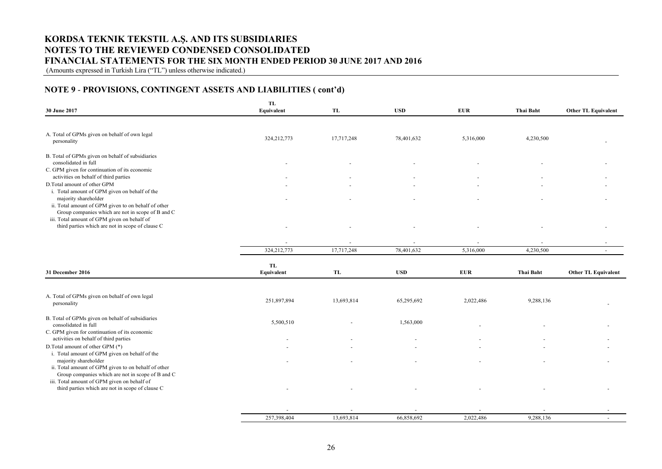(Amounts expressed in Turkish Lira ("TL") unless otherwise indicated.)

## **NOTE 9** - **PROVISIONS, CONTINGENT ASSETS AND LIABILITIES ( cont'd)**

| 30 June 2017                                                                                                                     | TL<br>Equivalent        | <b>TL</b>  | <b>USD</b> | <b>EUR</b> | <b>Thai Baht</b>         | <b>Other TL Equivalent</b> |
|----------------------------------------------------------------------------------------------------------------------------------|-------------------------|------------|------------|------------|--------------------------|----------------------------|
|                                                                                                                                  |                         |            |            |            |                          |                            |
| A. Total of GPMs given on behalf of own legal<br>personality                                                                     | 324, 212, 773           | 17,717,248 | 78,401,632 | 5,316,000  | 4,230,500                |                            |
| B. Total of GPMs given on behalf of subsidiaries<br>consolidated in full                                                         |                         |            |            |            |                          |                            |
| C. GPM given for continuation of its economic<br>activities on behalf of third parties                                           |                         |            |            |            |                          |                            |
| D.Total amount of other GPM<br>i. Total amount of GPM given on behalf of the                                                     |                         |            |            |            |                          |                            |
| majority shareholder<br>ii. Total amount of GPM given to on behalf of other<br>Group companies which are not in scope of B and C |                         |            |            |            |                          |                            |
| iii. Total amount of GPM given on behalf of<br>third parties which are not in scope of clause C                                  |                         |            |            |            |                          |                            |
|                                                                                                                                  | $\sim$                  | $\sim$     |            |            | $\overline{\phantom{a}}$ |                            |
|                                                                                                                                  | 324, 212, 773           | 17,717,248 | 78,401,632 | 5,316,000  | 4,230,500                | $\overline{\phantom{a}}$   |
| 31 December 2016                                                                                                                 | <b>TL</b><br>Equivalent | TL         | <b>USD</b> | <b>EUR</b> | <b>Thai Baht</b>         | <b>Other TL Equivalent</b> |
|                                                                                                                                  |                         |            |            |            |                          |                            |
| A. Total of GPMs given on behalf of own legal<br>personality                                                                     | 251,897,894             | 13,693,814 | 65,295,692 | 2,022,486  | 9,288,136                |                            |
| B. Total of GPMs given on behalf of subsidiaries<br>consolidated in full                                                         | 5,500,510               |            | 1,563,000  |            |                          |                            |
| C. GPM given for continuation of its economic<br>activities on behalf of third parties                                           |                         |            |            |            |                          |                            |
| D.Total amount of other GPM (*)<br>i. Total amount of GPM given on behalf of the                                                 |                         |            |            |            |                          |                            |
| majority shareholder<br>ii. Total amount of GPM given to on behalf of other<br>Group companies which are not in scope of B and C |                         |            |            |            |                          |                            |
| iii. Total amount of GPM given on behalf of<br>third parties which are not in scope of clause C                                  |                         |            |            |            |                          |                            |
|                                                                                                                                  |                         |            |            |            |                          |                            |
|                                                                                                                                  | 257,398,404             | 13.693.814 | 66,858,692 | 2.022.486  | 9.288.136                |                            |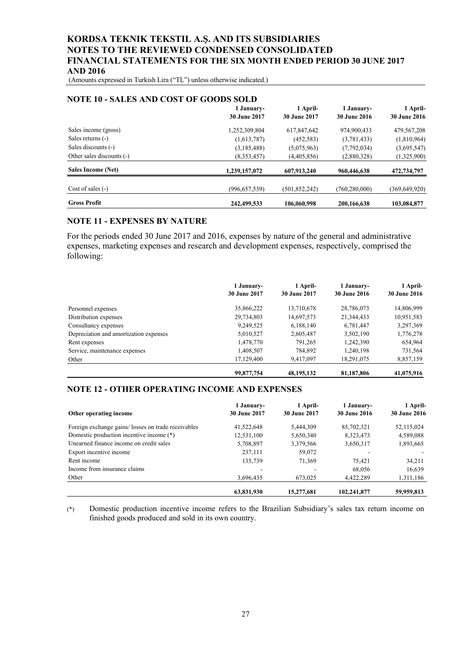(Amounts expressed in Turkish Lira ("TL") unless otherwise indicated.)

| <b>NOTE 10 - SALES AND COST OF GOODS SOLD</b> | 1 January-      | 1 April-        | 1 January-      | 1 April-            |
|-----------------------------------------------|-----------------|-----------------|-----------------|---------------------|
|                                               | 30 June 2017    | 30 June 2017    | 30 June 2016    | <b>30 June 2016</b> |
| Sales income (gross)                          | 1,252,309,804   | 617,847,642     | 974,900,433     | 479,567,208         |
| Sales returns (-)                             | (1,613,787)     | (452, 583)      | (3,781,433)     | (1,810,964)         |
| Sales discounts (-)                           | (3,185,488)     | (5,075,963)     | (7,792,034)     | (3,695,547)         |
| Other sales discounts (-)                     | (8,353,457)     | (4,405,856)     | (2,880,328)     | (1,325,900)         |
| Sales Income (Net)                            | 1,239,157,072   | 607,913,240     | 960,446,638     | 472,734,797         |
| Cost of sales $(-)$                           | (996, 657, 539) | (501, 852, 242) | (760, 280, 000) | (369, 649, 920)     |
| <b>Gross Profit</b>                           | 242,499,533     | 106,060,998     | 200,166,638     | 103,084,877         |

#### **NOTE 10 - SALES AND COST OF GOODS SOLD**

### **NOTE 11 - EXPENSES BY NATURE**

For the periods ended 30 June 2017 and 2016, expenses by nature of the general and administrative expenses, marketing expenses and research and development expenses, respectively, comprised the following:

|                                        | 1 January-<br><b>30 June 2017</b> | 1 April-<br><b>30 June 2017</b> | 1 January-<br><b>30 June 2016</b> | 1 April-<br><b>30 June 2016</b> |
|----------------------------------------|-----------------------------------|---------------------------------|-----------------------------------|---------------------------------|
| Personnel expenses                     | 35,866,222                        | 13,710,678                      | 28,786,073                        | 14,806,999                      |
| Distribution expenses                  | 29,734,803                        | 14,697,573                      | 21,344,433                        | 10,951,583                      |
| Consultancy expenses                   | 9,249,525                         | 6,188,140                       | 6,781,447                         | 3,297,369                       |
| Depreciation and amortization expenses | 5,010,527                         | 2,605,487                       | 3,502,190                         | 1,776,278                       |
| Rent expenses                          | 1,478,770                         | 791.265                         | 1,242,390                         | 654,964                         |
| Service, maintenance expenses          | 1,408,507                         | 784,892                         | 1,240,198                         | 731,564                         |
| Other                                  | 17,129,400                        | 9,417,097                       | 18,291,075                        | 8,857,159                       |
|                                        | 99,877,754                        | 48, 195, 132                    | 81,187,806                        | 41,075,916                      |

## **NOTE 12 - OTHER OPERATING INCOME AND EXPENSES**

| Other operating income                              | 1 January-<br>30 June 2017 | 1 April-<br><b>30 June 2017</b> | 1 January-<br><b>30 June 2016</b> | 1 April-<br><b>30 June 2016</b> |
|-----------------------------------------------------|----------------------------|---------------------------------|-----------------------------------|---------------------------------|
| Foreign exchange gains/ losses on trade receivables | 41,522,648                 | 5,444,309                       | 85,702,321                        | 52,115,024                      |
| Domestic production incentive income (*)            | 12,531,100                 | 5,650,340                       | 8,323,473                         | 4,589,088                       |
| Unearned finance income on credit sales             | 5,708,897                  | 3,379,566                       | 3,650,317                         | 1,893,665                       |
| Export incentive income                             | 237,111                    | 59,072                          |                                   |                                 |
| Rent income                                         | 135,739                    | 71,369                          | 75.421                            | 34,211                          |
| Income from insurance claims                        |                            |                                 | 68,056                            | 16,639                          |
| Other                                               | 3,696,435                  | 673,025                         | 4,422,289                         | 1,311,186                       |
|                                                     | 63,831,930                 | 15.277.681                      | 102.241.877                       | 59,959,813                      |

(\*) Domestic production incentive income refers to the Brazilian Subsidiary's sales tax return income on finished goods produced and sold in its own country.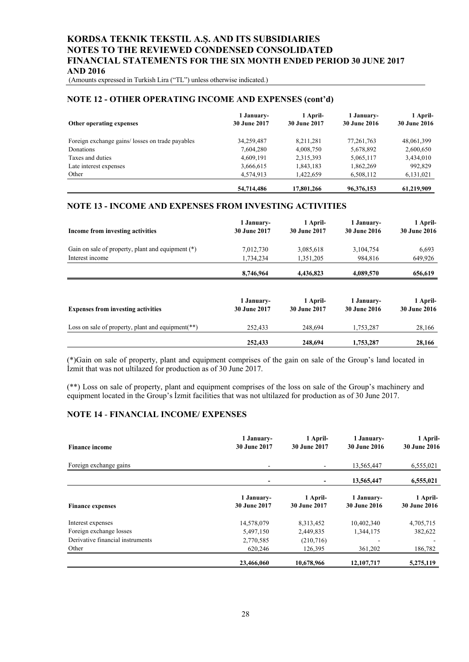(Amounts expressed in Turkish Lira ("TL") unless otherwise indicated.)

#### **NOTE 12 - OTHER OPERATING INCOME AND EXPENSES (cont'd)**

| Other operating expenses                        | 1 January-<br><b>30 June 2017</b> | 1 April-<br><b>30 June 2017</b> | 1 January-<br><b>30 June 2016</b> | 1 April-<br><b>30 June 2016</b> |
|-------------------------------------------------|-----------------------------------|---------------------------------|-----------------------------------|---------------------------------|
| Foreign exchange gains/losses on trade payables | 34,259,487                        | 8,211,281                       | 77, 261, 763                      | 48,061,399                      |
| Donations                                       | 7,604,280                         | 4,008,750                       | 5,678,892                         | 2,600,650                       |
| Taxes and duties                                | 4,609,191                         | 2,315,393                       | 5,065,117                         | 3,434,010                       |
| Late interest expenses                          | 3,666,615                         | 1,843,183                       | 1,862,269                         | 992,829                         |
| Other                                           | 4,574,913                         | 1,422,659                       | 6,508,112                         | 6,131,021                       |
|                                                 | 54,714,486                        | 17,801,266                      | 96,376,153                        | 61,219,909                      |

### **NOTE 13 - INCOME AND EXPENSES FROM INVESTING ACTIVITIES**

| Income from investing activities                     | 1 January-<br>30 June 2017 | 1 April-<br>30 June 2017 | 1 January-<br>30 June 2016        | 1 April-<br><b>30 June 2016</b> |
|------------------------------------------------------|----------------------------|--------------------------|-----------------------------------|---------------------------------|
| Gain on sale of property, plant and equipment (*)    | 7,012,730                  | 3,085,618                | 3,104,754                         | 6,693                           |
| Interest income                                      | 1,734,234                  | 1,351,205                | 984,816                           | 649,926                         |
|                                                      | 8,746,964                  | 4,436,823                | 4,089,570                         | 656,619                         |
| <b>Expenses from investing activities</b>            | 1 January-<br>30 June 2017 | 1 April-<br>30 June 2017 | 1 January-<br><b>30 June 2016</b> | 1 April-<br>30 June 2016        |
| Loss on sale of property, plant and equipment $(**)$ | 252,433                    | 248,694                  | 1,753,287                         | 28,166                          |
|                                                      | 252,433                    | 248,694                  | 1,753,287                         | 28,166                          |

(\*)Gain on sale of property, plant and equipment comprises of the gain on sale of the Group's land located in İzmit that was not ultilazed for production as of 30 June 2017.

(\*\*) Loss on sale of property, plant and equipment comprises of the loss on sale of the Group's machinery and equipment located in the Group's İzmit facilities that was not ultilazed for production as of 30 June 2017.

#### **NOTE 14** - **FINANCIAL INCOME/ EXPENSES**

| <b>Finance income</b>            | 1 January-<br>30 June 2017 | 1 April-<br>30 June 2017 | 1 January-<br>30 June 2016 | 1 April-<br><b>30 June 2016</b> |  |
|----------------------------------|----------------------------|--------------------------|----------------------------|---------------------------------|--|
| Foreign exchange gains           | $\overline{\phantom{a}}$   |                          | 13,565,447                 | 6,555,021                       |  |
|                                  | $\overline{\phantom{a}}$   | -                        | 13,565,447                 | 6,555,021                       |  |
| <b>Finance expenses</b>          | 1 January-<br>30 June 2017 | 1 April-<br>30 June 2017 | 1 January-<br>30 June 2016 | 1 April-<br>30 June 2016        |  |
| Interest expenses                | 14,578,079                 | 8,313,452                | 10,402,340                 | 4,705,715                       |  |
| Foreign exchange losses          | 5,497,150                  | 2,449,835                | 1,344,175                  | 382,622                         |  |
| Derivative financial instruments | 2,770,585                  | (210,716)                |                            |                                 |  |
| Other                            | 620,246                    | 126,395                  | 361,202                    | 186,782                         |  |
|                                  | 23,466,060                 | 10,678,966               | 12,107,717                 | 5,275,119                       |  |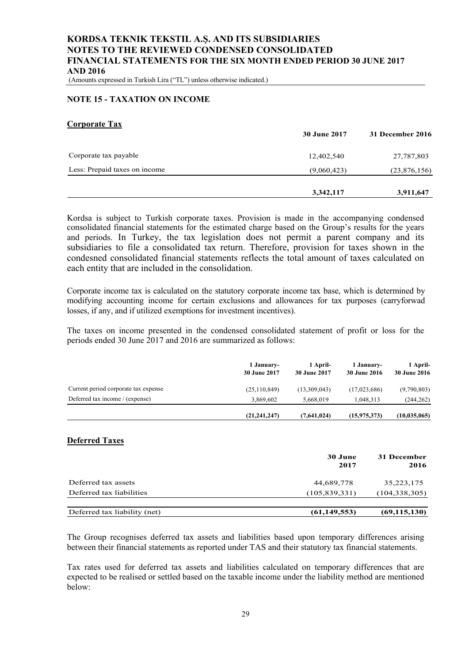(Amounts expressed in Turkish Lira ("TL") unless otherwise indicated.)

#### **NOTE 15 - TAXATION ON INCOME**

#### **Corporate Tax**

|                               | <b>30 June 2017</b> | 31 December 2016 |
|-------------------------------|---------------------|------------------|
| Corporate tax payable         | 12,402,540          | 27,787,803       |
| Less: Prepaid taxes on income | (9,060,423)         | (23,876,156)     |
|                               | 3,342,117           | 3,911,647        |

Kordsa is subject to Turkish corporate taxes. Provision is made in the accompanying condensed consolidated financial statements for the estimated charge based on the Group's results for the years and periods. In Turkey, the tax legislation does not permit a parent company and its subsidiaries to file a consolidated tax return. Therefore, provision for taxes shown in the condesned consolidated financial statements reflects the total amount of taxes calculated on each entity that are included in the consolidation.

Corporate income tax is calculated on the statutory corporate income tax base, which is determined by modifying accounting income for certain exclusions and allowances for tax purposes (carryforwad losses, if any, and if utilized exemptions for investment incentives).

The taxes on income presented in the condensed consolidated statement of profit or loss for the periods ended 30 June 2017 and 2016 are summarized as follows:

|                                      | 1 January-<br>30 June 2017 | 1 April-<br>30 June 2017 | 1 January-<br><b>30 June 2016</b> | 1 April-<br><b>30 June 2016</b> |
|--------------------------------------|----------------------------|--------------------------|-----------------------------------|---------------------------------|
| Current period corporate tax expense | (25, 110, 849)             | (13,309,043)             | (17,023,686)                      | (9,790,803)                     |
| Deferred tax income / (expense)      | 3.869.602                  | 5.668,019                | 1.048.313                         | (244, 262)                      |
|                                      | (21, 241, 247)             | (7,641,024)              | (15,975,373)                      | (10.035.065)                    |

#### **Deferred Taxes**

|                              | 30 June<br>2017 | 31 December<br>2016 |
|------------------------------|-----------------|---------------------|
| Deferred tax assets          | 44,689,778      | 35,223,175          |
| Deferred tax liabilities     | (105, 839, 331) | (104, 338, 305)     |
| Deferred tax liability (net) | (61, 149, 553)  | (69, 115, 130)      |

The Group recognises deferred tax assets and liabilities based upon temporary differences arising between their financial statements as reported under TAS and their statutory tax financial statements.

Tax rates used for deferred tax assets and liabilities calculated on temporary differences that are expected to be realised or settled based on the taxable income under the liability method are mentioned below: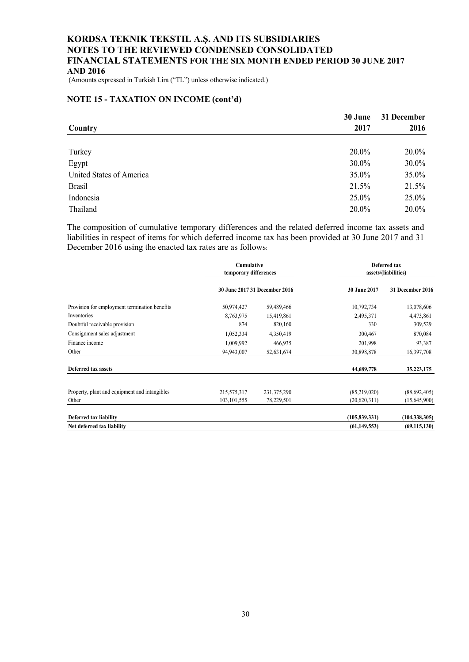(Amounts expressed in Turkish Lira ("TL") unless otherwise indicated.)

#### **NOTE 15 - TAXATION ON INCOME (cont'd)**

|                          | 30 June | 31 December |
|--------------------------|---------|-------------|
| Country                  | 2017    | 2016        |
|                          |         |             |
| Turkey                   | 20.0%   | 20.0%       |
| Egypt                    | 30.0%   | 30.0%       |
| United States of America | 35.0%   | 35.0%       |
| <b>Brasil</b>            | 21.5%   | 21.5%       |
| Indonesia                | 25.0%   | $25.0\%$    |
| Thailand                 | 20.0%   | 20.0%       |

The composition of cumulative temporary differences and the related deferred income tax assets and liabilities in respect of items for which deferred income tax has been provided at 30 June 2017 and 31 December 2016 using the enacted tax rates are as follows:

|                                               | Cumulative<br>temporary differences |                               | Deferred tax<br>assets/(liabilities) |                  |
|-----------------------------------------------|-------------------------------------|-------------------------------|--------------------------------------|------------------|
|                                               |                                     | 30 June 2017 31 December 2016 | 30 June 2017                         | 31 December 2016 |
| Provision for employment termination benefits | 50,974,427                          | 59,489,466                    | 10,792,734                           | 13,078,606       |
| Inventories                                   | 8,763,975                           | 15,419,861                    | 2,495,371                            | 4,473,861        |
| Doubtful receivable provision                 | 874                                 | 820,160                       | 330                                  | 309,529          |
| Consignment sales adjustment                  | 1,052,334                           | 4,350,419                     | 300,467                              | 870,084          |
| Finance income                                | 1,009,992                           | 466,935                       | 201,998                              | 93,387           |
| Other                                         | 94,943,007                          | 52,631,674                    | 30,898,878                           | 16,397,708       |
| Deferred tax assets                           |                                     |                               | 44,689,778                           | 35,223,175       |
| Property, plant and equipment and intangibles | 215,575,317                         | 231, 375, 290                 | (85,219,020)                         | (88,692,405)     |
| Other                                         | 103, 101, 555                       | 78,229,501                    | (20,620,311)                         | (15,645,900)     |
| <b>Deferred tax liability</b>                 |                                     |                               | (105, 839, 331)                      | (104, 338, 305)  |
| Net deferred tax liability                    |                                     |                               | (61, 149, 553)                       | (69, 115, 130)   |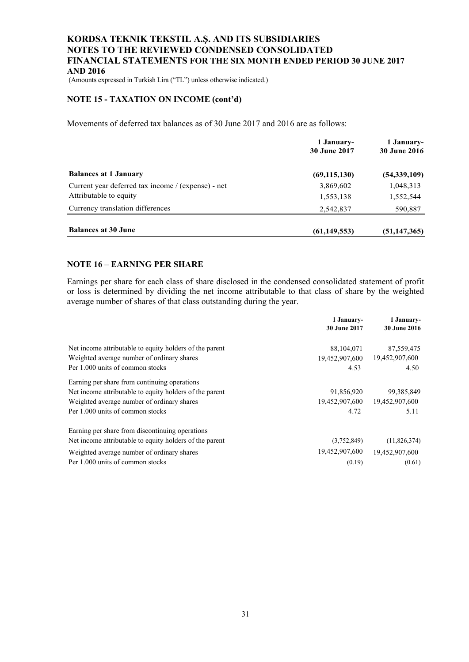(Amounts expressed in Turkish Lira ("TL") unless otherwise indicated.)

#### **NOTE 15 - TAXATION ON INCOME (cont'd)**

Movements of deferred tax balances as of 30 June 2017 and 2016 are as follows:

|                                                    | 1 January-<br><b>30 June 2017</b> | 1 January-<br><b>30 June 2016</b> |
|----------------------------------------------------|-----------------------------------|-----------------------------------|
| <b>Balances at 1 January</b>                       | (69, 115, 130)                    | (54, 339, 109)                    |
| Current year deferred tax income / (expense) - net | 3,869,602                         | 1,048,313                         |
| Attributable to equity                             | 1,553,138                         | 1,552,544                         |
| Currency translation differences                   | 2,542,837                         | 590,887                           |
| <b>Balances at 30 June</b>                         | (61, 149, 553)                    | (51, 147, 365)                    |

## **NOTE 16 – EARNING PER SHARE**

Earnings per share for each class of share disclosed in the condensed consolidated statement of profit or loss is determined by dividing the net income attributable to that class of share by the weighted average number of shares of that class outstanding during the year.

|                                                         | 1 January-<br>30 June 2017 | 1 January-<br><b>30 June 2016</b> |
|---------------------------------------------------------|----------------------------|-----------------------------------|
| Net income attributable to equity holders of the parent | 88,104,071                 | 87,559,475                        |
| Weighted average number of ordinary shares              | 19,452,907,600             | 19,452,907,600                    |
| Per 1.000 units of common stocks                        | 4.53                       | 4.50                              |
| Earning per share from continuing operations            |                            |                                   |
| Net income attributable to equity holders of the parent | 91,856,920                 | 99, 385, 849                      |
| Weighted average number of ordinary shares              | 19,452,907,600             | 19,452,907,600                    |
| Per 1.000 units of common stocks                        | 4.72                       | 5.11                              |
| Earning per share from discontinuing operations         |                            |                                   |
| Net income attributable to equity holders of the parent | (3,752,849)                | (11,826,374)                      |
| Weighted average number of ordinary shares              | 19,452,907,600             | 19,452,907,600                    |
| Per 1.000 units of common stocks                        | (0.19)                     | (0.61)                            |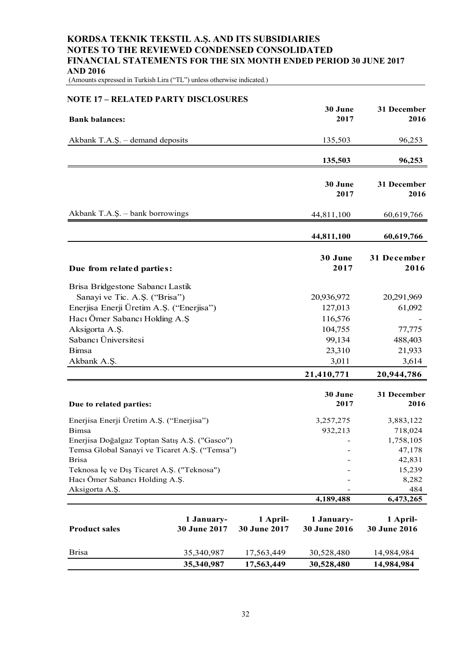(Amounts expressed in Turkish Lira ("TL") unless otherwise indicated.)

| <b>NOTE 17 - RELATED PARTY DISCLOSURES</b>                        |                            |                          |                            |                          |
|-------------------------------------------------------------------|----------------------------|--------------------------|----------------------------|--------------------------|
| <b>Bank balances:</b>                                             |                            |                          | 30 June<br>2017            | 31 December<br>2016      |
| Akbank T.A.Ş. - demand deposits                                   |                            |                          | 135,503                    | 96,253                   |
|                                                                   |                            |                          | 135,503                    | 96,253                   |
|                                                                   |                            |                          | 30 June<br>2017            | 31 December<br>2016      |
| Akbank T.A.Ş. - bank borrowings                                   |                            |                          | 44,811,100                 | 60,619,766               |
|                                                                   |                            |                          | 44,811,100                 | 60,619,766               |
| Due from related parties:                                         |                            |                          | 30 June<br>2017            | 31 December<br>2016      |
| Brisa Bridgestone Sabancı Lastik<br>Sanayi ve Tic. A.Ş. ("Brisa") |                            |                          | 20,936,972                 | 20,291,969               |
| Enerjisa Enerji Üretim A.Ş. ("Enerjisa")                          |                            |                          | 127,013                    | 61,092                   |
| Hacı Ömer Sabancı Holding A.Ş                                     |                            |                          | 116,576                    |                          |
| Aksigorta A.Ş.                                                    |                            |                          | 104,755                    | 77,775                   |
| Sabancı Üniversitesi                                              |                            |                          | 99,134                     | 488,403                  |
| <b>Bimsa</b>                                                      |                            |                          | 23,310                     | 21,933                   |
| Akbank A.Ş.                                                       |                            |                          | 3,011                      | 3,614                    |
|                                                                   |                            |                          | 21,410,771                 | 20,944,786               |
| Due to related parties:                                           |                            |                          | 30 June<br>2017            | 31 December<br>2016      |
| Enerjisa Enerji Üretim A.Ş. ("Enerjisa")                          |                            |                          | 3,257,275                  | 3,883,122                |
| Bimsa                                                             |                            |                          | 932,213                    | 718,024                  |
| Enerjisa Doğalgaz Toptan Satış A.Ş. ("Gasco")                     |                            |                          |                            | 1,758,105                |
| Temsa Global Sanayi ve Ticaret A.S. ("Temsa")                     |                            |                          |                            | 47,178                   |
| <b>Brisa</b>                                                      |                            |                          |                            | 42,831                   |
| Teknosa İç ve Dış Ticaret A.Ş. ("Teknosa")                        |                            |                          |                            | 15,239                   |
| Hacı Ömer Sabancı Holding A.Ş.                                    |                            |                          |                            | 8,282                    |
| Aksigorta A.Ş.                                                    |                            |                          |                            | 484                      |
|                                                                   |                            |                          | 4,189,488                  | 6,473,265                |
| <b>Product sales</b>                                              | 1 January-<br>30 June 2017 | 1 April-<br>30 June 2017 | 1 January-<br>30 June 2016 | 1 April-<br>30 June 2016 |
| <b>Brisa</b>                                                      | 35,340,987                 | 17,563,449               | 30,528,480                 | 14,984,984               |
|                                                                   | 35,340,987                 | 17,563,449               | 30,528,480                 | 14,984,984               |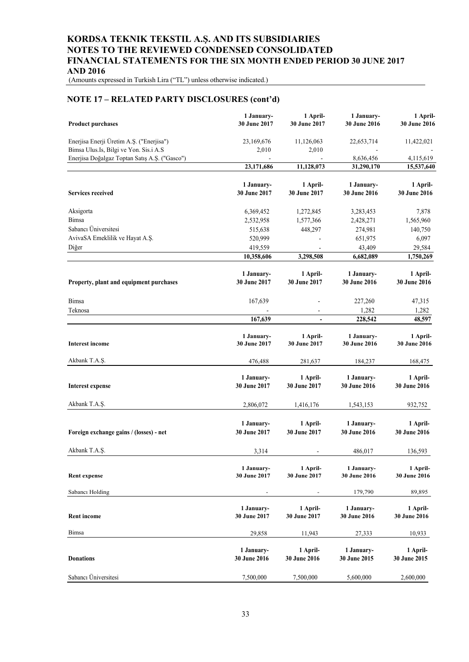(Amounts expressed in Turkish Lira ("TL") unless otherwise indicated.)

## **NOTE 17 – RELATED PARTY DISCLOSURES (cont'd)**

| <b>Product purchases</b>                                                           | 1 January-<br>30 June 2017        | 1 April-<br>30 June 2017        | 1 January-<br>30 June 2016 | 1 April-<br>30 June 2016 |
|------------------------------------------------------------------------------------|-----------------------------------|---------------------------------|----------------------------|--------------------------|
| Enerjisa Enerji Üretim A.Ş. ("Enerjisa")<br>Bimsa Ulus.Is, Bilgi ve Yon. Sis.i A.S | 23,169,676<br>2,010               | 11,126,063<br>2,010             | 22,653,714                 | 11,422,021               |
| Enerjisa Doğalgaz Toptan Satış A.Ş. ("Gasco")                                      | $\blacksquare$<br>23,171,686      | 11,128,073                      | 8,636,456<br>31,290,170    | 4,115,619<br>15,537,640  |
|                                                                                    |                                   |                                 |                            |                          |
| <b>Services received</b>                                                           | 1 January-<br>30 June 2017        | 1 April-<br>30 June 2017        | 1 January-<br>30 June 2016 | 1 April-<br>30 June 2016 |
| Aksigorta                                                                          | 6,369,452                         | 1,272,845                       | 3,283,453                  | 7,878                    |
| Bimsa                                                                              | 2,532,958                         | 1,577,366                       | 2,428,271                  | 1,565,960                |
| Sabancı Üniversitesi                                                               | 515,638                           | 448,297                         | 274,981                    | 140,750                  |
| AvivaSA Emeklilik ve Hayat A.Ş.                                                    | 520,999                           |                                 | 651,975                    | 6,097                    |
| Diğer                                                                              | 419,559                           |                                 | 43,409                     | 29,584                   |
|                                                                                    | 10,358,606                        | 3,298,508                       | 6,682,089                  | 1,750,269                |
| Property, plant and equipment purchases                                            | 1 January-<br>30 June 2017        | 1 April-<br>30 June 2017        | 1 January-<br>30 June 2016 | 1 April-<br>30 June 2016 |
| Bimsa                                                                              | 167,639                           |                                 | 227,260                    | 47,315                   |
| Teknosa                                                                            |                                   | $\overline{a}$                  | 1,282                      | 1,282                    |
|                                                                                    | 167,639                           | $\blacksquare$                  | 228,542                    | 48,597                   |
| <b>Interest income</b>                                                             | 1 January-<br>30 June 2017        | 1 April-<br>30 June 2017        | 1 January-<br>30 June 2016 | 1 April-<br>30 June 2016 |
| Akbank T.A.Ş.                                                                      | 476,488                           | 281,637                         | 184,237                    | 168,475                  |
| <b>Interest expense</b>                                                            | 1 January-<br>30 June 2017        | 1 April-<br>30 June 2017        | 1 January-<br>30 June 2016 | 1 April-<br>30 June 2016 |
| Akbank T.A.Ş.                                                                      | 2,806,072                         | 1,416,176                       | 1,543,153                  | 932,752                  |
| Foreign exchange gains / (losses) - net                                            | 1 January-<br>30 June 2017        | 1 April-<br>30 June 2017        | 1 January-<br>30 June 2016 | 1 April-<br>30 June 2016 |
| Akbank T.A.Ş.                                                                      | 3,314                             |                                 | 486,017                    | 136,593                  |
| <b>Rent expense</b>                                                                | 1 January-<br>30 June 2017        | 1 April-<br>30 June 2017        | 1 January-<br>30 June 2016 | 1 April-<br>30 June 2016 |
| Sabancı Holding                                                                    |                                   |                                 | 179,790                    | 89,895                   |
| <b>Rent income</b>                                                                 | 1 January-<br>30 June 2017        | 1 April-<br>30 June 2017        | 1 January-<br>30 June 2016 | 1 April-<br>30 June 2016 |
| Bimsa                                                                              | 29,858                            | 11,943                          | 27,333                     | 10,933                   |
| <b>Donations</b>                                                                   | 1 January-<br><b>30 June 2016</b> | 1 April-<br><b>30 June 2016</b> | 1 January-<br>30 June 2015 | 1 April-<br>30 June 2015 |
| Sabancı Üniversitesi                                                               | 7,500,000                         | 7,500,000                       | 5,600,000                  | 2,600,000                |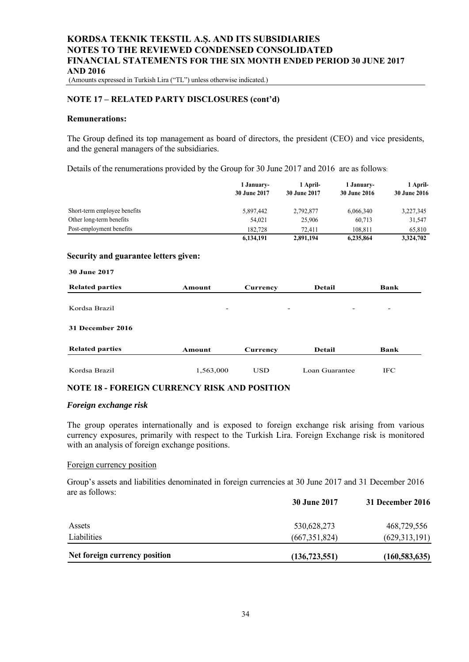(Amounts expressed in Turkish Lira ("TL") unless otherwise indicated.)

#### **NOTE 17 – RELATED PARTY DISCLOSURES (cont'd)**

#### **Remunerations:**

The Group defined its top management as board of directors, the president (CEO) and vice presidents, and the general managers of the subsidiaries.

Details of the renumerations provided by the Group for 30 June 2017 and 2016 are as follows:

|                              | 1 January-<br>30 June 2017 | 1 April-<br>30 June 2017 | 1 January-<br><b>30 June 2016</b> | 1 April-<br>30 June 2016 |
|------------------------------|----------------------------|--------------------------|-----------------------------------|--------------------------|
| Short-term employee benefits | 5,897,442                  | 2.792.877                | 6,066,340                         | 3,227,345                |
| Other long-term benefits     | 54,021                     | 25,906                   | 60,713                            | 31,547                   |
| Post-employment benefits     | 182.728                    | 72.411                   | 108.811                           | 65,810                   |
|                              | 6,134,191                  | 2,891,194                | 6,235,864                         | 3,324,702                |

#### **Security and guarantee letters given:**

| <b>30 June 2017</b>     |                          |                 |                 |                          |
|-------------------------|--------------------------|-----------------|-----------------|--------------------------|
| <b>Related parties</b>  | Amount                   | Currency        | <b>Detail</b>   | Bank                     |
| Kordsa Brazil           | $\overline{\phantom{0}}$ | $\qquad \qquad$ | $\qquad \qquad$ | $\overline{\phantom{a}}$ |
| <b>31 December 2016</b> |                          |                 |                 |                          |
| <b>Related parties</b>  | Amount                   | Currency        | <b>Detail</b>   | <b>Bank</b>              |
| Kordsa Brazil           | 1,563,000                | <b>USD</b>      | Loan Guarantee  | <b>IFC</b>               |

#### **NOTE 18 - FOREIGN CURRENCY RISK AND POSITION**

#### *Foreign exchange risk*

The group operates internationally and is exposed to foreign exchange risk arising from various currency exposures, primarily with respect to the Turkish Lira. Foreign Exchange risk is monitored with an analysis of foreign exchange positions.

#### Foreign currency position

Group's assets and liabilities denominated in foreign currencies at 30 June 2017 and 31 December 2016 are as follows:

|                               | <b>30 June 2017</b> | 31 December 2016 |  |
|-------------------------------|---------------------|------------------|--|
| Assets                        | 530,628,273         | 468,729,556      |  |
| Liabilities                   | (667, 351, 824)     | (629, 313, 191)  |  |
| Net foreign currency position | (136, 723, 551)     | (160, 583, 635)  |  |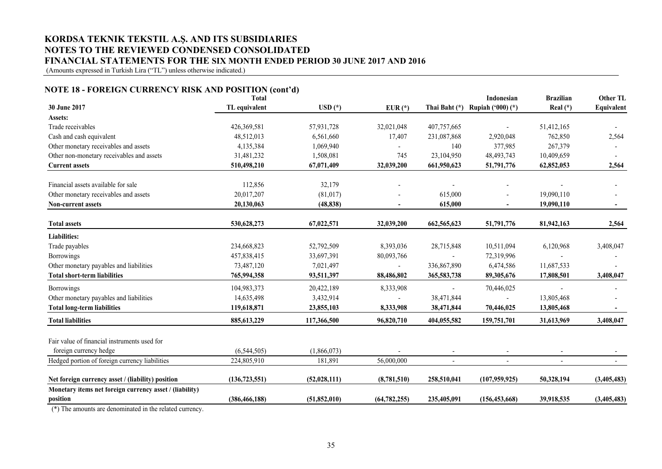(Amounts expressed in Turkish Lira ("TL") unless otherwise indicated.)

#### **NOTE 18 - FOREIGN CURRENCY RISK AND POSITION (cont'd)**

|                                                         | <b>Total</b>    |                  |                |                          | Indonesian        | <b>Brazilian</b> | Other TL    |
|---------------------------------------------------------|-----------------|------------------|----------------|--------------------------|-------------------|------------------|-------------|
| 30 June 2017                                            | TL equivalent   | $\text{USD}$ (*) | $EUR(*)$       | Thai Baht (*)            | Rupiah ('000) (*) | Real $(*)$       | Equivalent  |
| Assets:                                                 |                 |                  |                |                          |                   |                  |             |
| Trade receivables                                       | 426,369,581     | 57,931,728       | 32,021,048     | 407,757,665              |                   | 51,412,165       |             |
| Cash and cash equivalent                                | 48,512,013      | 6,561,660        | 17,407         | 231,087,868              | 2,920,048         | 762,850          | 2,564       |
| Other monetary receivables and assets                   | 4,135,384       | 1,069,940        |                | 140                      | 377,985           | 267,379          |             |
| Other non-monetary receivables and assets               | 31,481,232      | 1,508,081        | 745            | 23,104,950               | 48, 493, 743      | 10,409,659       |             |
| <b>Current assets</b>                                   | 510,498,210     | 67,071,409       | 32,039,200     | 661,950,623              | 51,791,776        | 62,852,053       | 2,564       |
| Financial assets available for sale                     | 112,856         | 32,179           |                |                          |                   |                  |             |
| Other monetary receivables and assets                   | 20,017,207      | (81, 017)        |                | 615,000                  |                   | 19,090,110       |             |
| <b>Non-current assets</b>                               | 20,130,063      | (48, 838)        | ٠              | 615,000                  | ÷                 | 19,090,110       | $\sim$      |
| <b>Total assets</b>                                     | 530,628,273     | 67,022,571       | 32,039,200     | 662, 565, 623            | 51,791,776        | 81,942,163       | 2,564       |
| <b>Liabilities:</b>                                     |                 |                  |                |                          |                   |                  |             |
| Trade payables                                          | 234,668,823     | 52,792,509       | 8,393,036      | 28,715,848               | 10,511,094        | 6,120,968        | 3,408,047   |
| <b>Borrowings</b>                                       | 457,838,415     | 33,697,391       | 80,093,766     |                          | 72,319,996        |                  |             |
| Other monetary payables and liabilities                 | 73,487,120      | 7,021,497        |                | 336,867,890              | 6,474,586         | 11,687,533       |             |
| <b>Total short-term liabilities</b>                     | 765,994,358     | 93,511,397       | 88,486,802     | 365,583,738              | 89,305,676        | 17,808,501       | 3,408,047   |
| <b>Borrowings</b>                                       | 104,983,373     | 20,422,189       | 8,333,908      |                          | 70,446,025        |                  |             |
| Other monetary payables and liabilities                 | 14,635,498      | 3,432,914        |                | 38,471,844               | $\overline{a}$    | 13,805,468       |             |
| <b>Total long-term liabilities</b>                      | 119,618,871     | 23,855,103       | 8,333,908      | 38,471,844               | 70,446,025        | 13,805,468       |             |
| <b>Total liabilities</b>                                | 885, 613, 229   | 117,366,500      | 96,820,710     | 404,055,582              | 159,751,701       | 31,613,969       | 3,408,047   |
| Fair value of financial instruments used for            |                 |                  |                |                          |                   |                  |             |
| foreign currency hedge                                  | (6,544,505)     | (1,866,073)      |                | $\overline{\phantom{a}}$ |                   |                  |             |
| Hedged portion of foreign currency liabilities          | 224,805,910     | 181,891          | 56,000,000     |                          |                   |                  |             |
| Net foreign currency asset / (liability) position       | (136, 723, 551) | (52,028,111)     | (8,781,510)    | 258,510,041              | (107, 959, 925)   | 50,328,194       | (3,405,483) |
| Monetary items net foreign currency asset / (liability) |                 |                  |                |                          |                   |                  |             |
| position<br>$-1$ $-1$ $-1$ $-1$ $-1$<br>$(4)$ $T1$      | (386, 466, 188) | (51, 852, 010)   | (64, 782, 255) | 235,405,091              | (156, 453, 668)   | 39,918,535       | (3,405,483) |

(\*) The amounts are denominated in the related currency.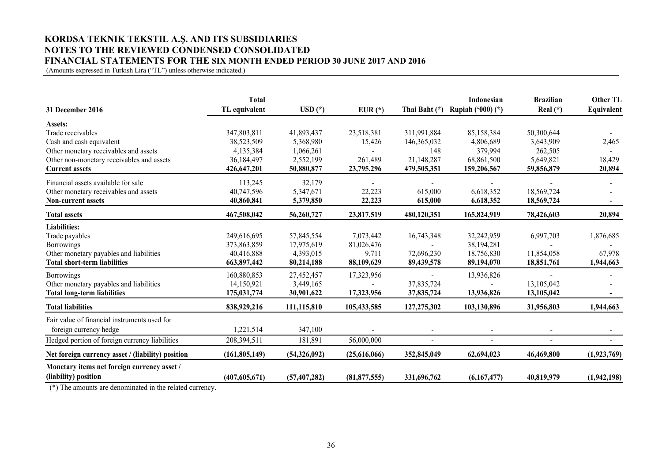(Amounts expressed in Turkish Lira ("TL") unless otherwise indicated.)

|                                                   | <b>Total</b>    |                |                |               | Indonesian               | <b>Brazilian</b> | <b>Other TL</b> |
|---------------------------------------------------|-----------------|----------------|----------------|---------------|--------------------------|------------------|-----------------|
| 31 December 2016                                  | TL equivalent   | $USD(*)$       | $EUR(*)$       | Thai Baht (*) | <b>Rupiah ('000) (*)</b> | Real $(*)$       | Equivalent      |
| <b>Assets:</b>                                    |                 |                |                |               |                          |                  |                 |
| Trade receivables                                 | 347,803,811     | 41,893,437     | 23,518,381     | 311,991,884   | 85,158,384               | 50,300,644       |                 |
| Cash and cash equivalent                          | 38,523,509      | 5,368,980      | 15,426         | 146, 365, 032 | 4,806,689                | 3,643,909        | 2,465           |
| Other monetary receivables and assets             | 4,135,384       | 1,066,261      |                | 148           | 379,994                  | 262,505          |                 |
| Other non-monetary receivables and assets         | 36,184,497      | 2,552,199      | 261,489        | 21,148,287    | 68,861,500               | 5,649,821        | 18,429          |
| <b>Current assets</b>                             | 426,647,201     | 50,880,877     | 23,795,296     | 479,505,351   | 159,206,567              | 59,856,879       | 20,894          |
| Financial assets available for sale               | 113,245         | 32,179         |                |               |                          |                  |                 |
| Other monetary receivables and assets             | 40,747,596      | 5,347,671      | 22,223         | 615,000       | 6,618,352                | 18,569,724       |                 |
| <b>Non-current assets</b>                         | 40,860,841      | 5,379,850      | 22,223         | 615,000       | 6,618,352                | 18,569,724       |                 |
| <b>Total assets</b>                               | 467,508,042     | 56,260,727     | 23,817,519     | 480,120,351   | 165,824,919              | 78,426,603       | 20,894          |
| <b>Liabilities:</b>                               |                 |                |                |               |                          |                  |                 |
| Trade payables                                    | 249,616,695     | 57,845,554     | 7,073,442      | 16,743,348    | 32,242,959               | 6,997,703        | 1,876,685       |
| <b>Borrowings</b>                                 | 373,863,859     | 17,975,619     | 81,026,476     |               | 38,194,281               |                  |                 |
| Other monetary payables and liabilities           | 40,416,888      | 4,393,015      | 9,711          | 72,696,230    | 18,756,830               | 11,854,058       | 67,978          |
| <b>Total short-term liabilities</b>               | 663,897,442     | 80,214,188     | 88,109,629     | 89,439,578    | 89,194,070               | 18,851,761       | 1,944,663       |
| <b>Borrowings</b>                                 | 160,880,853     | 27,452,457     | 17,323,956     |               | 13,936,826               |                  |                 |
| Other monetary payables and liabilities           | 14,150,921      | 3,449,165      |                | 37,835,724    |                          | 13,105,042       |                 |
| <b>Total long-term liabilities</b>                | 175,031,774     | 30,901,622     | 17,323,956     | 37,835,724    | 13,936,826               | 13,105,042       |                 |
| <b>Total liabilities</b>                          | 838,929,216     | 111,115,810    | 105,433,585    | 127,275,302   | 103,130,896              | 31,956,803       | 1,944,663       |
| Fair value of financial instruments used for      |                 |                |                |               |                          |                  |                 |
| foreign currency hedge                            | 1,221,514       | 347,100        |                |               |                          |                  |                 |
| Hedged portion of foreign currency liabilities    | 208,394,511     | 181,891        | 56,000,000     | $\sim$        | $\sim$                   | $\sim$           |                 |
| Net foreign currency asset / (liability) position | (161, 805, 149) | (54,326,092)   | (25,616,066)   | 352,845,049   | 62,694,023               | 46,469,800       | (1,923,769)     |
| Monetary items net foreign currency asset /       |                 |                |                |               |                          |                  |                 |
| (liability) position                              | (407, 605, 671) | (57, 407, 282) | (81, 877, 555) | 331,696,762   | (6,167,477)              | 40,819,979       | (1,942,198)     |
| <b>Contract Contract</b>                          |                 |                |                |               |                          |                  |                 |

(\*) The amounts are denominated in the related currency.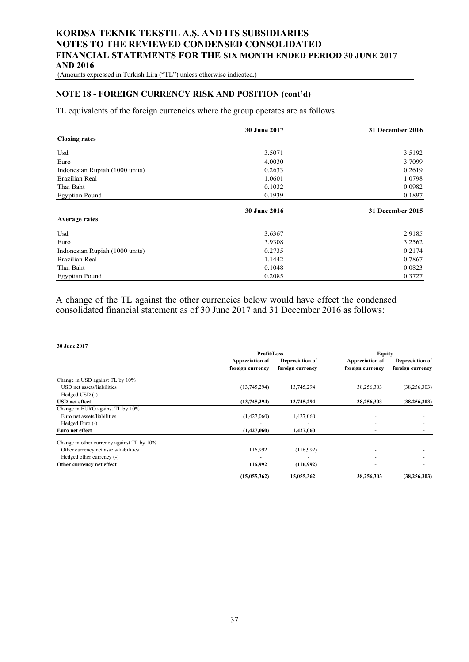(Amounts expressed in Turkish Lira ("TL") unless otherwise indicated.)

## **NOTE 18 - FOREIGN CURRENCY RISK AND POSITION (cont'd)**

TL equivalents of the foreign currencies where the group operates are as follows:

|                                | <b>30 June 2017</b> | 31 December 2016 |
|--------------------------------|---------------------|------------------|
| <b>Closing rates</b>           |                     |                  |
| Usd                            | 3.5071              | 3.5192           |
| Euro                           | 4.0030              | 3.7099           |
| Indonesian Rupiah (1000 units) | 0.2633              | 0.2619           |
| <b>Brazilian Real</b>          | 1.0601              | 1.0798           |
| Thai Baht                      | 0.1032              | 0.0982           |
| <b>Egyptian Pound</b>          | 0.1939              | 0.1897           |
|                                | <b>30 June 2016</b> | 31 December 2015 |
| <b>Average rates</b>           |                     |                  |
| Usd                            | 3.6367              | 2.9185           |
| Euro                           | 3.9308              | 3.2562           |
| Indonesian Rupiah (1000 units) | 0.2735              | 0.2174           |
| <b>Brazilian Real</b>          | 1.1442              | 0.7867           |
| Thai Baht                      | 0.1048              | 0.0823           |
| <b>Egyptian Pound</b>          | 0.2085              | 0.3727           |

A change of the TL against the other currencies below would have effect the condensed consolidated financial statement as of 30 June 2017 and 31 December 2016 as follows:

| <b>30 June 2017</b>                        |                  |                  |                        |                        |
|--------------------------------------------|------------------|------------------|------------------------|------------------------|
|                                            | Profit/Loss      |                  | <b>Equity</b>          |                        |
|                                            | Appreciation of  | Depreciation of  | <b>Appreciation of</b> | <b>Depreciation of</b> |
|                                            | foreign currency | foreign currency | foreign currency       | foreign currency       |
| Change in USD against TL by 10%            |                  |                  |                        |                        |
| USD net assets/liabilities                 | (13,745,294)     | 13,745,294       | 38,256,303             | (38, 256, 303)         |
| Hedged USD (-)                             |                  |                  |                        |                        |
| <b>USD</b> net effect                      | (13,745,294)     | 13,745,294       | 38,256,303             | (38, 256, 303)         |
| Change in EURO against TL by 10%           |                  |                  |                        |                        |
| Euro net assets/liabilities                | (1,427,060)      | 1,427,060        |                        |                        |
| Hedged Euro (-)                            |                  |                  |                        |                        |
| Euro net effect                            | (1,427,060)      | 1,427,060        |                        |                        |
| Change in other currency against TL by 10% |                  |                  |                        |                        |
| Other currency net assets/liabilities      | 116,992          | (116,992)        |                        |                        |
| Hedged other currency (-)                  |                  |                  |                        |                        |
| Other currency net effect                  | 116,992          | (116,992)        |                        |                        |
|                                            | (15, 055, 362)   | 15,055,362       | 38,256,303             | (38, 256, 303)         |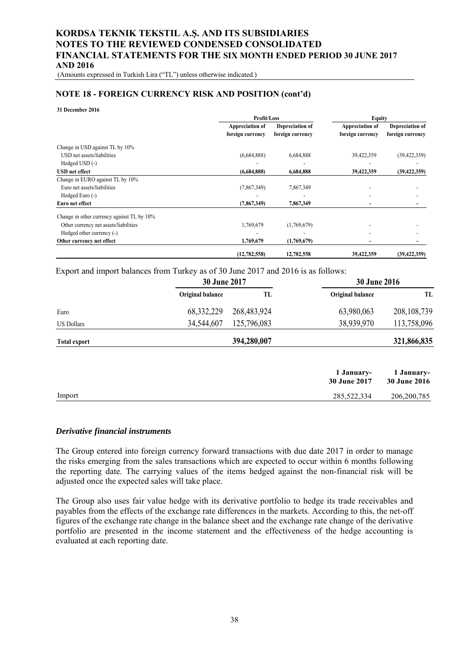(Amounts expressed in Turkish Lira ("TL") unless otherwise indicated.)

#### **NOTE 18 - FOREIGN CURRENCY RISK AND POSITION (cont'd)**

#### **31 December 2016**

|                                            |                                     | <b>Profit/Loss</b>                  |                                     | <b>Equity</b>                       |
|--------------------------------------------|-------------------------------------|-------------------------------------|-------------------------------------|-------------------------------------|
|                                            | Appreciation of<br>foreign currency | Depreciation of<br>foreign currency | Appreciation of<br>foreign currency | Depreciation of<br>foreign currency |
| Change in USD against TL by 10%            |                                     |                                     |                                     |                                     |
| USD net assets/liabilities                 | (6,684,888)                         | 6,684,888                           | 39,422,359                          | (39, 422, 359)                      |
| Hedged USD (-)                             |                                     |                                     |                                     |                                     |
| <b>USD</b> net effect                      | (6,684,888)                         | 6,684,888                           | 39,422,359                          | (39, 422, 359)                      |
| Change in EURO against TL by 10%           |                                     |                                     |                                     |                                     |
| Euro net assets/liabilities                | (7,867,349)                         | 7,867,349                           |                                     |                                     |
| Hedged Euro (-)                            |                                     |                                     |                                     |                                     |
| Euro net effect                            | (7,867,349)                         | 7,867,349                           |                                     |                                     |
| Change in other currency against TL by 10% |                                     |                                     |                                     |                                     |
| Other currency net assets/liabilities      | 1,769,679                           | (1,769,679)                         |                                     |                                     |
| Hedged other currency (-)                  |                                     |                                     |                                     |                                     |
| Other currency net effect                  | 1,769,679                           | (1,769,679)                         |                                     |                                     |
|                                            | (12, 782, 558)                      | 12,782,558                          | 39,422,359                          | (39, 422, 359)                      |

#### Export and import balances from Turkey as of 30 June 2017 and 2016 is as follows:

|                     | <b>30 June 2017</b> |             | <b>30 June 2016</b>               |                                   |
|---------------------|---------------------|-------------|-----------------------------------|-----------------------------------|
|                     | Original balance    | TL          | Original balance                  | TL                                |
| Euro                | 68, 332, 229        | 268,483,924 | 63,980,063                        | 208, 108, 739                     |
| <b>US Dollars</b>   | 34,544,607          | 125,796,083 | 38,939,970                        | 113,758,096                       |
| <b>Total export</b> |                     | 394,280,007 |                                   | 321,866,835                       |
|                     |                     |             | 1 January-<br><b>30 June 2017</b> | 1 January-<br><b>30 June 2016</b> |
| Import              |                     |             | 285,522,334                       | 206, 200, 785                     |

#### *Derivative financial instruments*

The Group entered into foreign currency forward transactions with due date 2017 in order to manage the risks emerging from the sales transactions which are expected to occur within 6 months following the reporting date. The carrying values of the items hedged against the non-financial risk will be adjusted once the expected sales will take place.

The Group also uses fair value hedge with its derivative portfolio to hedge its trade receivables and payables from the effects of the exchange rate differences in the markets. According to this, the net-off figures of the exchange rate change in the balance sheet and the exchange rate change of the derivative portfolio are presented in the income statement and the effectiveness of the hedge accounting is evaluated at each reporting date.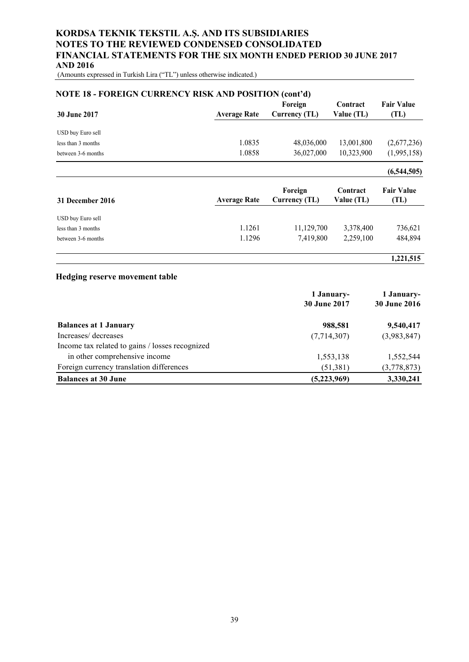(Amounts expressed in Turkish Lira ("TL") unless otherwise indicated.)

| <b>NOTE 18 - FOREIGN CURRENCY RISK AND POSITION (cont'd)</b> |                     |                          |                        |                           |  |  |
|--------------------------------------------------------------|---------------------|--------------------------|------------------------|---------------------------|--|--|
| <b>30 June 2017</b>                                          | <b>Average Rate</b> | Foreign<br>Currency (TL) | Contract<br>Value (TL) | <b>Fair Value</b><br>(TL) |  |  |
| USD buy Euro sell                                            |                     |                          |                        |                           |  |  |
| less than 3 months                                           | 1.0835              | 48,036,000               | 13,001,800             | (2,677,236)               |  |  |
| between 3-6 months                                           | 1.0858              | 36,027,000               | 10,323,900             | (1,995,158)               |  |  |
|                                                              |                     |                          |                        | (6,544,505)               |  |  |
| <b>31 December 2016</b>                                      | <b>Average Rate</b> | Foreign<br>Currency (TL) | Contract<br>Value (TL) | <b>Fair Value</b><br>(TL) |  |  |
| USD buy Euro sell                                            |                     |                          |                        |                           |  |  |
| less than 3 months                                           | 1.1261              | 11,129,700               | 3,378,400              | 736,621                   |  |  |
| between 3-6 months                                           | 1.1296              | 7,419,800                | 2,259,100              | 484,894                   |  |  |
|                                                              |                     |                          |                        | 1,221,515                 |  |  |

#### **Hedging reserve movement table**

|                                                 | 1 January-          | 1 January-          |  |
|-------------------------------------------------|---------------------|---------------------|--|
|                                                 | <b>30 June 2017</b> | <b>30 June 2016</b> |  |
| <b>Balances at 1 January</b>                    | 988,581             | 9,540,417           |  |
| Increases/decreases                             | (7,714,307)         | (3,983,847)         |  |
| Income tax related to gains / losses recognized |                     |                     |  |
| in other comprehensive income                   | 1,553,138           | 1,552,544           |  |
| Foreign currency translation differences        | (51, 381)           | (3,778,873)         |  |
| <b>Balances at 30 June</b>                      | (5,223,969)         | 3,330,241           |  |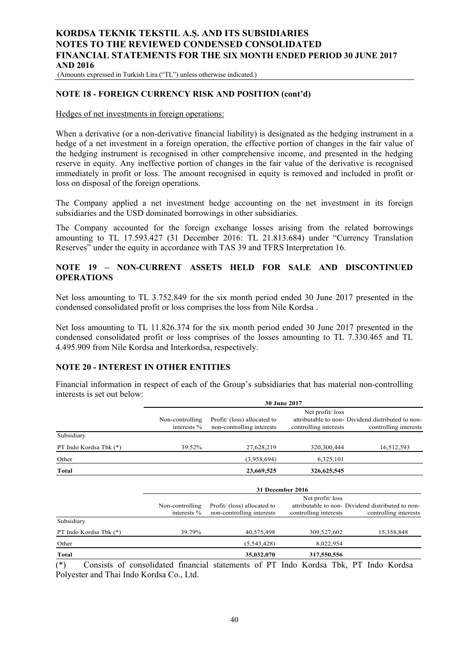(Amounts expressed in Turkish Lira ("TL") unless otherwise indicated.)

#### **NOTE 18 - FOREIGN CURRENCY RISK AND POSITION (cont'd)**

#### Hedges of net investments in foreign operations:

When a derivative (or a non-derivative financial liability) is designated as the hedging instrument in a hedge of a net investment in a foreign operation, the effective portion of changes in the fair value of the hedging instrument is recognised in other comprehensive income, and presented in the hedging reserve in equity. Any ineffective portion of changes in the fair value of the derivative is recognised immediately in profit or loss. The amount recognised in equity is removed and included in profit or loss on disposal of the foreign operations.

The Company applied a net investment hedge accounting on the net investment in its foreign subsidiaries and the USD dominated borrowings in other subsidiaries.

The Company accounted for the foreign exchange losses arising from the related borrowings amounting to TL 17.593.427 (31 December 2016: TL 21.813.684) under "Currency Translation Reserves" under the equity in accordance with TAS 39 and TFRS Interpretation 16.

## **NOTE 19 – NON-CURRENT ASSETS HELD FOR SALE AND DISCONTINUED OPERATIONS**

Net loss amounting to TL 3.752.849 for the six month period ended 30 June 2017 presented in the condensed consolidated profit or loss comprises the loss from Nile Kordsa .

Net loss amounting to TL 11.826.374 for the six month period ended 30 June 2017 presented in the condensed consolidated profit or loss comprises of the losses amounting to TL 7.330.465 and TL 4.495.909 from Nile Kordsa and Interkordsa, respectively.

## **NOTE 20 - INTEREST IN OTHER ENTITIES**

Financial information in respect of each of the Group's subsidiaries that has material non-controlling interests is set out below:

|                                | 30 June 2017                   |                                                          |                                          |                                                                            |  |  |
|--------------------------------|--------------------------------|----------------------------------------------------------|------------------------------------------|----------------------------------------------------------------------------|--|--|
|                                | Non-controlling<br>interests % | Profit/ (loss) allocated to<br>non-controlling interests | Net profit/loss<br>controlling interests | attributable to non-Dividend distributed to non-<br>controlling interests  |  |  |
| Subsidiary                     |                                |                                                          |                                          |                                                                            |  |  |
| PT Indo Kordsa Tbk (*)         | 39.52%                         | 27,628,219                                               | 320,300,444                              | 16,512,593                                                                 |  |  |
| Other                          |                                | (3,958,694)                                              | 6,325,101                                |                                                                            |  |  |
| Total                          |                                | 23,669,525                                               | 326,625,545                              |                                                                            |  |  |
|                                | 31 December 2016               |                                                          |                                          |                                                                            |  |  |
|                                | Non-controlling<br>interests % | Profit/ (loss) allocated to<br>non-controlling interests | Net profit/loss<br>controlling interests | attributable to non- Dividend distributed to non-<br>controlling interests |  |  |
| Subsidiary                     |                                |                                                          |                                          |                                                                            |  |  |
| PT Indo Kordsa Tbk (*)         | 39.79%                         | 40,575,498                                               | 309,527,602                              | 15,358,848                                                                 |  |  |
| Other                          |                                | (5,543,428)                                              | 8,022,954                                |                                                                            |  |  |
| <b>Total</b><br>$\sim$<br>2.11 | $\cdots$<br>$\cdot$ $\cdot$    | 35,032,070                                               | 317,550,556<br>.                         |                                                                            |  |  |

(\*) Consists of consolidated financial statements of PT Indo Kordsa Tbk, PT Indo Kordsa Polyester and Thai Indo Kordsa Co., Ltd.